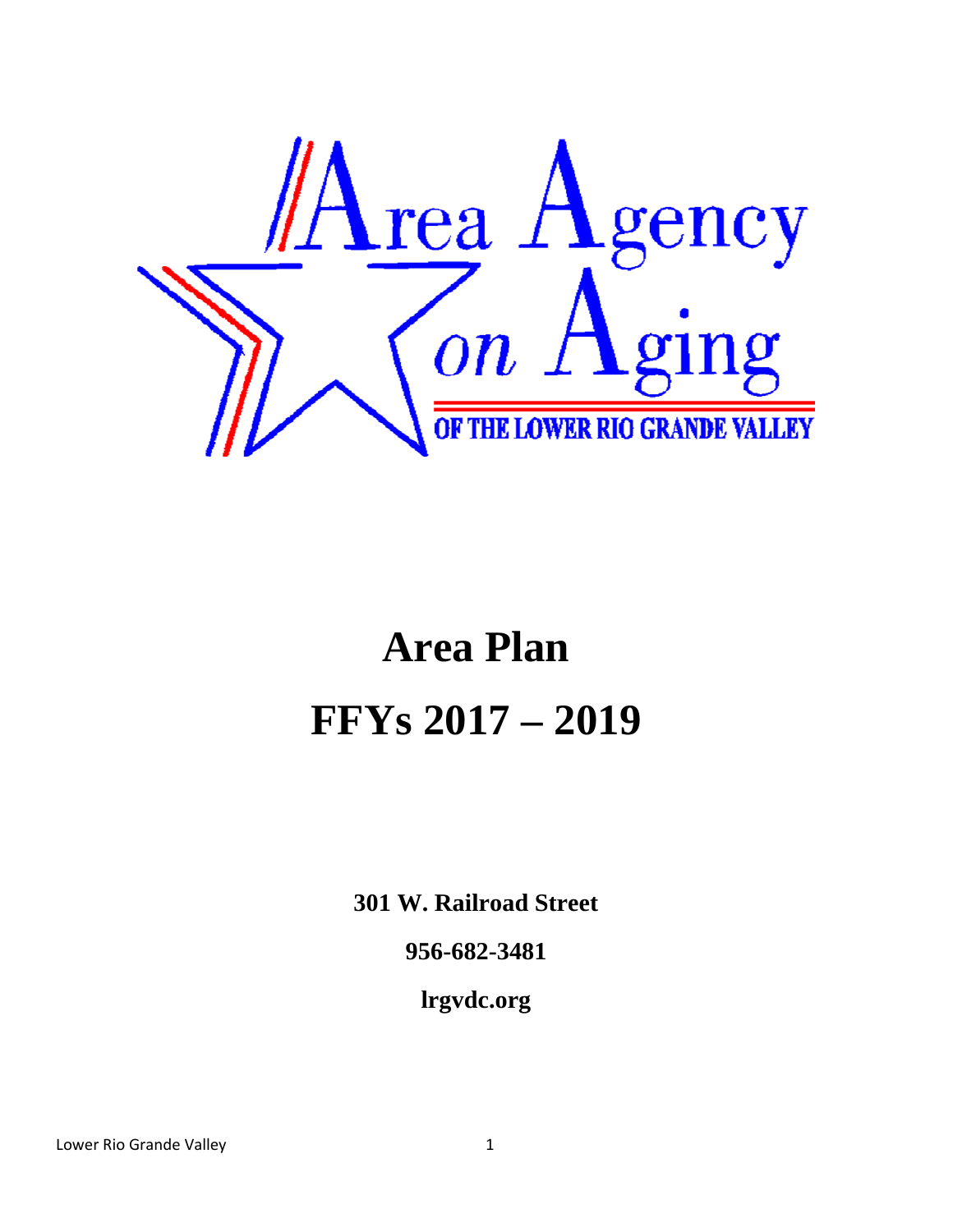

# **Area Plan FFYs 2017 – 2019**

**301 W. Railroad Street**

**956-682-3481**

**lrgvdc.org**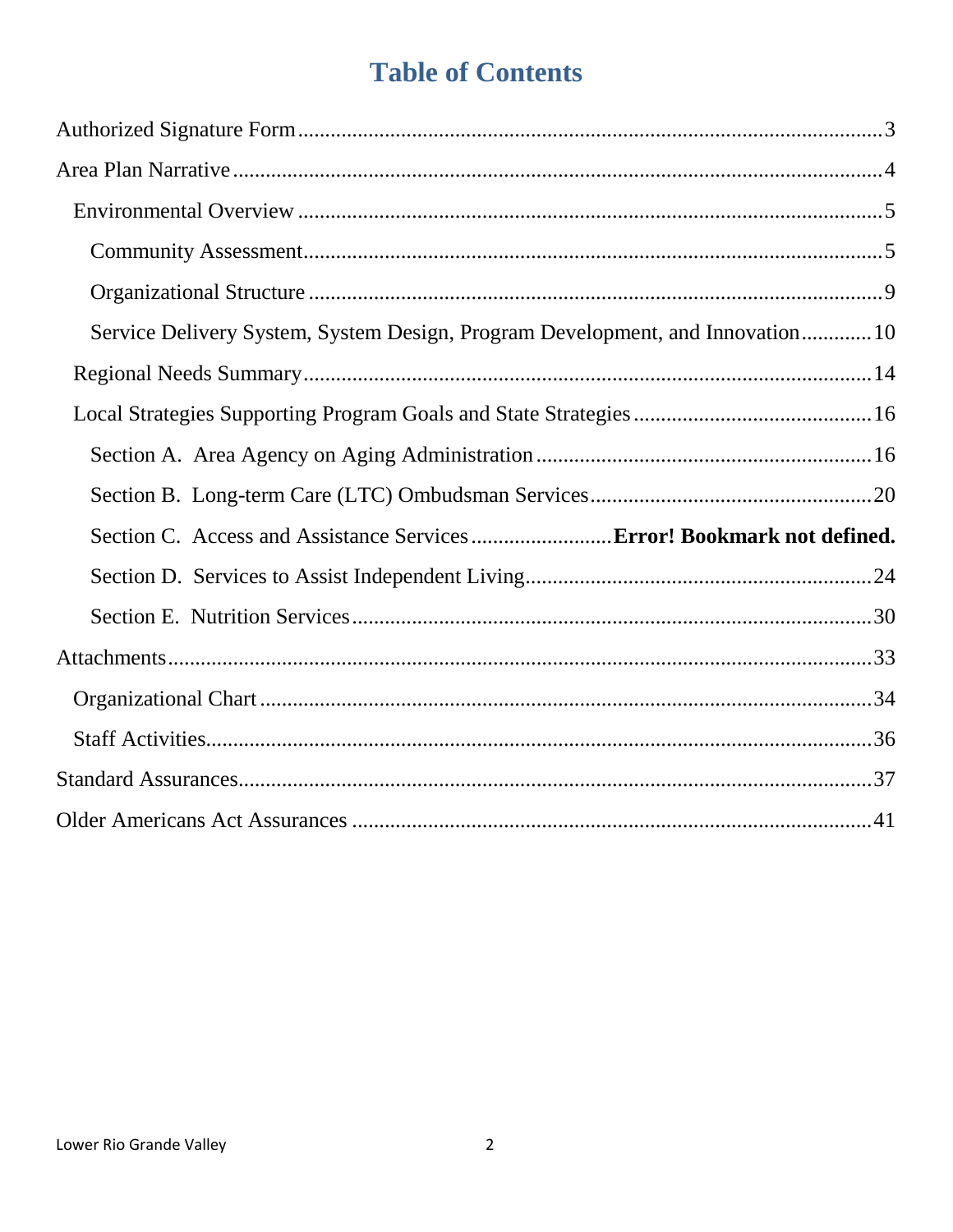# **Table of Contents**

| Service Delivery System, System Design, Program Development, and Innovation10 |
|-------------------------------------------------------------------------------|
|                                                                               |
|                                                                               |
|                                                                               |
|                                                                               |
|                                                                               |
|                                                                               |
|                                                                               |
|                                                                               |
|                                                                               |
|                                                                               |
|                                                                               |
|                                                                               |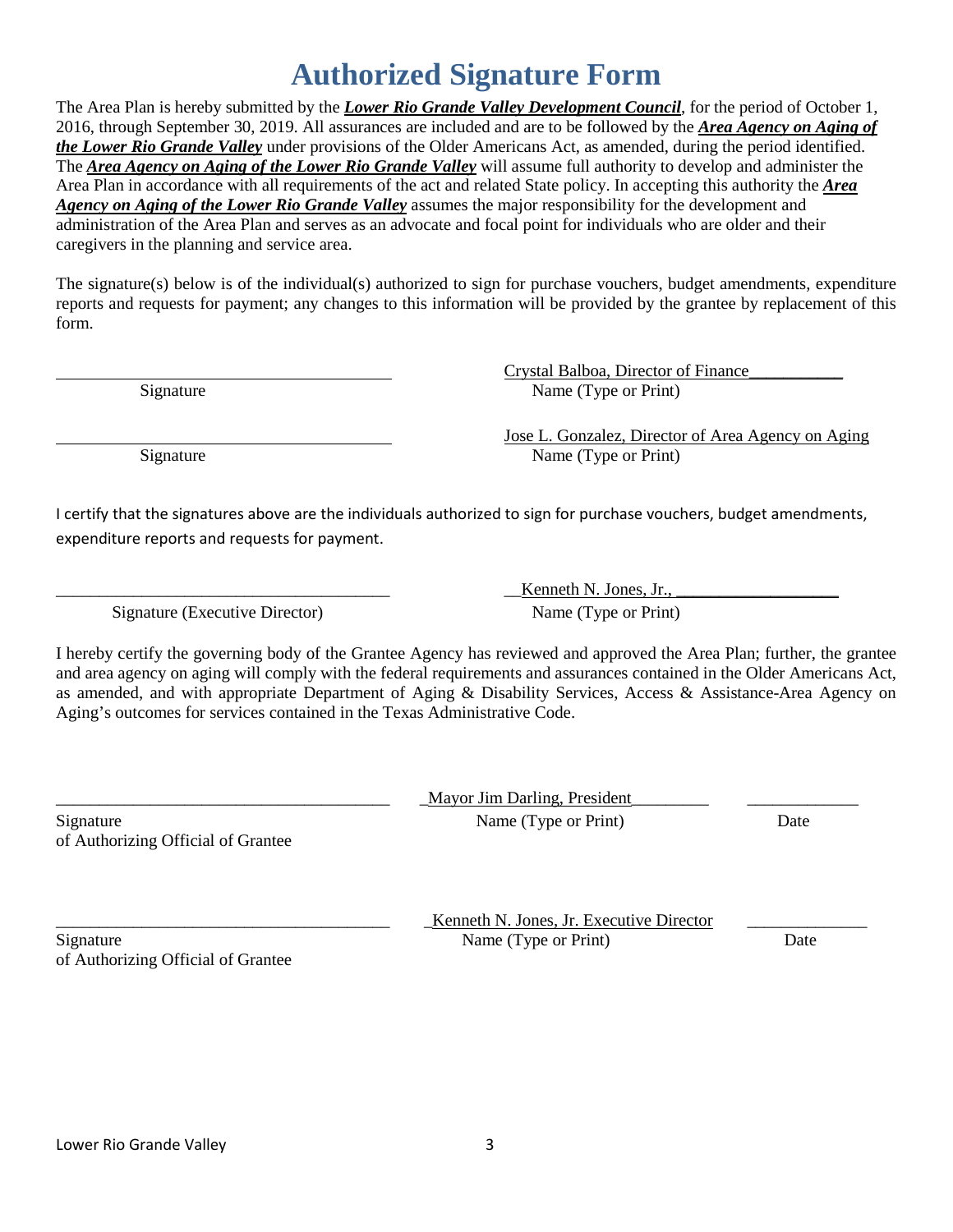#### administration of the Area Plan and serves as an advocate and focal point for individuals who are older and their

caregivers in the planning and service area.

The signature(s) below is of the individual(s) authorized to sign for purchase vouchers, budget amendments, expenditure reports and requests for payment; any changes to this information will be provided by the grantee by replacement of this form.

**Authorized Signature Form**

<span id="page-2-0"></span>The Area Plan is hereby submitted by the *Lower Rio Grande Valley Development Council*, for the period of October 1, 2016, through September 30, 2019. All assurances are included and are to be followed by the *Area Agency on Aging of the Lower Rio Grande Valley* under provisions of the Older Americans Act, as amended, during the period identified. The *Area Agency on Aging of the Lower Rio Grande Valley* will assume full authority to develop and administer the Area Plan in accordance with all requirements of the act and related State policy. In accepting this authority the *Area* 

*Agency on Aging of the Lower Rio Grande Valley* assumes the major responsibility for the development and

Crystal Balboa, Director of Finance\_\_\_\_\_\_\_\_\_\_\_ Signature Name (Type or Print)

Jose L. Gonzalez, Director of Area Agency on Aging Signature Name (Type or Print)

I certify that the signatures above are the individuals authorized to sign for purchase vouchers, budget amendments, expenditure reports and requests for payment.

Signature (Executive Director) Name (Type or Print)

I hereby certify the governing body of the Grantee Agency has reviewed and approved the Area Plan; further, the grantee and area agency on aging will comply with the federal requirements and assurances contained in the Older Americans Act, as amended, and with appropriate Department of Aging & Disability Services, Access & Assistance-Area Agency on Aging's outcomes for services contained in the Texas Administrative Code.

Signature Date Name (Type or Print) Date of Authorizing Official of Grantee

Mayor Jim Darling, President

of Authorizing Official of Grantee

Kenneth N. Jones, Jr. Executive Director Signature **Name** (Type or Print) Date

 $\_\_\_\$  Kenneth N. Jones, Jr.,  $\_\_\_\$ 

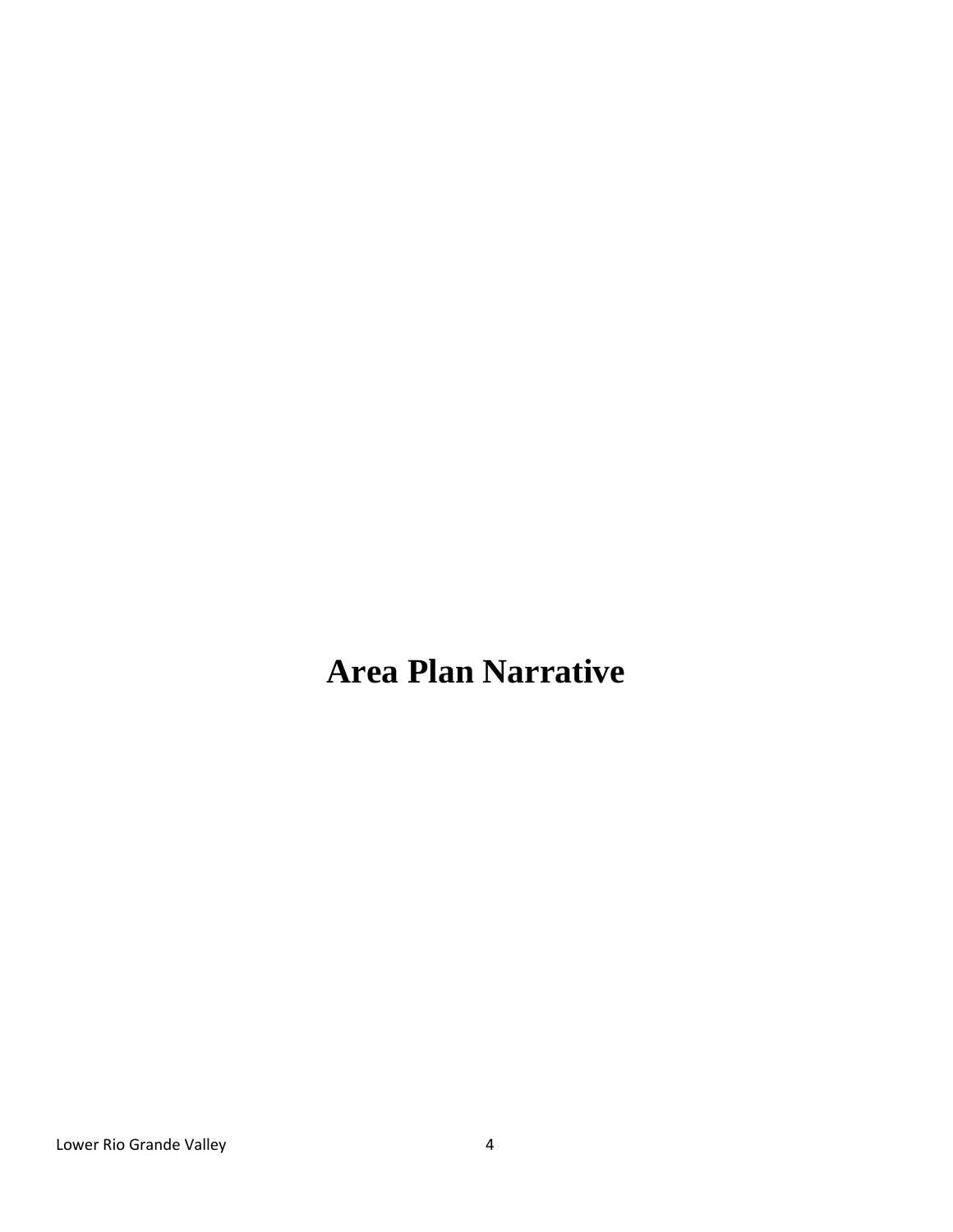<span id="page-3-0"></span>**Area Plan Narrative**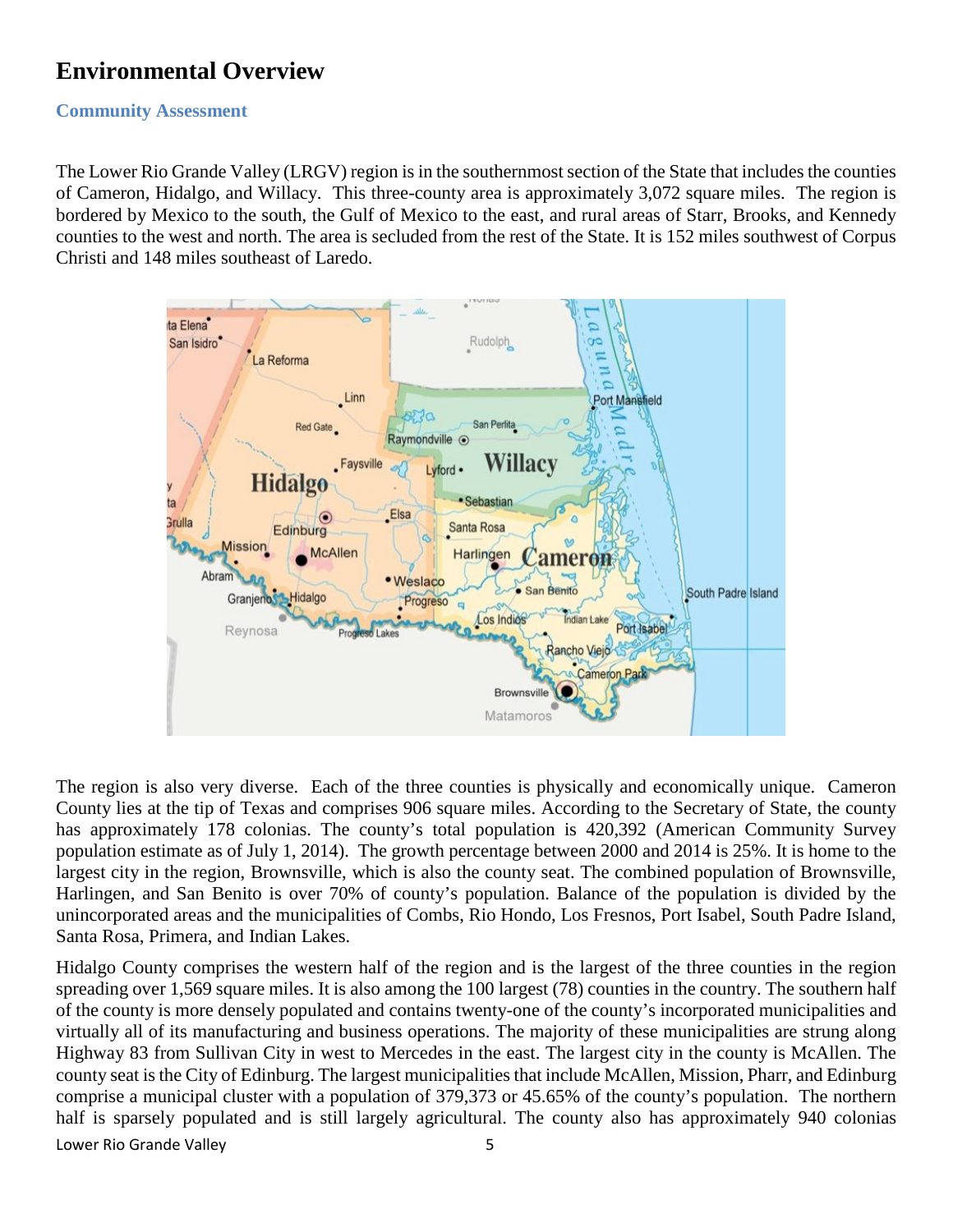# <span id="page-4-0"></span>**Environmental Overview**

## <span id="page-4-1"></span>**Community Assessment**

The Lower Rio Grande Valley (LRGV) region is in the southernmost section of the State that includes the counties of Cameron, Hidalgo, and Willacy. This three-county area is approximately 3,072 square miles. The region is bordered by Mexico to the south, the Gulf of Mexico to the east, and rural areas of Starr, Brooks, and Kennedy counties to the west and north. The area is secluded from the rest of the State. It is 152 miles southwest of Corpus Christi and 148 miles southeast of Laredo.



The region is also very diverse. Each of the three counties is physically and economically unique. Cameron County lies at the tip of Texas and comprises 906 square miles. According to the Secretary of State, the county has approximately 178 colonias. The county's total population is 420,392 (American Community Survey population estimate as of July 1, 2014). The growth percentage between 2000 and 2014 is 25%. It is home to the largest city in the region, Brownsville, which is also the county seat. The combined population of Brownsville, Harlingen, and San Benito is over 70% of county's population. Balance of the population is divided by the unincorporated areas and the municipalities of Combs, Rio Hondo, Los Fresnos, Port Isabel, South Padre Island, Santa Rosa, Primera, and Indian Lakes.

Hidalgo County comprises the western half of the region and is the largest of the three counties in the region spreading over 1,569 square miles. It is also among the 100 largest (78) counties in the country. The southern half of the county is more densely populated and contains twenty-one of the county's incorporated municipalities and virtually all of its manufacturing and business operations. The majority of these municipalities are strung along Highway 83 from Sullivan City in west to Mercedes in the east. The largest city in the county is McAllen. The county seat is the City of Edinburg. The largest municipalities that include McAllen, Mission, Pharr, and Edinburg comprise a municipal cluster with a population of 379,373 or 45.65% of the county's population. The northern half is sparsely populated and is still largely agricultural. The county also has approximately 940 colonias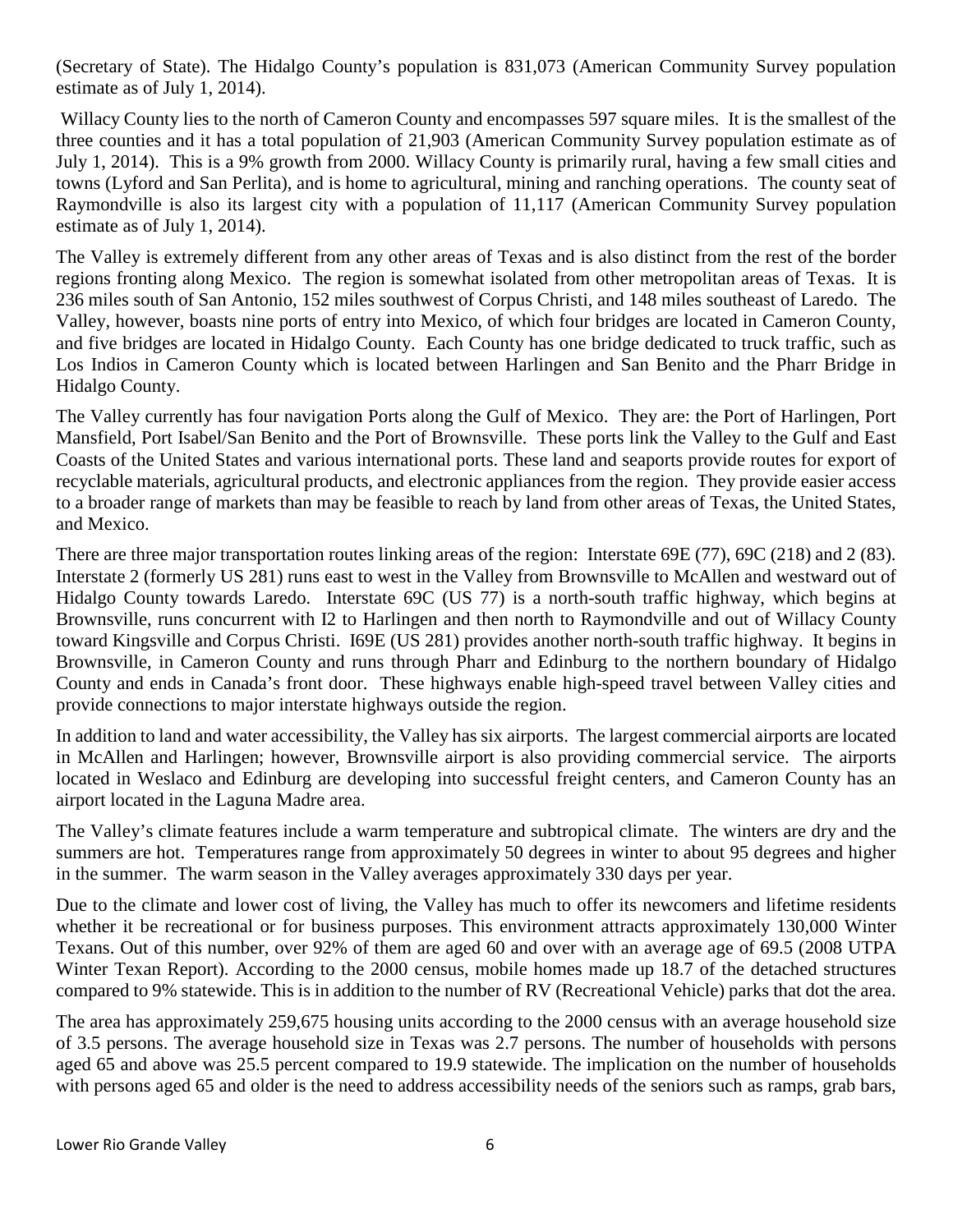(Secretary of State). The Hidalgo County's population is 831,073 (American Community Survey population estimate as of July 1, 2014).

Willacy County lies to the north of Cameron County and encompasses 597 square miles. It is the smallest of the three counties and it has a total population of 21,903 (American Community Survey population estimate as of July 1, 2014). This is a 9% growth from 2000. Willacy County is primarily rural, having a few small cities and towns (Lyford and San Perlita), and is home to agricultural, mining and ranching operations. The county seat of Raymondville is also its largest city with a population of 11,117 (American Community Survey population estimate as of July 1, 2014).

The Valley is extremely different from any other areas of Texas and is also distinct from the rest of the border regions fronting along Mexico. The region is somewhat isolated from other metropolitan areas of Texas. It is 236 miles south of San Antonio, 152 miles southwest of Corpus Christi, and 148 miles southeast of Laredo. The Valley, however, boasts nine ports of entry into Mexico, of which four bridges are located in Cameron County, and five bridges are located in Hidalgo County. Each County has one bridge dedicated to truck traffic, such as Los Indios in Cameron County which is located between Harlingen and San Benito and the Pharr Bridge in Hidalgo County.

The Valley currently has four navigation Ports along the Gulf of Mexico. They are: the Port of Harlingen, Port Mansfield, Port Isabel/San Benito and the Port of Brownsville. These ports link the Valley to the Gulf and East Coasts of the United States and various international ports. These land and seaports provide routes for export of recyclable materials, agricultural products, and electronic appliances from the region. They provide easier access to a broader range of markets than may be feasible to reach by land from other areas of Texas, the United States, and Mexico.

There are three major transportation routes linking areas of the region: Interstate 69E (77), 69C (218) and 2 (83). Interstate 2 (formerly US 281) runs east to west in the Valley from Brownsville to McAllen and westward out of Hidalgo County towards Laredo. Interstate 69C (US 77) is a north-south traffic highway, which begins at Brownsville, runs concurrent with I2 to Harlingen and then north to Raymondville and out of Willacy County toward Kingsville and Corpus Christi. I69E (US 281) provides another north-south traffic highway. It begins in Brownsville, in Cameron County and runs through Pharr and Edinburg to the northern boundary of Hidalgo County and ends in Canada's front door. These highways enable high-speed travel between Valley cities and provide connections to major interstate highways outside the region.

In addition to land and water accessibility, the Valley has six airports. The largest commercial airports are located in McAllen and Harlingen; however, Brownsville airport is also providing commercial service. The airports located in Weslaco and Edinburg are developing into successful freight centers, and Cameron County has an airport located in the Laguna Madre area.

The Valley's climate features include a warm temperature and subtropical climate. The winters are dry and the summers are hot. Temperatures range from approximately 50 degrees in winter to about 95 degrees and higher in the summer. The warm season in the Valley averages approximately 330 days per year.

Due to the climate and lower cost of living, the Valley has much to offer its newcomers and lifetime residents whether it be recreational or for business purposes. This environment attracts approximately 130,000 Winter Texans. Out of this number, over 92% of them are aged 60 and over with an average age of 69.5 (2008 UTPA Winter Texan Report). According to the 2000 census, mobile homes made up 18.7 of the detached structures compared to 9% statewide. This is in addition to the number of RV (Recreational Vehicle) parks that dot the area.

The area has approximately 259,675 housing units according to the 2000 census with an average household size of 3.5 persons. The average household size in Texas was 2.7 persons. The number of households with persons aged 65 and above was 25.5 percent compared to 19.9 statewide. The implication on the number of households with persons aged 65 and older is the need to address accessibility needs of the seniors such as ramps, grab bars,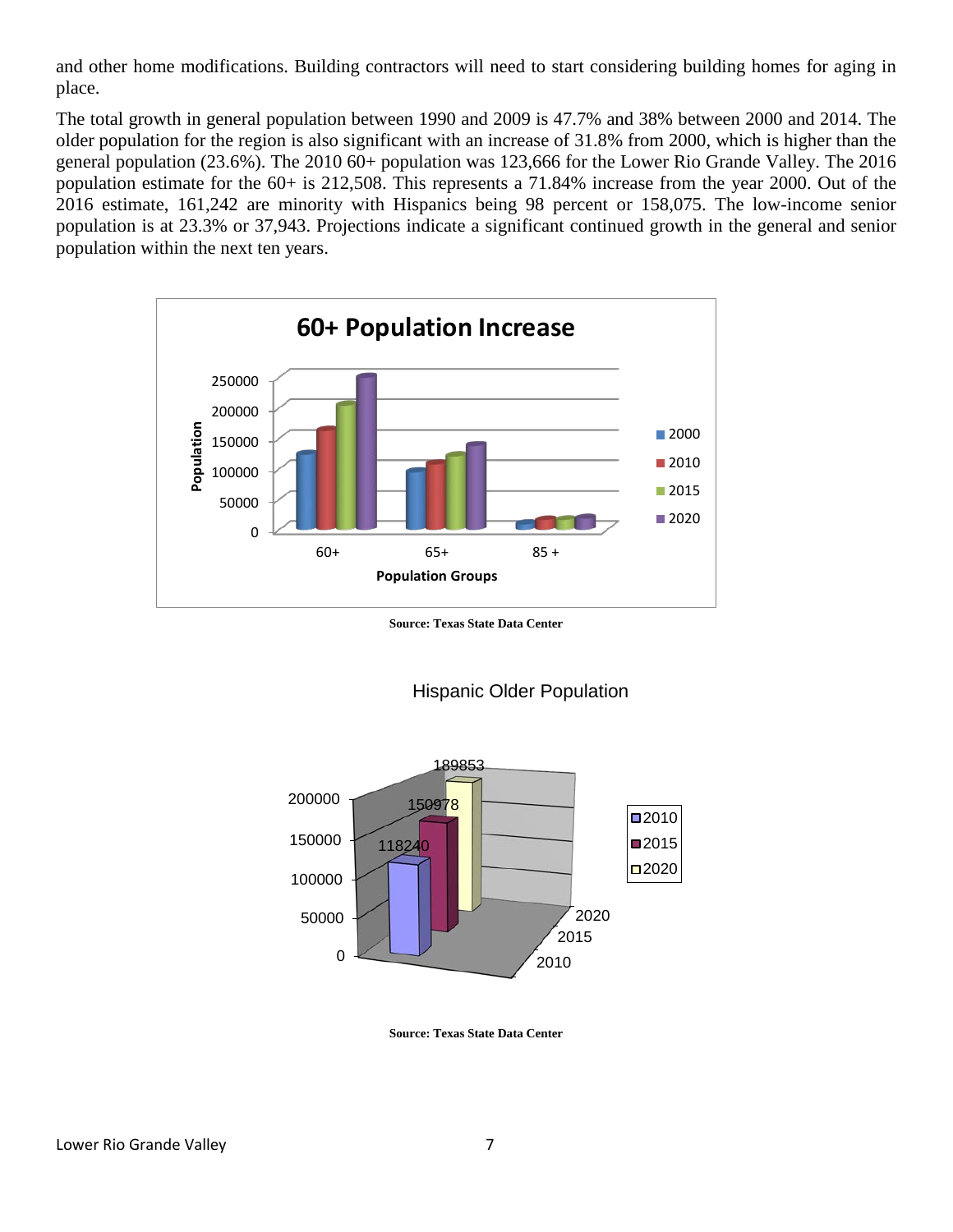and other home modifications. Building contractors will need to start considering building homes for aging in place.

The total growth in general population between 1990 and 2009 is 47.7% and 38% between 2000 and 2014. The older population for the region is also significant with an increase of 31.8% from 2000, which is higher than the general population (23.6%). The 2010 60+ population was 123,666 for the Lower Rio Grande Valley. The 2016 population estimate for the 60+ is 212,508. This represents a 71.84% increase from the year 2000. Out of the 2016 estimate, 161,242 are minority with Hispanics being 98 percent or 158,075. The low-income senior population is at 23.3% or 37,943. Projections indicate a significant continued growth in the general and senior population within the next ten years.



**Source: Texas State Data Center**





**Source: Texas State Data Center**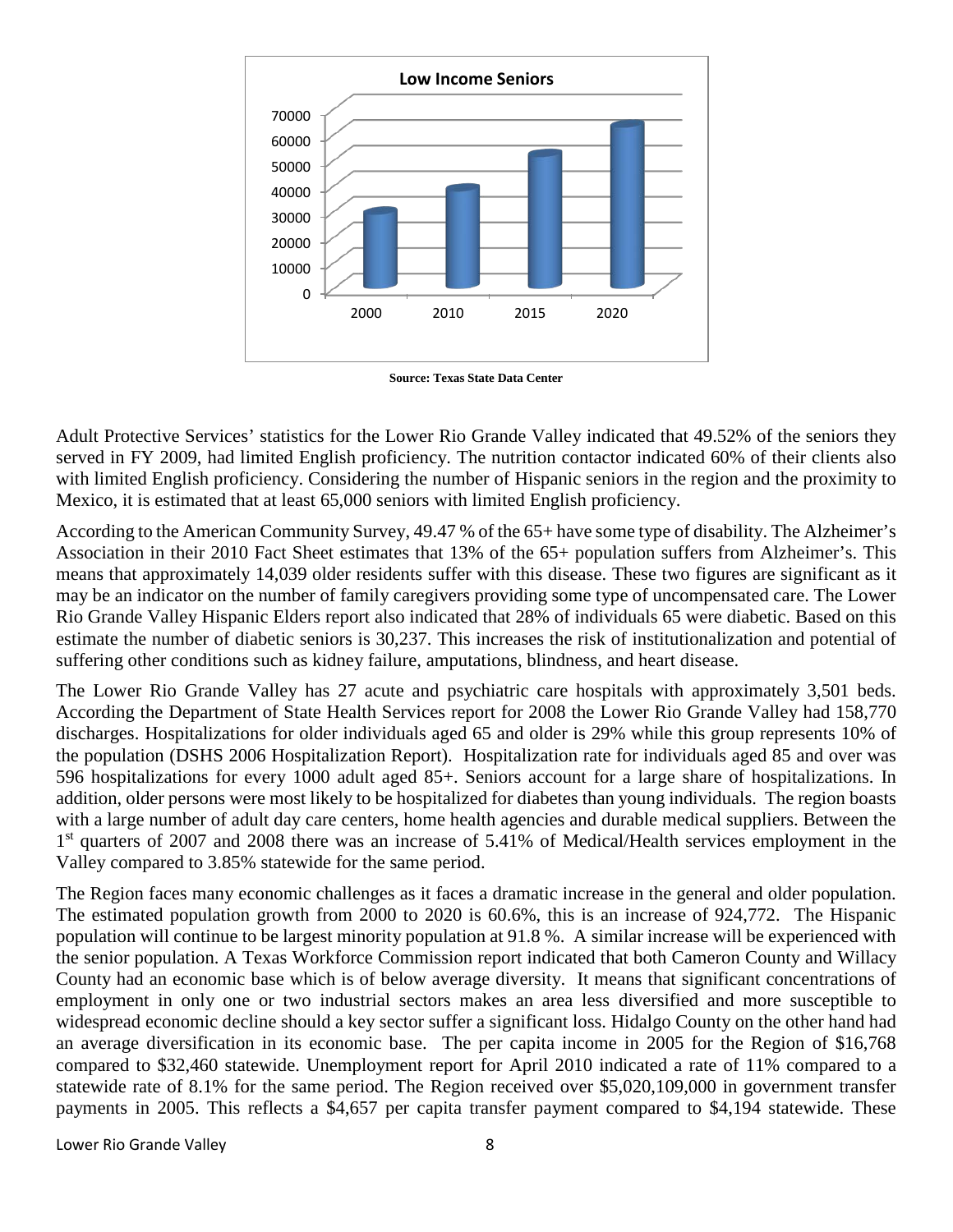

**Source: Texas State Data Center**

Adult Protective Services' statistics for the Lower Rio Grande Valley indicated that 49.52% of the seniors they served in FY 2009, had limited English proficiency. The nutrition contactor indicated 60% of their clients also with limited English proficiency. Considering the number of Hispanic seniors in the region and the proximity to Mexico, it is estimated that at least 65,000 seniors with limited English proficiency.

According to the American Community Survey, 49.47 % of the 65+ have some type of disability. The Alzheimer's Association in their 2010 Fact Sheet estimates that 13% of the 65+ population suffers from Alzheimer's. This means that approximately 14,039 older residents suffer with this disease. These two figures are significant as it may be an indicator on the number of family caregivers providing some type of uncompensated care. The Lower Rio Grande Valley Hispanic Elders report also indicated that 28% of individuals 65 were diabetic. Based on this estimate the number of diabetic seniors is 30,237. This increases the risk of institutionalization and potential of suffering other conditions such as kidney failure, amputations, blindness, and heart disease.

The Lower Rio Grande Valley has 27 acute and psychiatric care hospitals with approximately 3,501 beds. According the Department of State Health Services report for 2008 the Lower Rio Grande Valley had 158,770 discharges. Hospitalizations for older individuals aged 65 and older is 29% while this group represents 10% of the population (DSHS 2006 Hospitalization Report). Hospitalization rate for individuals aged 85 and over was 596 hospitalizations for every 1000 adult aged 85+. Seniors account for a large share of hospitalizations. In addition, older persons were most likely to be hospitalized for diabetes than young individuals. The region boasts with a large number of adult day care centers, home health agencies and durable medical suppliers. Between the 1<sup>st</sup> quarters of 2007 and 2008 there was an increase of 5.41% of Medical/Health services employment in the Valley compared to 3.85% statewide for the same period.

The Region faces many economic challenges as it faces a dramatic increase in the general and older population. The estimated population growth from 2000 to 2020 is 60.6%, this is an increase of 924,772. The Hispanic population will continue to be largest minority population at 91.8 %. A similar increase will be experienced with the senior population. A Texas Workforce Commission report indicated that both Cameron County and Willacy County had an economic base which is of below average diversity. It means that significant concentrations of employment in only one or two industrial sectors makes an area less diversified and more susceptible to widespread economic decline should a key sector suffer a significant loss. Hidalgo County on the other hand had an average diversification in its economic base. The per capita income in 2005 for the Region of \$16,768 compared to \$32,460 statewide. Unemployment report for April 2010 indicated a rate of 11% compared to a statewide rate of 8.1% for the same period. The Region received over \$5,020,109,000 in government transfer payments in 2005. This reflects a \$4,657 per capita transfer payment compared to \$4,194 statewide. These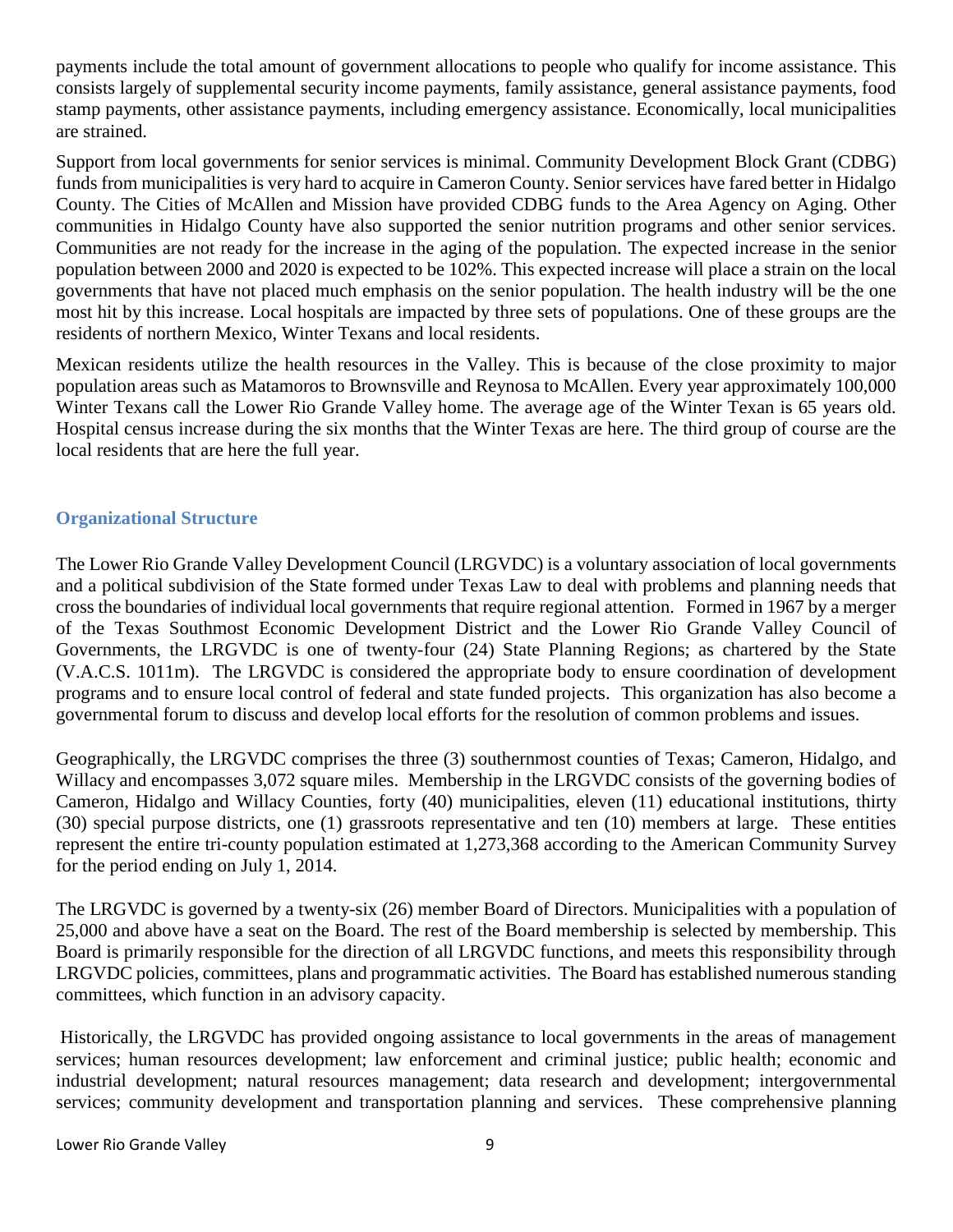payments include the total amount of government allocations to people who qualify for income assistance. This consists largely of supplemental security income payments, family assistance, general assistance payments, food stamp payments, other assistance payments, including emergency assistance. Economically, local municipalities are strained.

Support from local governments for senior services is minimal. Community Development Block Grant (CDBG) funds from municipalities is very hard to acquire in Cameron County. Senior services have fared better in Hidalgo County. The Cities of McAllen and Mission have provided CDBG funds to the Area Agency on Aging. Other communities in Hidalgo County have also supported the senior nutrition programs and other senior services. Communities are not ready for the increase in the aging of the population. The expected increase in the senior population between 2000 and 2020 is expected to be 102%. This expected increase will place a strain on the local governments that have not placed much emphasis on the senior population. The health industry will be the one most hit by this increase. Local hospitals are impacted by three sets of populations. One of these groups are the residents of northern Mexico, Winter Texans and local residents.

Mexican residents utilize the health resources in the Valley. This is because of the close proximity to major population areas such as Matamoros to Brownsville and Reynosa to McAllen. Every year approximately 100,000 Winter Texans call the Lower Rio Grande Valley home. The average age of the Winter Texan is 65 years old. Hospital census increase during the six months that the Winter Texas are here. The third group of course are the local residents that are here the full year.

## <span id="page-8-0"></span>**Organizational Structure**

The Lower Rio Grande Valley Development Council (LRGVDC) is a voluntary association of local governments and a political subdivision of the State formed under Texas Law to deal with problems and planning needs that cross the boundaries of individual local governments that require regional attention. Formed in 1967 by a merger of the Texas Southmost Economic Development District and the Lower Rio Grande Valley Council of Governments, the LRGVDC is one of twenty-four (24) State Planning Regions; as chartered by the State (V.A.C.S. 1011m). The LRGVDC is considered the appropriate body to ensure coordination of development programs and to ensure local control of federal and state funded projects. This organization has also become a governmental forum to discuss and develop local efforts for the resolution of common problems and issues.

Geographically, the LRGVDC comprises the three (3) southernmost counties of Texas; Cameron, Hidalgo, and Willacy and encompasses 3,072 square miles. Membership in the LRGVDC consists of the governing bodies of Cameron, Hidalgo and Willacy Counties, forty (40) municipalities, eleven (11) educational institutions, thirty (30) special purpose districts, one (1) grassroots representative and ten (10) members at large. These entities represent the entire tri-county population estimated at 1,273,368 according to the American Community Survey for the period ending on July 1, 2014.

The LRGVDC is governed by a twenty-six (26) member Board of Directors. Municipalities with a population of 25,000 and above have a seat on the Board. The rest of the Board membership is selected by membership. This Board is primarily responsible for the direction of all LRGVDC functions, and meets this responsibility through LRGVDC policies, committees, plans and programmatic activities. The Board has established numerous standing committees, which function in an advisory capacity.

Historically, the LRGVDC has provided ongoing assistance to local governments in the areas of management services; human resources development; law enforcement and criminal justice; public health; economic and industrial development; natural resources management; data research and development; intergovernmental services; community development and transportation planning and services. These comprehensive planning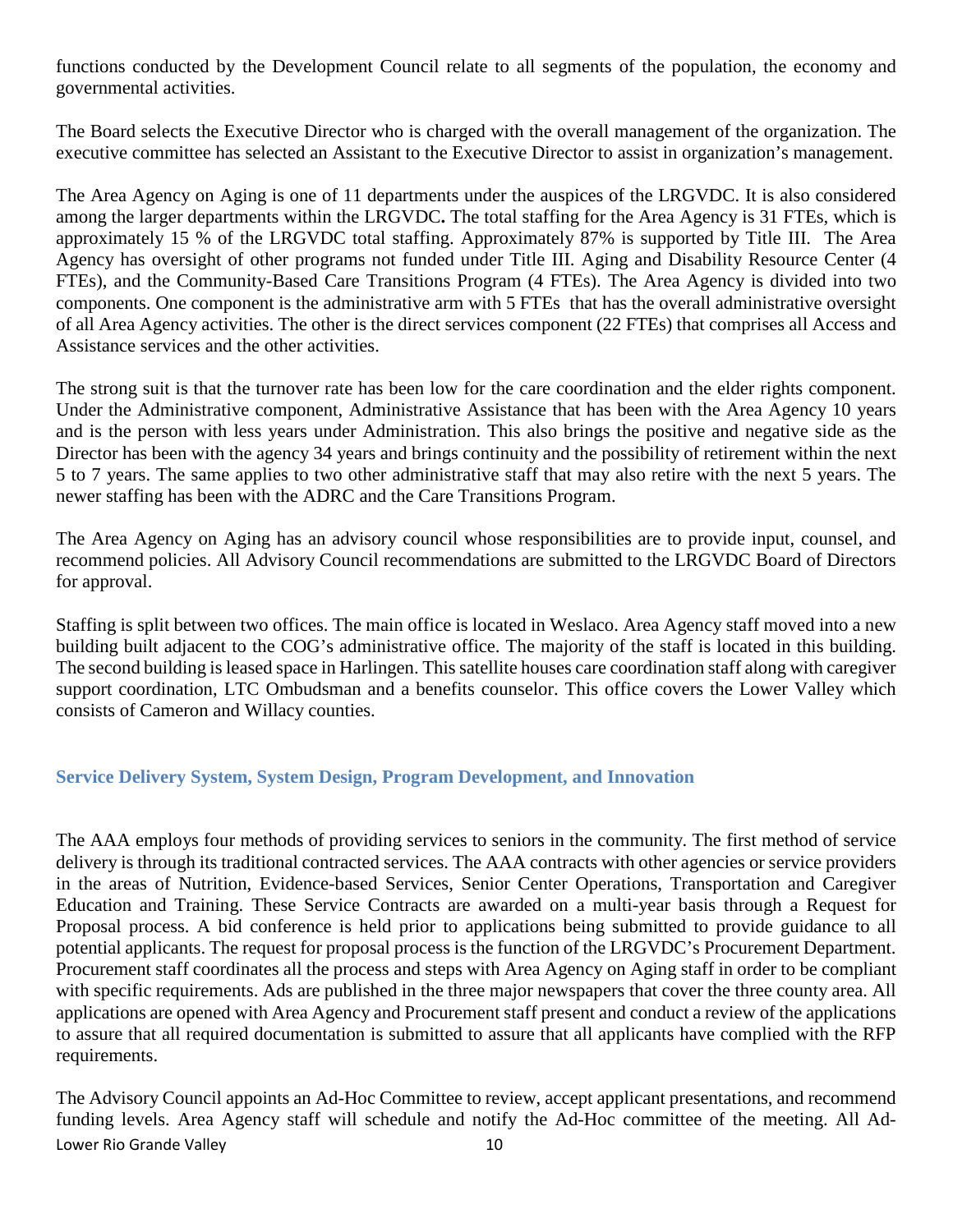functions conducted by the Development Council relate to all segments of the population, the economy and governmental activities.

The Board selects the Executive Director who is charged with the overall management of the organization. The executive committee has selected an Assistant to the Executive Director to assist in organization's management.

The Area Agency on Aging is one of 11 departments under the auspices of the LRGVDC. It is also considered among the larger departments within the LRGVDC**.** The total staffing for the Area Agency is 31 FTEs, which is approximately 15 % of the LRGVDC total staffing. Approximately 87% is supported by Title III. The Area Agency has oversight of other programs not funded under Title III. Aging and Disability Resource Center (4 FTEs), and the Community-Based Care Transitions Program (4 FTEs). The Area Agency is divided into two components. One component is the administrative arm with 5 FTEs that has the overall administrative oversight of all Area Agency activities. The other is the direct services component (22 FTEs) that comprises all Access and Assistance services and the other activities.

The strong suit is that the turnover rate has been low for the care coordination and the elder rights component. Under the Administrative component, Administrative Assistance that has been with the Area Agency 10 years and is the person with less years under Administration. This also brings the positive and negative side as the Director has been with the agency 34 years and brings continuity and the possibility of retirement within the next 5 to 7 years. The same applies to two other administrative staff that may also retire with the next 5 years. The newer staffing has been with the ADRC and the Care Transitions Program.

The Area Agency on Aging has an advisory council whose responsibilities are to provide input, counsel, and recommend policies. All Advisory Council recommendations are submitted to the LRGVDC Board of Directors for approval.

Staffing is split between two offices. The main office is located in Weslaco. Area Agency staff moved into a new building built adjacent to the COG's administrative office. The majority of the staff is located in this building. The second building is leased space in Harlingen. This satellite houses care coordination staff along with caregiver support coordination, LTC Ombudsman and a benefits counselor. This office covers the Lower Valley which consists of Cameron and Willacy counties.

## <span id="page-9-0"></span>**Service Delivery System, System Design, Program Development, and Innovation**

The AAA employs four methods of providing services to seniors in the community. The first method of service delivery is through its traditional contracted services. The AAA contracts with other agencies or service providers in the areas of Nutrition, Evidence-based Services, Senior Center Operations, Transportation and Caregiver Education and Training. These Service Contracts are awarded on a multi-year basis through a Request for Proposal process. A bid conference is held prior to applications being submitted to provide guidance to all potential applicants. The request for proposal process is the function of the LRGVDC's Procurement Department. Procurement staff coordinates all the process and steps with Area Agency on Aging staff in order to be compliant with specific requirements. Ads are published in the three major newspapers that cover the three county area. All applications are opened with Area Agency and Procurement staff present and conduct a review of the applications to assure that all required documentation is submitted to assure that all applicants have complied with the RFP requirements.

Lower Rio Grande Valley 10 The Advisory Council appoints an Ad-Hoc Committee to review, accept applicant presentations, and recommend funding levels. Area Agency staff will schedule and notify the Ad-Hoc committee of the meeting. All Ad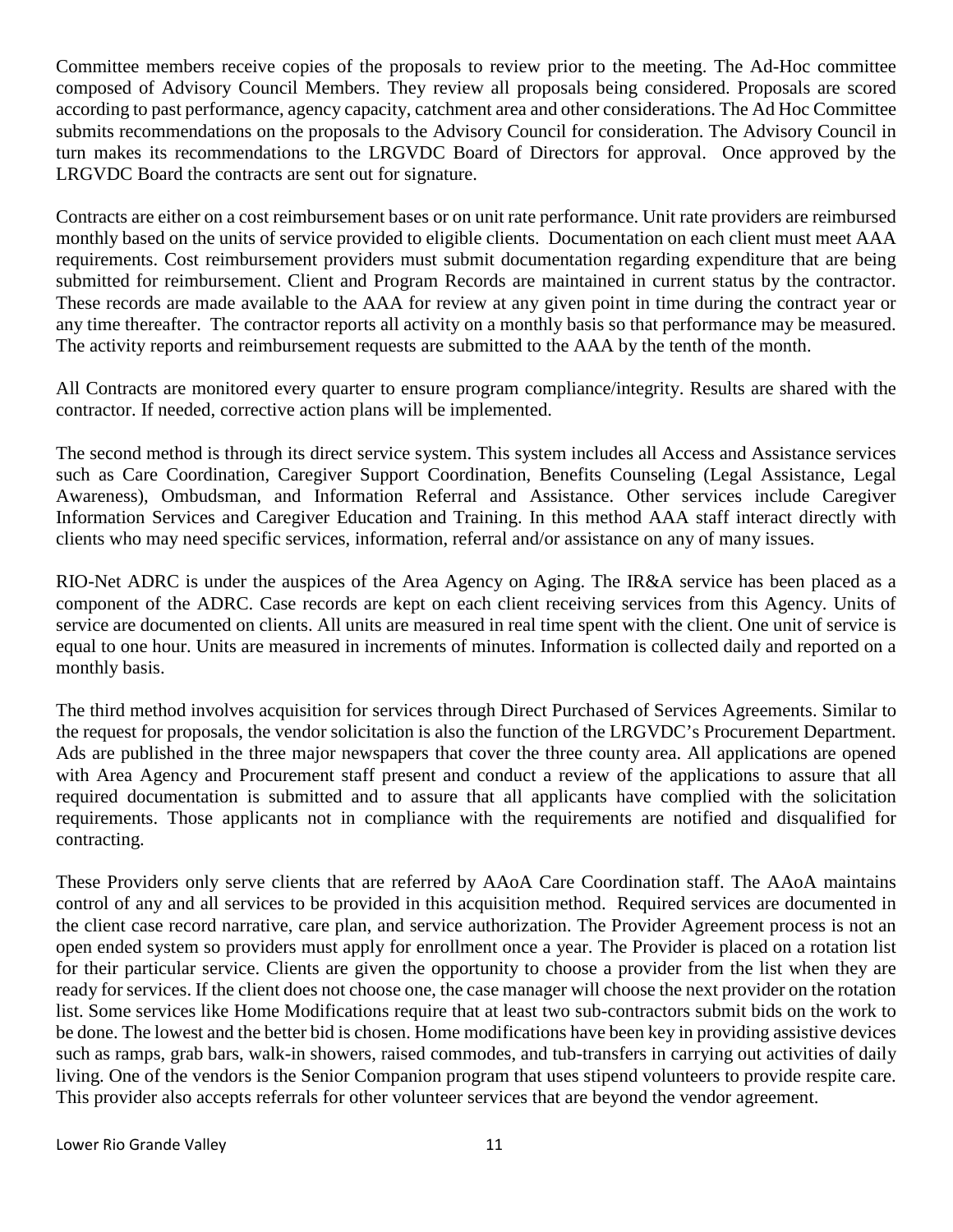Committee members receive copies of the proposals to review prior to the meeting. The Ad-Hoc committee composed of Advisory Council Members. They review all proposals being considered. Proposals are scored according to past performance, agency capacity, catchment area and other considerations. The Ad Hoc Committee submits recommendations on the proposals to the Advisory Council for consideration. The Advisory Council in turn makes its recommendations to the LRGVDC Board of Directors for approval. Once approved by the LRGVDC Board the contracts are sent out for signature.

Contracts are either on a cost reimbursement bases or on unit rate performance. Unit rate providers are reimbursed monthly based on the units of service provided to eligible clients. Documentation on each client must meet AAA requirements. Cost reimbursement providers must submit documentation regarding expenditure that are being submitted for reimbursement. Client and Program Records are maintained in current status by the contractor. These records are made available to the AAA for review at any given point in time during the contract year or any time thereafter. The contractor reports all activity on a monthly basis so that performance may be measured. The activity reports and reimbursement requests are submitted to the AAA by the tenth of the month.

All Contracts are monitored every quarter to ensure program compliance/integrity. Results are shared with the contractor. If needed, corrective action plans will be implemented.

The second method is through its direct service system. This system includes all Access and Assistance services such as Care Coordination, Caregiver Support Coordination, Benefits Counseling (Legal Assistance, Legal Awareness), Ombudsman, and Information Referral and Assistance. Other services include Caregiver Information Services and Caregiver Education and Training. In this method AAA staff interact directly with clients who may need specific services, information, referral and/or assistance on any of many issues.

RIO-Net ADRC is under the auspices of the Area Agency on Aging. The IR&A service has been placed as a component of the ADRC. Case records are kept on each client receiving services from this Agency. Units of service are documented on clients. All units are measured in real time spent with the client. One unit of service is equal to one hour. Units are measured in increments of minutes. Information is collected daily and reported on a monthly basis.

The third method involves acquisition for services through Direct Purchased of Services Agreements. Similar to the request for proposals, the vendor solicitation is also the function of the LRGVDC's Procurement Department. Ads are published in the three major newspapers that cover the three county area. All applications are opened with Area Agency and Procurement staff present and conduct a review of the applications to assure that all required documentation is submitted and to assure that all applicants have complied with the solicitation requirements. Those applicants not in compliance with the requirements are notified and disqualified for contracting.

These Providers only serve clients that are referred by AAoA Care Coordination staff. The AAoA maintains control of any and all services to be provided in this acquisition method. Required services are documented in the client case record narrative, care plan, and service authorization. The Provider Agreement process is not an open ended system so providers must apply for enrollment once a year. The Provider is placed on a rotation list for their particular service. Clients are given the opportunity to choose a provider from the list when they are ready for services. If the client does not choose one, the case manager will choose the next provider on the rotation list. Some services like Home Modifications require that at least two sub-contractors submit bids on the work to be done. The lowest and the better bid is chosen. Home modifications have been key in providing assistive devices such as ramps, grab bars, walk-in showers, raised commodes, and tub-transfers in carrying out activities of daily living. One of the vendors is the Senior Companion program that uses stipend volunteers to provide respite care. This provider also accepts referrals for other volunteer services that are beyond the vendor agreement.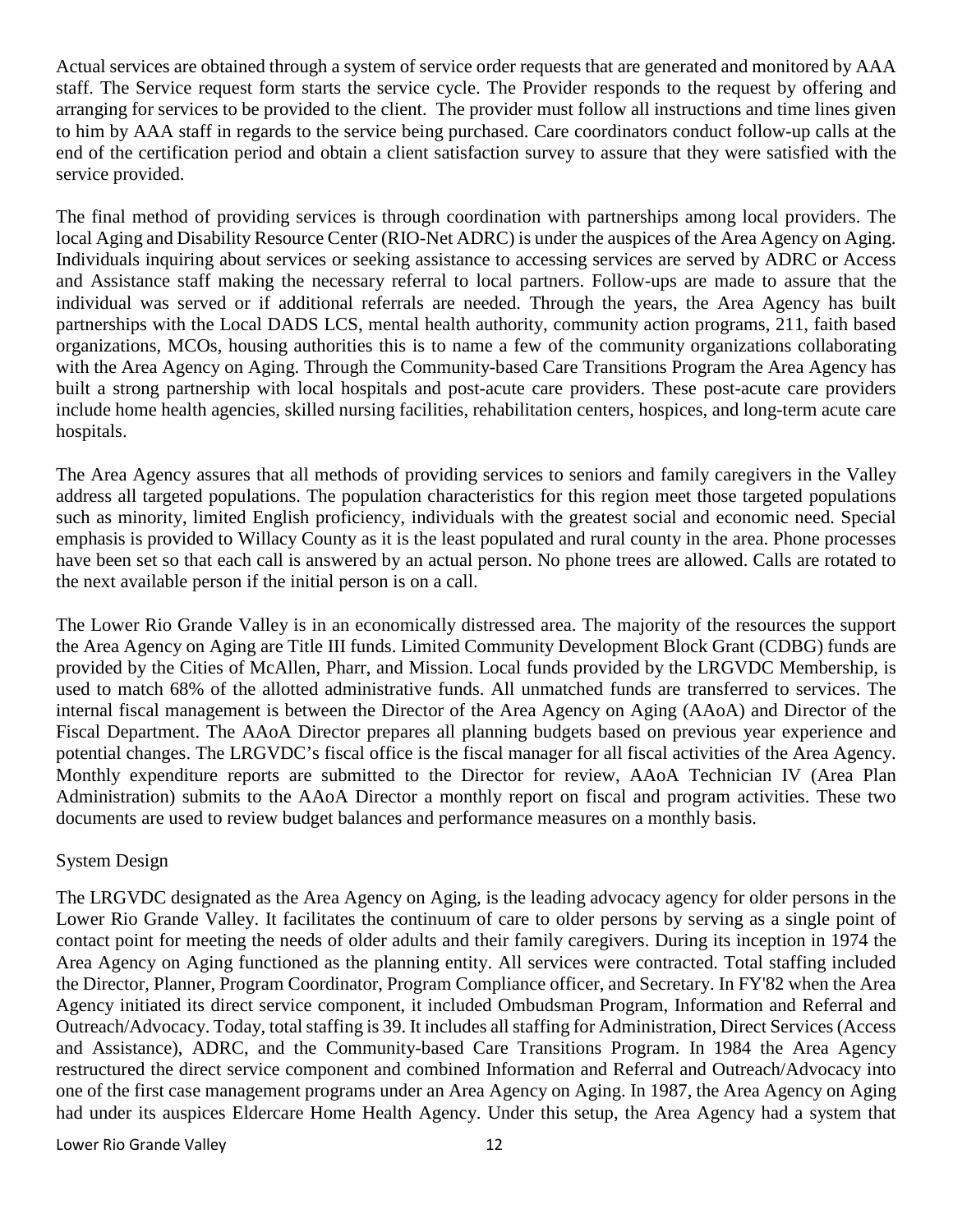Actual services are obtained through a system of service order requests that are generated and monitored by AAA staff. The Service request form starts the service cycle. The Provider responds to the request by offering and arranging for services to be provided to the client. The provider must follow all instructions and time lines given to him by AAA staff in regards to the service being purchased. Care coordinators conduct follow-up calls at the end of the certification period and obtain a client satisfaction survey to assure that they were satisfied with the service provided.

The final method of providing services is through coordination with partnerships among local providers. The local Aging and Disability Resource Center (RIO-Net ADRC) is under the auspices of the Area Agency on Aging. Individuals inquiring about services or seeking assistance to accessing services are served by ADRC or Access and Assistance staff making the necessary referral to local partners. Follow-ups are made to assure that the individual was served or if additional referrals are needed. Through the years, the Area Agency has built partnerships with the Local DADS LCS, mental health authority, community action programs, 211, faith based organizations, MCOs, housing authorities this is to name a few of the community organizations collaborating with the Area Agency on Aging. Through the Community-based Care Transitions Program the Area Agency has built a strong partnership with local hospitals and post-acute care providers. These post-acute care providers include home health agencies, skilled nursing facilities, rehabilitation centers, hospices, and long-term acute care hospitals.

The Area Agency assures that all methods of providing services to seniors and family caregivers in the Valley address all targeted populations. The population characteristics for this region meet those targeted populations such as minority, limited English proficiency, individuals with the greatest social and economic need. Special emphasis is provided to Willacy County as it is the least populated and rural county in the area. Phone processes have been set so that each call is answered by an actual person. No phone trees are allowed. Calls are rotated to the next available person if the initial person is on a call.

The Lower Rio Grande Valley is in an economically distressed area. The majority of the resources the support the Area Agency on Aging are Title III funds. Limited Community Development Block Grant (CDBG) funds are provided by the Cities of McAllen, Pharr, and Mission. Local funds provided by the LRGVDC Membership, is used to match 68% of the allotted administrative funds. All unmatched funds are transferred to services. The internal fiscal management is between the Director of the Area Agency on Aging (AAoA) and Director of the Fiscal Department. The AAoA Director prepares all planning budgets based on previous year experience and potential changes. The LRGVDC's fiscal office is the fiscal manager for all fiscal activities of the Area Agency. Monthly expenditure reports are submitted to the Director for review, AAoA Technician IV (Area Plan Administration) submits to the AAoA Director a monthly report on fiscal and program activities. These two documents are used to review budget balances and performance measures on a monthly basis.

## System Design

The LRGVDC designated as the Area Agency on Aging, is the leading advocacy agency for older persons in the Lower Rio Grande Valley. It facilitates the continuum of care to older persons by serving as a single point of contact point for meeting the needs of older adults and their family caregivers. During its inception in 1974 the Area Agency on Aging functioned as the planning entity. All services were contracted. Total staffing included the Director, Planner, Program Coordinator, Program Compliance officer, and Secretary. In FY'82 when the Area Agency initiated its direct service component, it included Ombudsman Program, Information and Referral and Outreach/Advocacy. Today, total staffing is 39. It includes all staffing for Administration, Direct Services (Access and Assistance), ADRC, and the Community-based Care Transitions Program. In 1984 the Area Agency restructured the direct service component and combined Information and Referral and Outreach/Advocacy into one of the first case management programs under an Area Agency on Aging. In 1987, the Area Agency on Aging had under its auspices Eldercare Home Health Agency. Under this setup, the Area Agency had a system that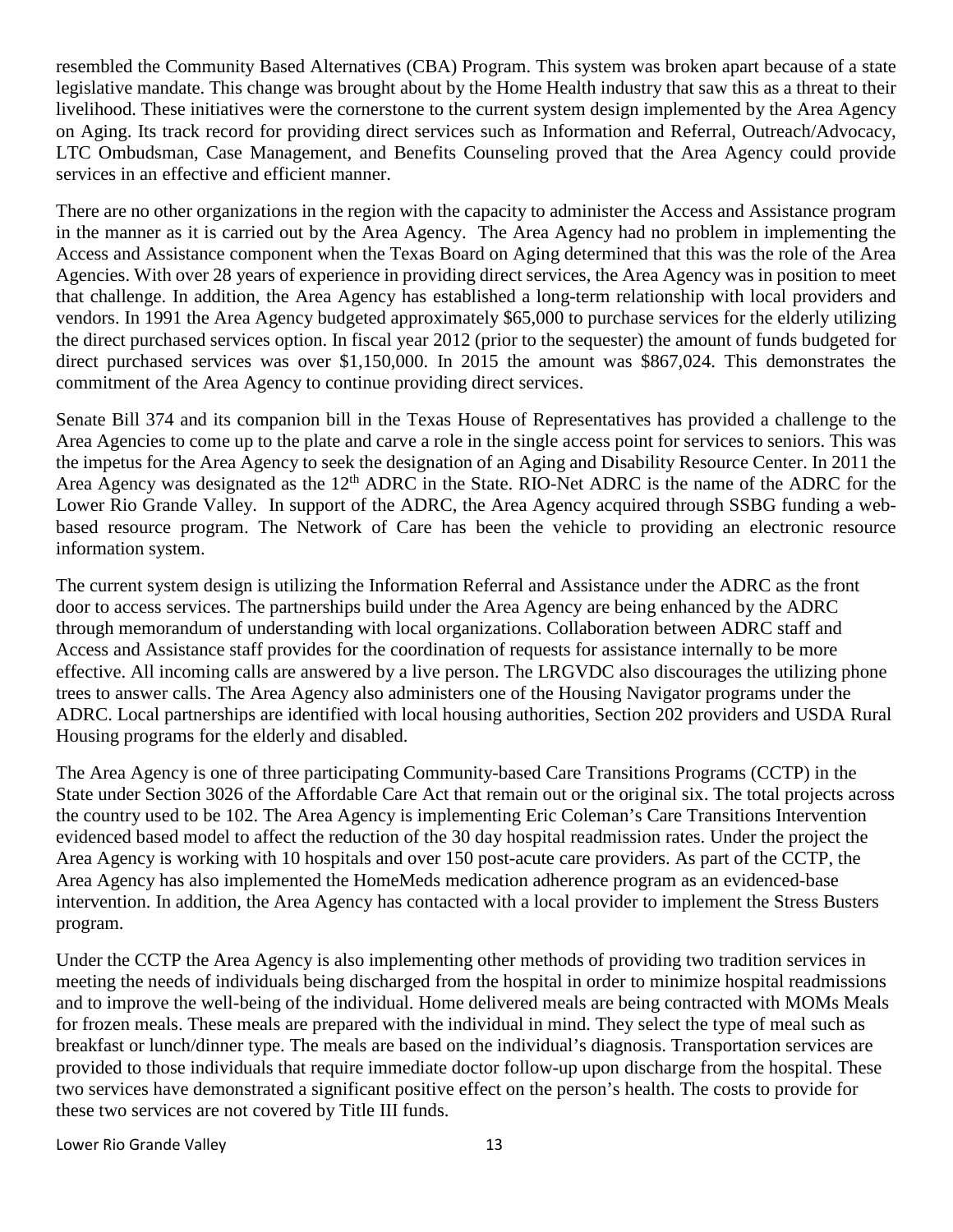resembled the Community Based Alternatives (CBA) Program. This system was broken apart because of a state legislative mandate. This change was brought about by the Home Health industry that saw this as a threat to their livelihood. These initiatives were the cornerstone to the current system design implemented by the Area Agency on Aging. Its track record for providing direct services such as Information and Referral, Outreach/Advocacy, LTC Ombudsman, Case Management, and Benefits Counseling proved that the Area Agency could provide services in an effective and efficient manner.

There are no other organizations in the region with the capacity to administer the Access and Assistance program in the manner as it is carried out by the Area Agency. The Area Agency had no problem in implementing the Access and Assistance component when the Texas Board on Aging determined that this was the role of the Area Agencies. With over 28 years of experience in providing direct services, the Area Agency was in position to meet that challenge. In addition, the Area Agency has established a long-term relationship with local providers and vendors. In 1991 the Area Agency budgeted approximately \$65,000 to purchase services for the elderly utilizing the direct purchased services option. In fiscal year 2012 (prior to the sequester) the amount of funds budgeted for direct purchased services was over \$1,150,000. In 2015 the amount was \$867,024. This demonstrates the commitment of the Area Agency to continue providing direct services.

Senate Bill 374 and its companion bill in the Texas House of Representatives has provided a challenge to the Area Agencies to come up to the plate and carve a role in the single access point for services to seniors. This was the impetus for the Area Agency to seek the designation of an Aging and Disability Resource Center. In 2011 the Area Agency was designated as the 12<sup>th</sup> ADRC in the State. RIO-Net ADRC is the name of the ADRC for the Lower Rio Grande Valley. In support of the ADRC, the Area Agency acquired through SSBG funding a webbased resource program. The Network of Care has been the vehicle to providing an electronic resource information system.

The current system design is utilizing the Information Referral and Assistance under the ADRC as the front door to access services. The partnerships build under the Area Agency are being enhanced by the ADRC through memorandum of understanding with local organizations. Collaboration between ADRC staff and Access and Assistance staff provides for the coordination of requests for assistance internally to be more effective. All incoming calls are answered by a live person. The LRGVDC also discourages the utilizing phone trees to answer calls. The Area Agency also administers one of the Housing Navigator programs under the ADRC. Local partnerships are identified with local housing authorities, Section 202 providers and USDA Rural Housing programs for the elderly and disabled.

The Area Agency is one of three participating Community-based Care Transitions Programs (CCTP) in the State under Section 3026 of the Affordable Care Act that remain out or the original six. The total projects across the country used to be 102. The Area Agency is implementing Eric Coleman's Care Transitions Intervention evidenced based model to affect the reduction of the 30 day hospital readmission rates. Under the project the Area Agency is working with 10 hospitals and over 150 post-acute care providers. As part of the CCTP, the Area Agency has also implemented the HomeMeds medication adherence program as an evidenced-base intervention. In addition, the Area Agency has contacted with a local provider to implement the Stress Busters program.

Under the CCTP the Area Agency is also implementing other methods of providing two tradition services in meeting the needs of individuals being discharged from the hospital in order to minimize hospital readmissions and to improve the well-being of the individual. Home delivered meals are being contracted with MOMs Meals for frozen meals. These meals are prepared with the individual in mind. They select the type of meal such as breakfast or lunch/dinner type. The meals are based on the individual's diagnosis. Transportation services are provided to those individuals that require immediate doctor follow-up upon discharge from the hospital. These two services have demonstrated a significant positive effect on the person's health. The costs to provide for these two services are not covered by Title III funds.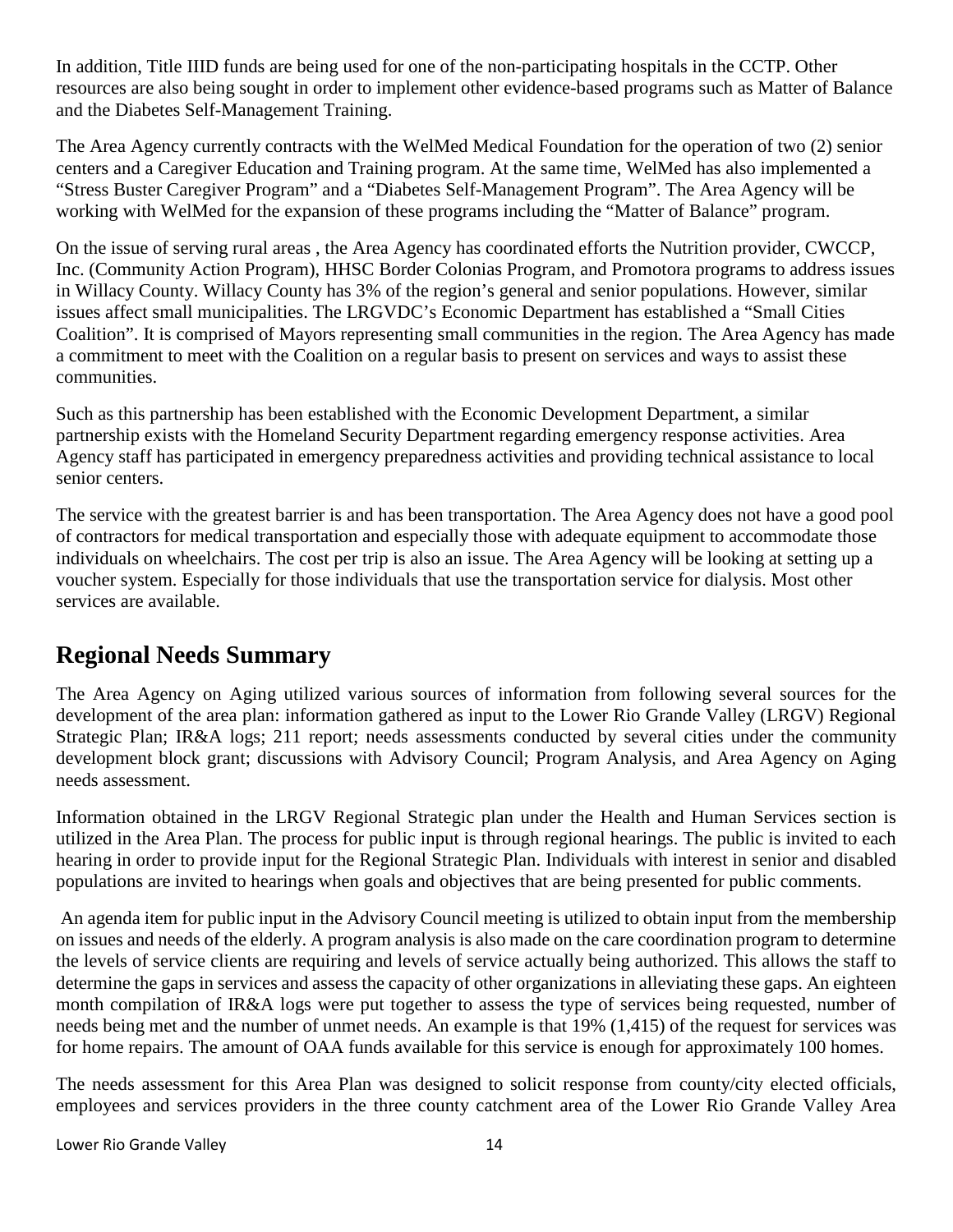In addition, Title IIID funds are being used for one of the non-participating hospitals in the CCTP. Other resources are also being sought in order to implement other evidence-based programs such as Matter of Balance and the Diabetes Self-Management Training.

The Area Agency currently contracts with the WelMed Medical Foundation for the operation of two (2) senior centers and a Caregiver Education and Training program. At the same time, WelMed has also implemented a "Stress Buster Caregiver Program" and a "Diabetes Self-Management Program". The Area Agency will be working with WelMed for the expansion of these programs including the "Matter of Balance" program.

On the issue of serving rural areas , the Area Agency has coordinated efforts the Nutrition provider, CWCCP, Inc. (Community Action Program), HHSC Border Colonias Program, and Promotora programs to address issues in Willacy County. Willacy County has 3% of the region's general and senior populations. However, similar issues affect small municipalities. The LRGVDC's Economic Department has established a "Small Cities Coalition". It is comprised of Mayors representing small communities in the region. The Area Agency has made a commitment to meet with the Coalition on a regular basis to present on services and ways to assist these communities.

Such as this partnership has been established with the Economic Development Department, a similar partnership exists with the Homeland Security Department regarding emergency response activities. Area Agency staff has participated in emergency preparedness activities and providing technical assistance to local senior centers.

The service with the greatest barrier is and has been transportation. The Area Agency does not have a good pool of contractors for medical transportation and especially those with adequate equipment to accommodate those individuals on wheelchairs. The cost per trip is also an issue. The Area Agency will be looking at setting up a voucher system. Especially for those individuals that use the transportation service for dialysis. Most other services are available.

# <span id="page-13-0"></span>**Regional Needs Summary**

The Area Agency on Aging utilized various sources of information from following several sources for the development of the area plan: information gathered as input to the Lower Rio Grande Valley (LRGV) Regional Strategic Plan; IR&A logs; 211 report; needs assessments conducted by several cities under the community development block grant; discussions with Advisory Council; Program Analysis, and Area Agency on Aging needs assessment.

Information obtained in the LRGV Regional Strategic plan under the Health and Human Services section is utilized in the Area Plan. The process for public input is through regional hearings. The public is invited to each hearing in order to provide input for the Regional Strategic Plan. Individuals with interest in senior and disabled populations are invited to hearings when goals and objectives that are being presented for public comments.

An agenda item for public input in the Advisory Council meeting is utilized to obtain input from the membership on issues and needs of the elderly. A program analysis is also made on the care coordination program to determine the levels of service clients are requiring and levels of service actually being authorized. This allows the staff to determine the gaps in services and assess the capacity of other organizations in alleviating these gaps. An eighteen month compilation of IR&A logs were put together to assess the type of services being requested, number of needs being met and the number of unmet needs. An example is that 19% (1,415) of the request for services was for home repairs. The amount of OAA funds available for this service is enough for approximately 100 homes.

The needs assessment for this Area Plan was designed to solicit response from county/city elected officials, employees and services providers in the three county catchment area of the Lower Rio Grande Valley Area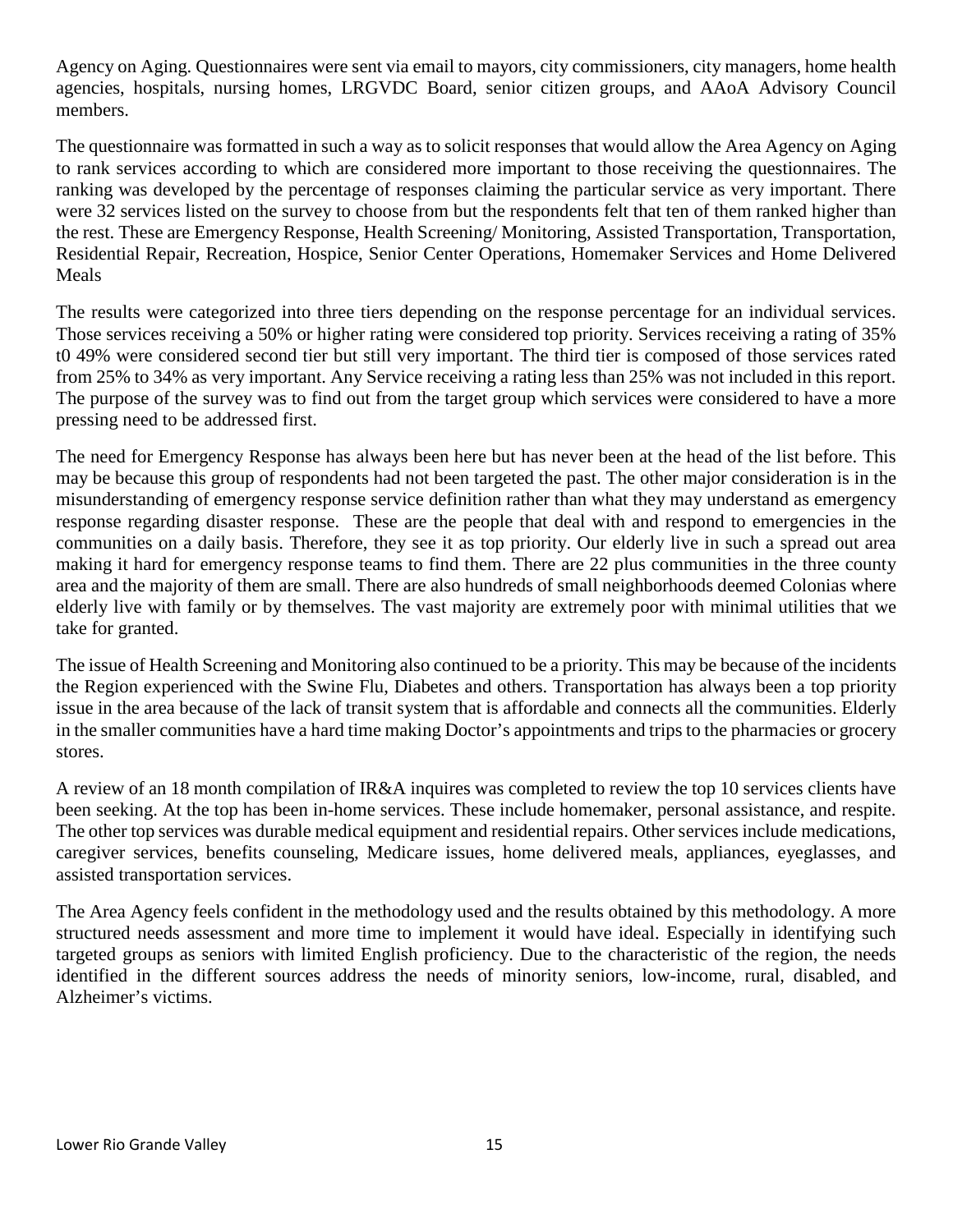Agency on Aging. Questionnaires were sent via email to mayors, city commissioners, city managers, home health agencies, hospitals, nursing homes, LRGVDC Board, senior citizen groups, and AAoA Advisory Council members.

The questionnaire was formatted in such a way as to solicit responses that would allow the Area Agency on Aging to rank services according to which are considered more important to those receiving the questionnaires. The ranking was developed by the percentage of responses claiming the particular service as very important. There were 32 services listed on the survey to choose from but the respondents felt that ten of them ranked higher than the rest. These are Emergency Response, Health Screening/ Monitoring, Assisted Transportation, Transportation, Residential Repair, Recreation, Hospice, Senior Center Operations, Homemaker Services and Home Delivered Meals

The results were categorized into three tiers depending on the response percentage for an individual services. Those services receiving a 50% or higher rating were considered top priority. Services receiving a rating of 35% t0 49% were considered second tier but still very important. The third tier is composed of those services rated from 25% to 34% as very important. Any Service receiving a rating less than 25% was not included in this report. The purpose of the survey was to find out from the target group which services were considered to have a more pressing need to be addressed first.

The need for Emergency Response has always been here but has never been at the head of the list before. This may be because this group of respondents had not been targeted the past. The other major consideration is in the misunderstanding of emergency response service definition rather than what they may understand as emergency response regarding disaster response. These are the people that deal with and respond to emergencies in the communities on a daily basis. Therefore, they see it as top priority. Our elderly live in such a spread out area making it hard for emergency response teams to find them. There are 22 plus communities in the three county area and the majority of them are small. There are also hundreds of small neighborhoods deemed Colonias where elderly live with family or by themselves. The vast majority are extremely poor with minimal utilities that we take for granted.

The issue of Health Screening and Monitoring also continued to be a priority. This may be because of the incidents the Region experienced with the Swine Flu, Diabetes and others. Transportation has always been a top priority issue in the area because of the lack of transit system that is affordable and connects all the communities. Elderly in the smaller communities have a hard time making Doctor's appointments and trips to the pharmacies or grocery stores.

A review of an 18 month compilation of IR&A inquires was completed to review the top 10 services clients have been seeking. At the top has been in-home services. These include homemaker, personal assistance, and respite. The other top services was durable medical equipment and residential repairs. Other services include medications, caregiver services, benefits counseling, Medicare issues, home delivered meals, appliances, eyeglasses, and assisted transportation services.

The Area Agency feels confident in the methodology used and the results obtained by this methodology. A more structured needs assessment and more time to implement it would have ideal. Especially in identifying such targeted groups as seniors with limited English proficiency. Due to the characteristic of the region, the needs identified in the different sources address the needs of minority seniors, low-income, rural, disabled, and Alzheimer's victims.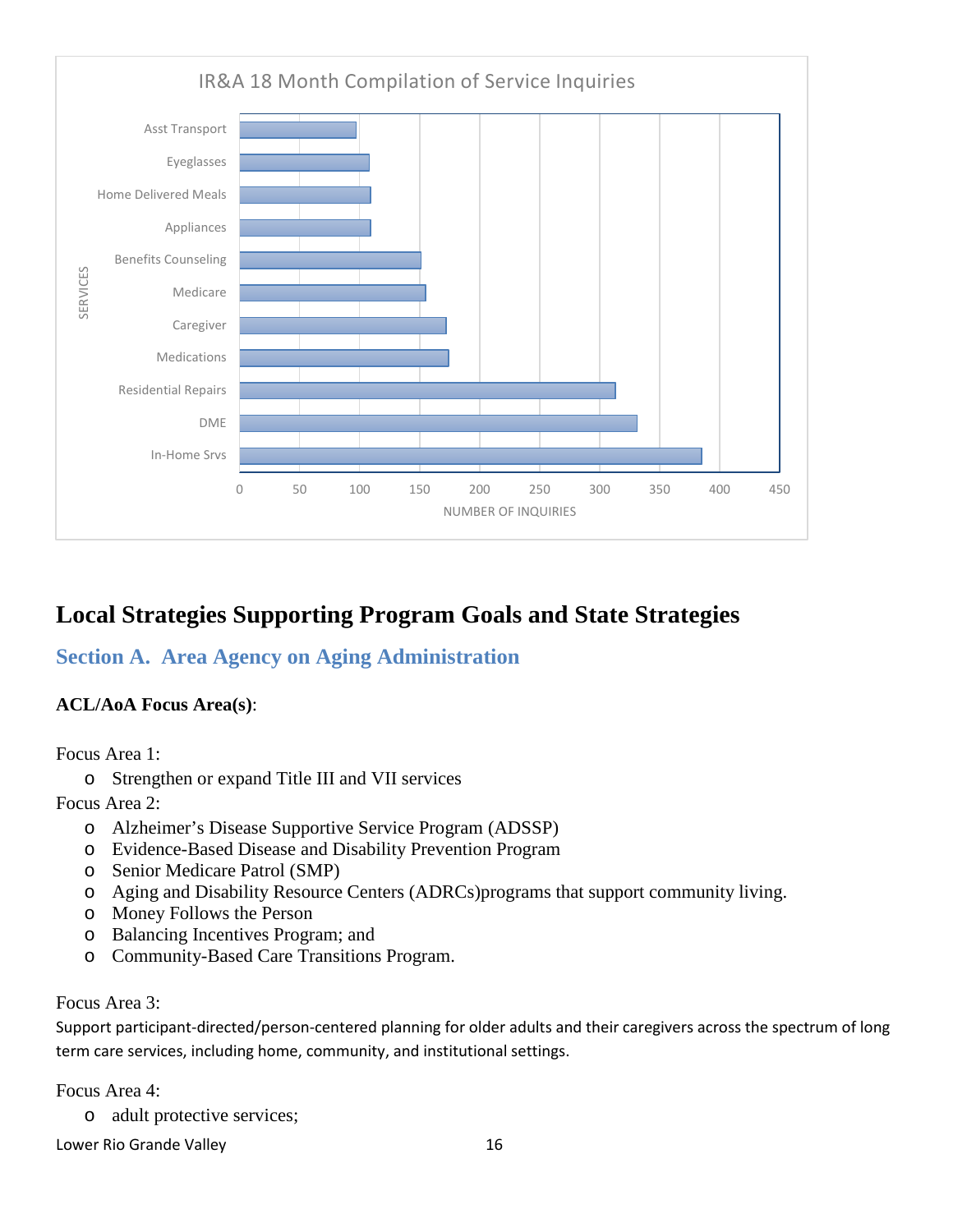

# **Local Strategies Supporting Program Goals and State Strategies**

## **Section A. Area Agency on Aging Administration**

## **ACL/AoA Focus Area(s)**:

Focus Area 1:

o Strengthen or expand Title III and VII services

Focus Area 2:

- o Alzheimer's Disease Supportive Service Program (ADSSP)
- o Evidence-Based Disease and Disability Prevention Program
- o Senior Medicare Patrol (SMP)
- o Aging and Disability Resource Centers (ADRCs)programs that support community living.
- o Money Follows the Person
- o Balancing Incentives Program; and
- o Community-Based Care Transitions Program.

## Focus Area 3:

Support participant-directed/person-centered planning for older adults and their caregivers across the spectrum of long term care services, including home, community, and institutional settings.

Focus Area 4:

o adult protective services;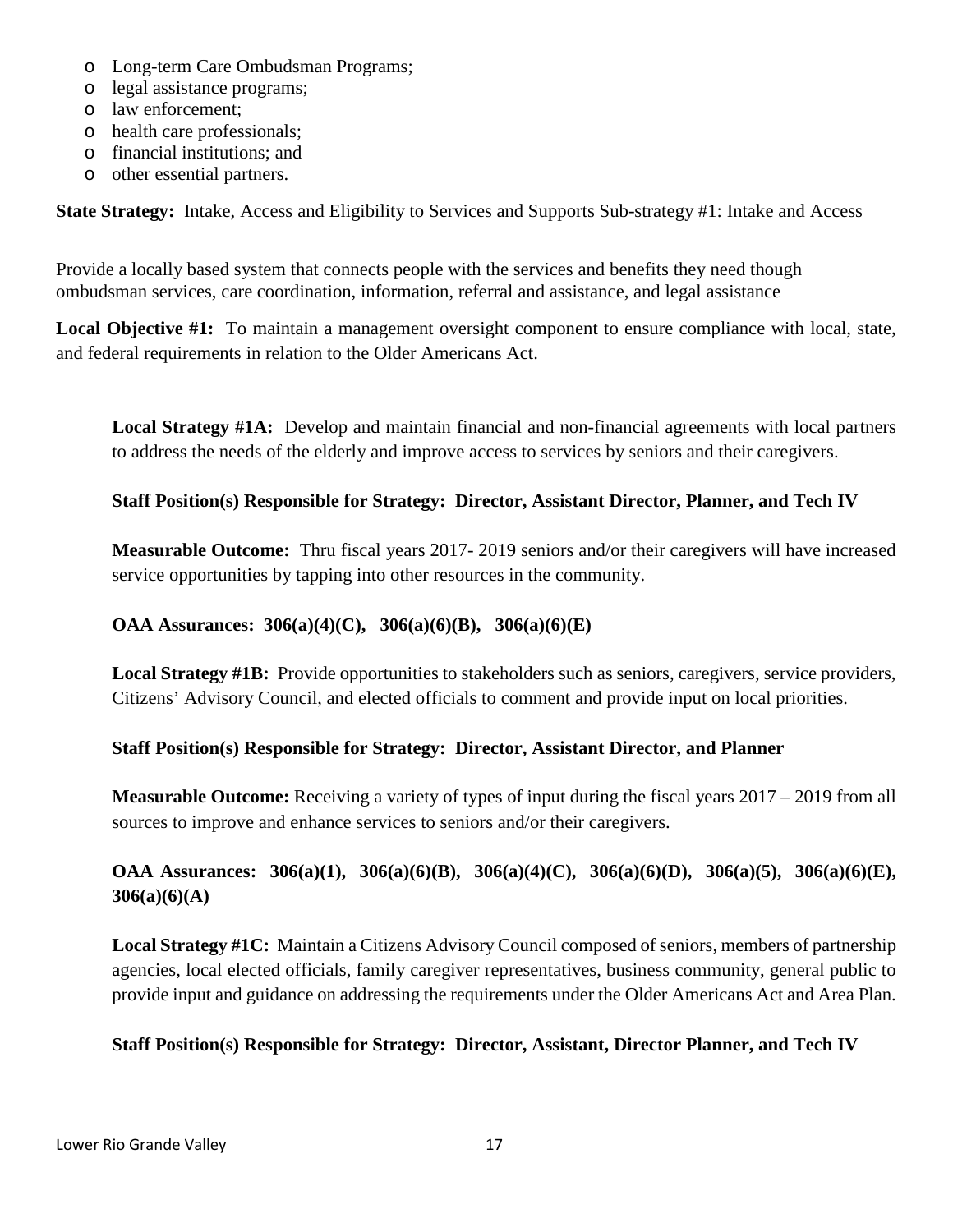- o Long-term Care Ombudsman Programs;
- o legal assistance programs;
- o law enforcement;
- o health care professionals;
- o financial institutions; and
- o other essential partners.

**State Strategy:** Intake, Access and Eligibility to Services and Supports Sub-strategy #1: Intake and Access

Provide a locally based system that connects people with the services and benefits they need though ombudsman services, care coordination, information, referral and assistance, and legal assistance

**Local Objective #1:** To maintain a management oversight component to ensure compliance with local, state, and federal requirements in relation to the Older Americans Act.

**Local Strategy #1A:** Develop and maintain financial and non-financial agreements with local partners to address the needs of the elderly and improve access to services by seniors and their caregivers.

## **Staff Position(s) Responsible for Strategy: Director, Assistant Director, Planner, and Tech IV**

**Measurable Outcome:** Thru fiscal years 2017- 2019 seniors and/or their caregivers will have increased service opportunities by tapping into other resources in the community.

## **OAA Assurances: 306(a)(4)(C), 306(a)(6)(B), 306(a)(6)(E)**

**Local Strategy #1B:** Provide opportunities to stakeholders such as seniors, caregivers, service providers, Citizens' Advisory Council, and elected officials to comment and provide input on local priorities.

## **Staff Position(s) Responsible for Strategy: Director, Assistant Director, and Planner**

**Measurable Outcome:** Receiving a variety of types of input during the fiscal years 2017 – 2019 from all sources to improve and enhance services to seniors and/or their caregivers.

## **OAA Assurances: 306(a)(1), 306(a)(6)(B), 306(a)(4)(C), 306(a)(6)(D), 306(a)(5), 306(a)(6)(E), 306(a)(6)(A)**

**Local Strategy #1C:** Maintain a Citizens Advisory Council composed of seniors, members of partnership agencies, local elected officials, family caregiver representatives, business community, general public to provide input and guidance on addressing the requirements under the Older Americans Act and Area Plan.

## **Staff Position(s) Responsible for Strategy: Director, Assistant, Director Planner, and Tech IV**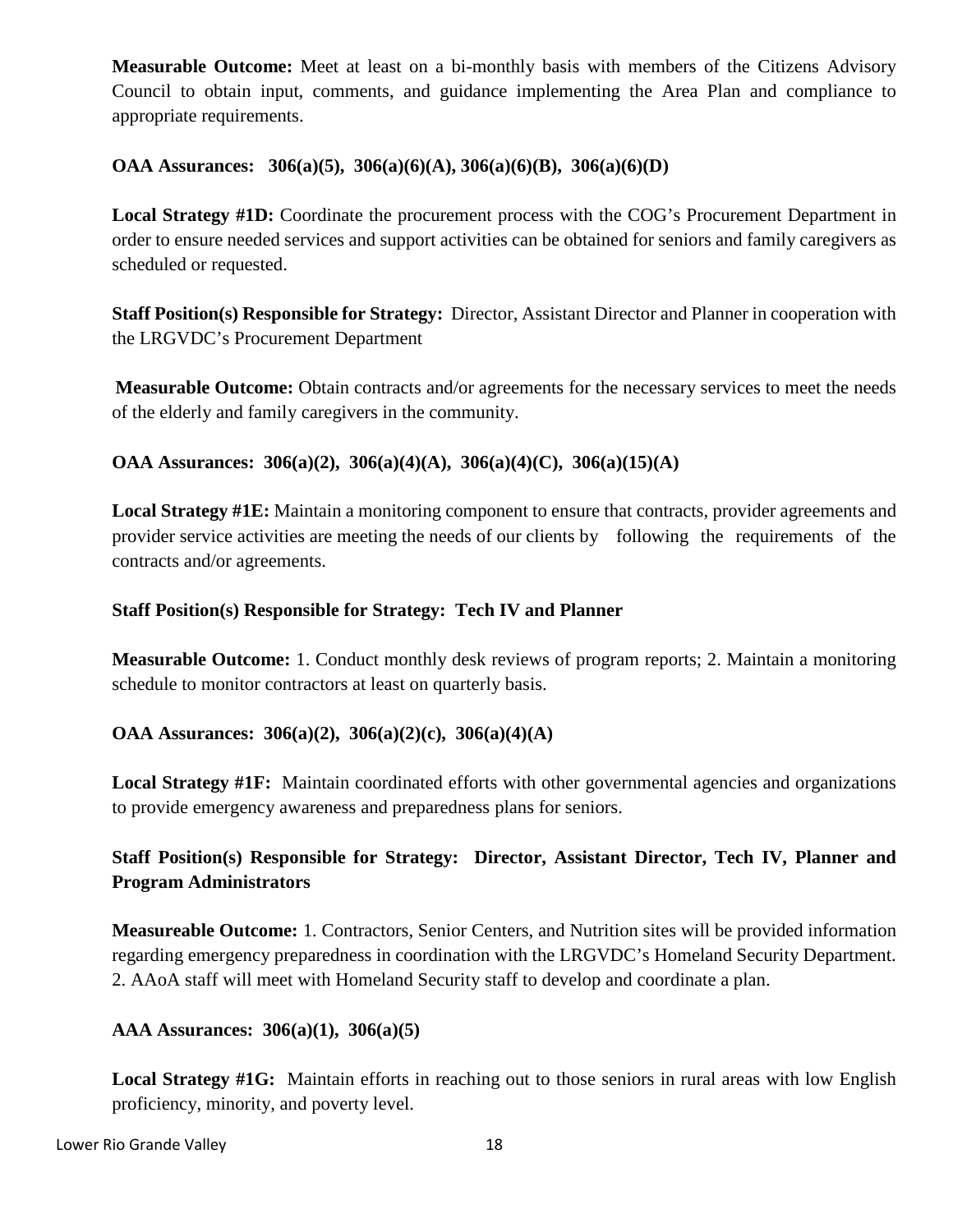**Measurable Outcome:** Meet at least on a bi-monthly basis with members of the Citizens Advisory Council to obtain input, comments, and guidance implementing the Area Plan and compliance to appropriate requirements.

## **OAA Assurances: 306(a)(5), 306(a)(6)(A), 306(a)(6)(B), 306(a)(6)(D)**

**Local Strategy #1D:** Coordinate the procurement process with the COG's Procurement Department in order to ensure needed services and support activities can be obtained for seniors and family caregivers as scheduled or requested.

**Staff Position(s) Responsible for Strategy:** Director, Assistant Director and Planner in cooperation with the LRGVDC's Procurement Department

**Measurable Outcome:** Obtain contracts and/or agreements for the necessary services to meet the needs of the elderly and family caregivers in the community.

**OAA Assurances: 306(a)(2), 306(a)(4)(A), 306(a)(4)(C), 306(a)(15)(A)**

**Local Strategy #1E:** Maintain a monitoring component to ensure that contracts, provider agreements and provider service activities are meeting the needs of our clients by following the requirements of the contracts and/or agreements.

## **Staff Position(s) Responsible for Strategy: Tech IV and Planner**

**Measurable Outcome:** 1. Conduct monthly desk reviews of program reports; 2. Maintain a monitoring schedule to monitor contractors at least on quarterly basis.

## **OAA Assurances: 306(a)(2), 306(a)(2)(c), 306(a)(4)(A)**

**Local Strategy #1F:** Maintain coordinated efforts with other governmental agencies and organizations to provide emergency awareness and preparedness plans for seniors.

## **Staff Position(s) Responsible for Strategy: Director, Assistant Director, Tech IV, Planner and Program Administrators**

**Measureable Outcome:** 1. Contractors, Senior Centers, and Nutrition sites will be provided information regarding emergency preparedness in coordination with the LRGVDC's Homeland Security Department. 2. AAoA staff will meet with Homeland Security staff to develop and coordinate a plan.

## **AAA Assurances: 306(a)(1), 306(a)(5)**

**Local Strategy #1G:** Maintain efforts in reaching out to those seniors in rural areas with low English proficiency, minority, and poverty level.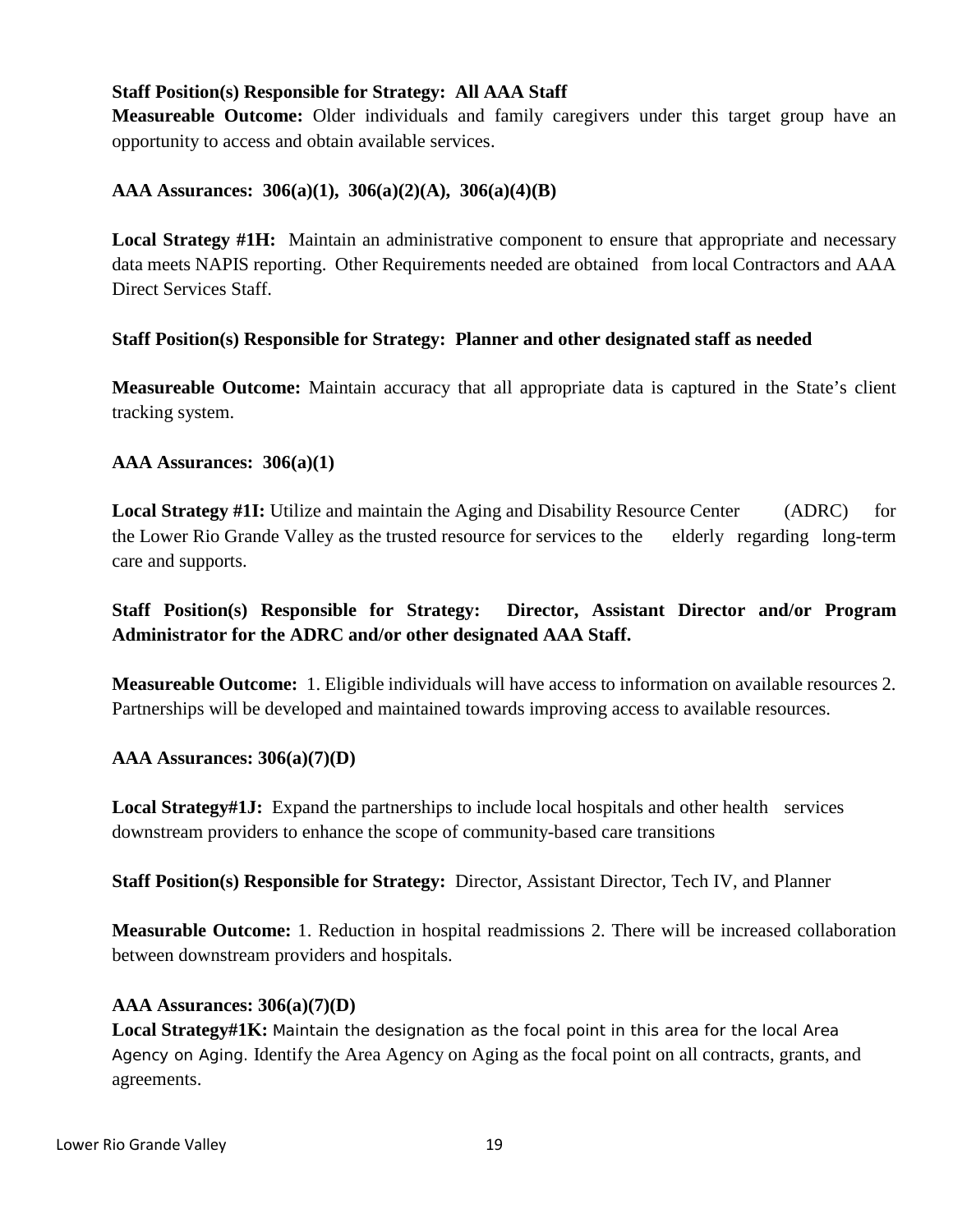## **Staff Position(s) Responsible for Strategy: All AAA Staff**

**Measureable Outcome:** Older individuals and family caregivers under this target group have an opportunity to access and obtain available services.

## **AAA Assurances: 306(a)(1), 306(a)(2)(A), 306(a)(4)(B)**

Local Strategy #1H: Maintain an administrative component to ensure that appropriate and necessary data meets NAPIS reporting. Other Requirements needed are obtained from local Contractors and AAA Direct Services Staff.

## **Staff Position(s) Responsible for Strategy: Planner and other designated staff as needed**

**Measureable Outcome:** Maintain accuracy that all appropriate data is captured in the State's client tracking system.

## **AAA Assurances: 306(a)(1)**

**Local Strategy #1I:** Utilize and maintain the Aging and Disability Resource Center (ADRC) for the Lower Rio Grande Valley as the trusted resource for services to the elderly regarding long-term care and supports.

## **Staff Position(s) Responsible for Strategy: Director, Assistant Director and/or Program Administrator for the ADRC and/or other designated AAA Staff.**

**Measureable Outcome:** 1. Eligible individuals will have access to information on available resources 2. Partnerships will be developed and maintained towards improving access to available resources.

## **AAA Assurances: 306(a)(7)(D)**

Local Strategy#1J: Expand the partnerships to include local hospitals and other health services downstream providers to enhance the scope of community-based care transitions

**Staff Position(s) Responsible for Strategy:** Director, Assistant Director, Tech IV, and Planner

**Measurable Outcome:** 1. Reduction in hospital readmissions 2. There will be increased collaboration between downstream providers and hospitals.

## **AAA Assurances: 306(a)(7)(D)**

**Local Strategy#1K:** Maintain the designation as the focal point in this area for the local Area Agency on Aging. Identify the Area Agency on Aging as the focal point on all contracts, grants, and agreements.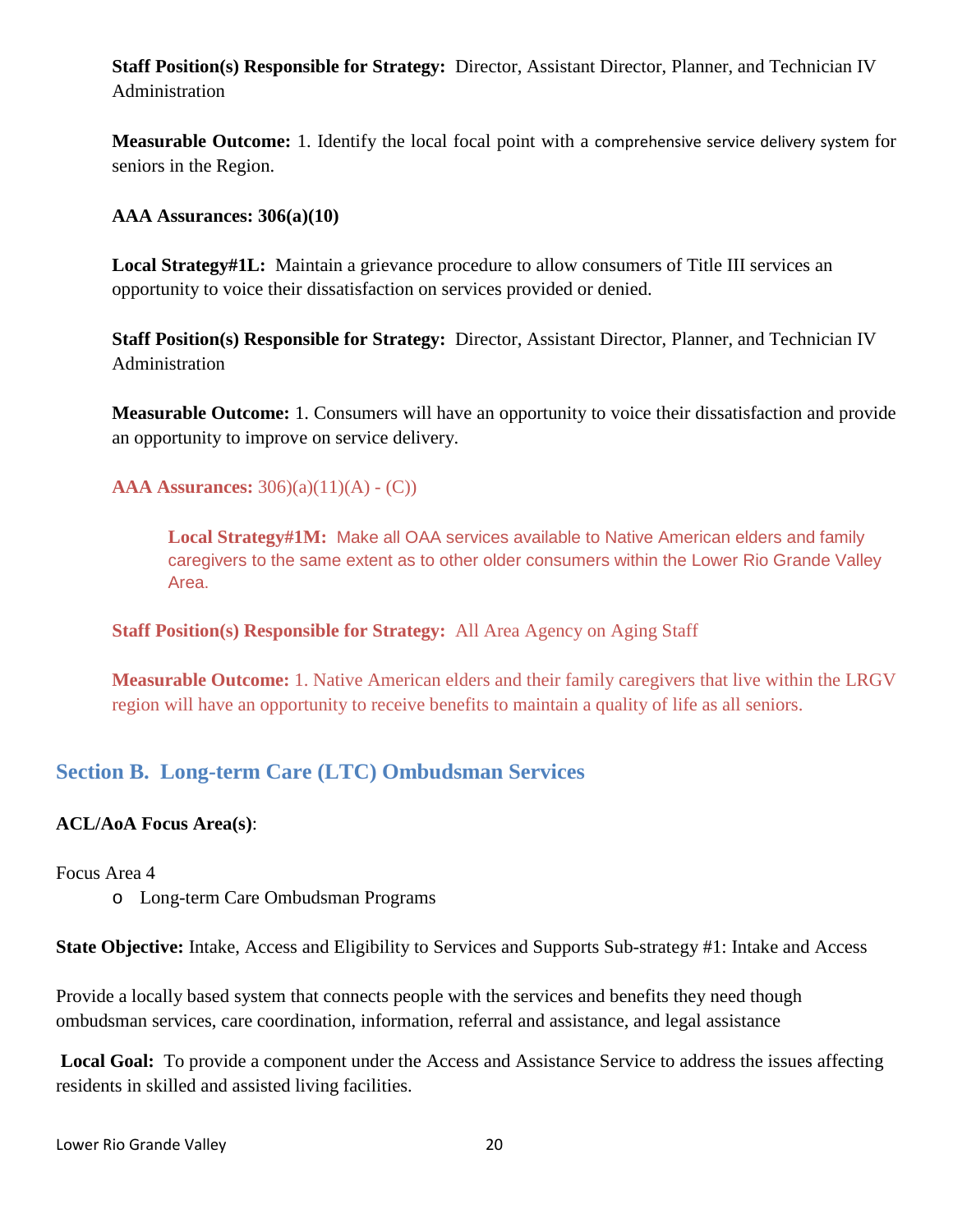**Staff Position(s) Responsible for Strategy:** Director, Assistant Director, Planner, and Technician IV Administration

**Measurable Outcome:** 1. Identify the local focal point with a comprehensive service delivery system for seniors in the Region.

## **AAA Assurances: 306(a)(10)**

**Local Strategy#1L:** Maintain a grievance procedure to allow consumers of Title III services an opportunity to voice their dissatisfaction on services provided or denied.

**Staff Position(s) Responsible for Strategy:** Director, Assistant Director, Planner, and Technician IV Administration

**Measurable Outcome:** 1. Consumers will have an opportunity to voice their dissatisfaction and provide an opportunity to improve on service delivery.

## **AAA Assurances:** 306)(a)(11)(A) - (C))

**Local Strategy#1M:** Make all OAA services available to Native American elders and family caregivers to the same extent as to other older consumers within the Lower Rio Grande Valley Area.

**Staff Position(s) Responsible for Strategy:** All Area Agency on Aging Staff

**Measurable Outcome:** 1. Native American elders and their family caregivers that live within the LRGV region will have an opportunity to receive benefits to maintain a quality of life as all seniors.

## **Section B. Long-term Care (LTC) Ombudsman Services**

## **ACL/AoA Focus Area(s)**:

Focus Area 4

o Long-term Care Ombudsman Programs

**State Objective:** Intake, Access and Eligibility to Services and Supports Sub-strategy #1: Intake and Access

Provide a locally based system that connects people with the services and benefits they need though ombudsman services, care coordination, information, referral and assistance, and legal assistance

**Local Goal:** To provide a component under the Access and Assistance Service to address the issues affecting residents in skilled and assisted living facilities.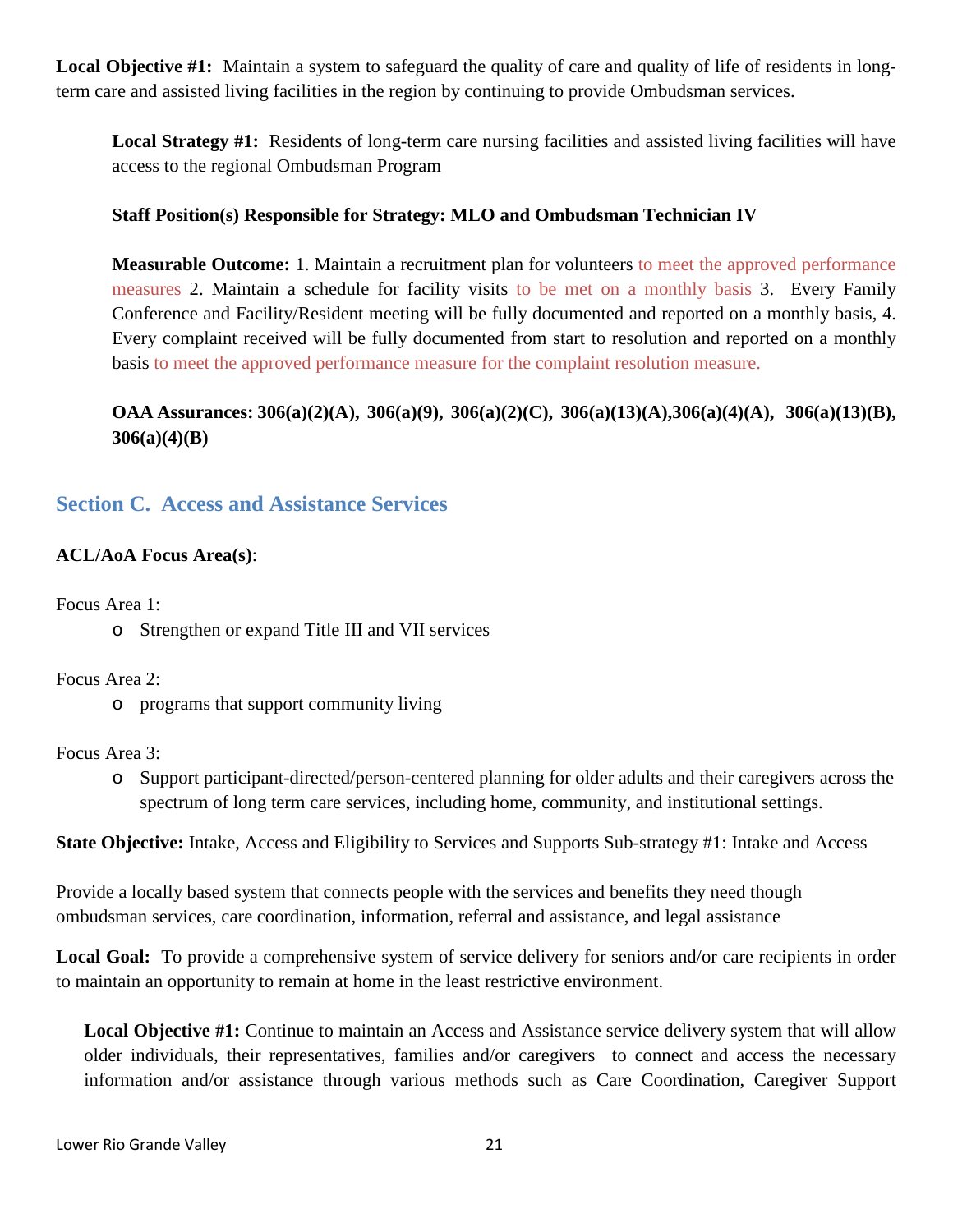Local Objective #1: Maintain a system to safeguard the quality of care and quality of life of residents in longterm care and assisted living facilities in the region by continuing to provide Ombudsman services.

**Local Strategy #1:** Residents of long-term care nursing facilities and assisted living facilities will have access to the regional Ombudsman Program

## **Staff Position(s) Responsible for Strategy: MLO and Ombudsman Technician IV**

**Measurable Outcome:** 1. Maintain a recruitment plan for volunteers to meet the approved performance measures 2. Maintain a schedule for facility visits to be met on a monthly basis 3. Every Family Conference and Facility/Resident meeting will be fully documented and reported on a monthly basis, 4. Every complaint received will be fully documented from start to resolution and reported on a monthly basis to meet the approved performance measure for the complaint resolution measure.

## **OAA Assurances: 306(a)(2)(A), 306(a)(9), 306(a)(2)(C), 306(a)(13)(A),306(a)(4)(A), 306(a)(13)(B), 306(a)(4)(B)**

## **Section C. Access and Assistance Services**

## **ACL/AoA Focus Area(s)**:

Focus Area 1:

o Strengthen or expand Title III and VII services

## Focus Area 2:

o programs that support community living

## Focus Area 3:

o Support participant-directed/person-centered planning for older adults and their caregivers across the spectrum of long term care services, including home, community, and institutional settings.

**State Objective:** Intake, Access and Eligibility to Services and Supports Sub-strategy #1: Intake and Access

Provide a locally based system that connects people with the services and benefits they need though ombudsman services, care coordination, information, referral and assistance, and legal assistance

**Local Goal:** To provide a comprehensive system of service delivery for seniors and/or care recipients in order to maintain an opportunity to remain at home in the least restrictive environment.

**Local Objective #1:** Continue to maintain an Access and Assistance service delivery system that will allow older individuals, their representatives, families and/or caregivers to connect and access the necessary information and/or assistance through various methods such as Care Coordination, Caregiver Support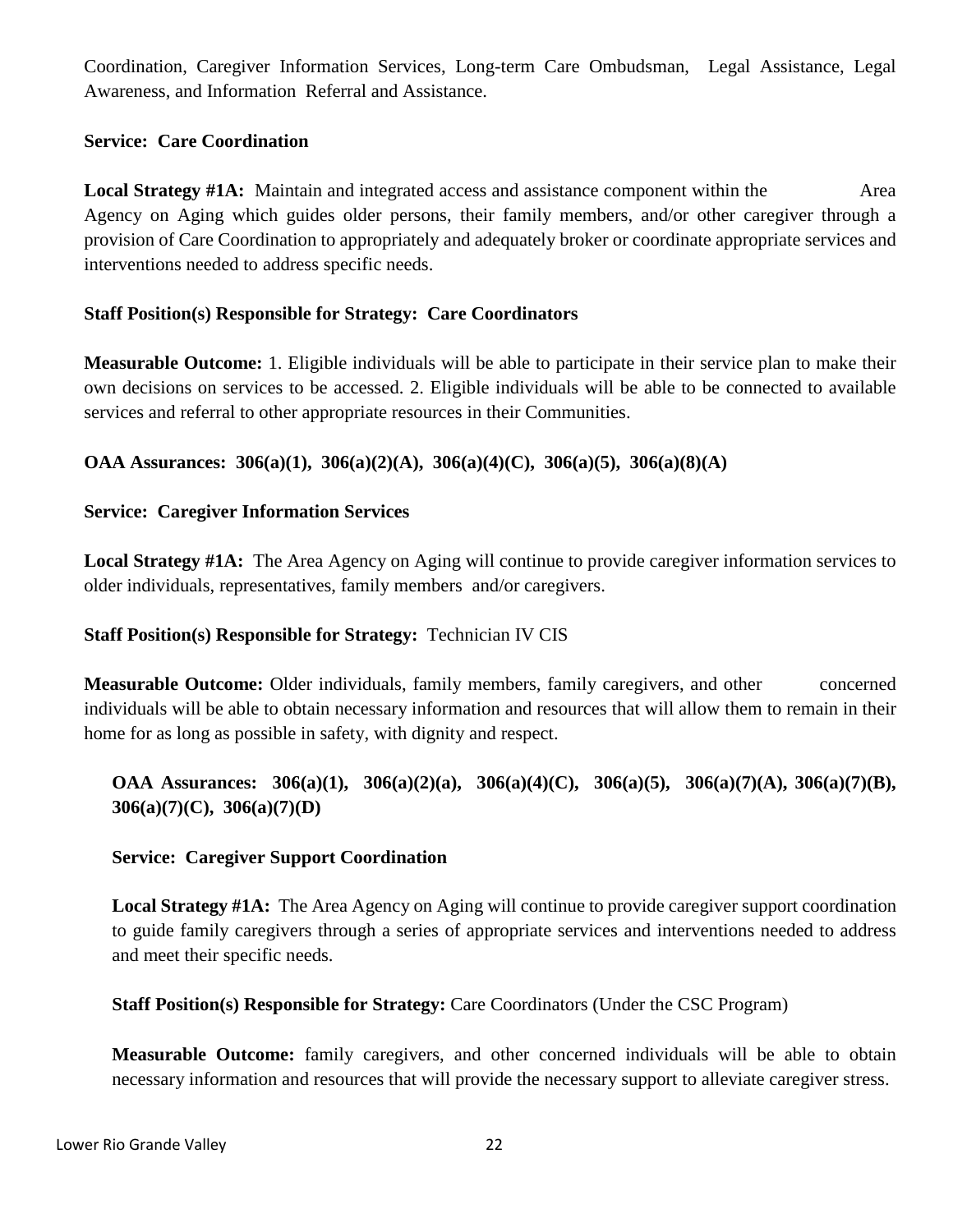Coordination, Caregiver Information Services, Long-term Care Ombudsman, Legal Assistance, Legal Awareness, and Information Referral and Assistance.

## **Service: Care Coordination**

**Local Strategy #1A:** Maintain and integrated access and assistance component within the Area Agency on Aging which guides older persons, their family members, and/or other caregiver through a provision of Care Coordination to appropriately and adequately broker or coordinate appropriate services and interventions needed to address specific needs.

## **Staff Position(s) Responsible for Strategy: Care Coordinators**

**Measurable Outcome:** 1. Eligible individuals will be able to participate in their service plan to make their own decisions on services to be accessed. 2. Eligible individuals will be able to be connected to available services and referral to other appropriate resources in their Communities.

**OAA Assurances: 306(a)(1), 306(a)(2)(A), 306(a)(4)(C), 306(a)(5), 306(a)(8)(A)**

## **Service: Caregiver Information Services**

**Local Strategy #1A:** The Area Agency on Aging will continue to provide caregiver information services to older individuals, representatives, family members and/or caregivers.

## **Staff Position(s) Responsible for Strategy:** Technician IV CIS

**Measurable Outcome:** Older individuals, family members, family caregivers, and other concerned individuals will be able to obtain necessary information and resources that will allow them to remain in their home for as long as possible in safety, with dignity and respect.

**OAA Assurances: 306(a)(1), 306(a)(2)(a), 306(a)(4)(C), 306(a)(5), 306(a)(7)(A), 306(a)(7)(B), 306(a)(7)(C), 306(a)(7)(D)**

## **Service: Caregiver Support Coordination**

**Local Strategy #1A:** The Area Agency on Aging will continue to provide caregiver support coordination to guide family caregivers through a series of appropriate services and interventions needed to address and meet their specific needs.

**Staff Position(s) Responsible for Strategy:** Care Coordinators (Under the CSC Program)

**Measurable Outcome:** family caregivers, and other concerned individuals will be able to obtain necessary information and resources that will provide the necessary support to alleviate caregiver stress.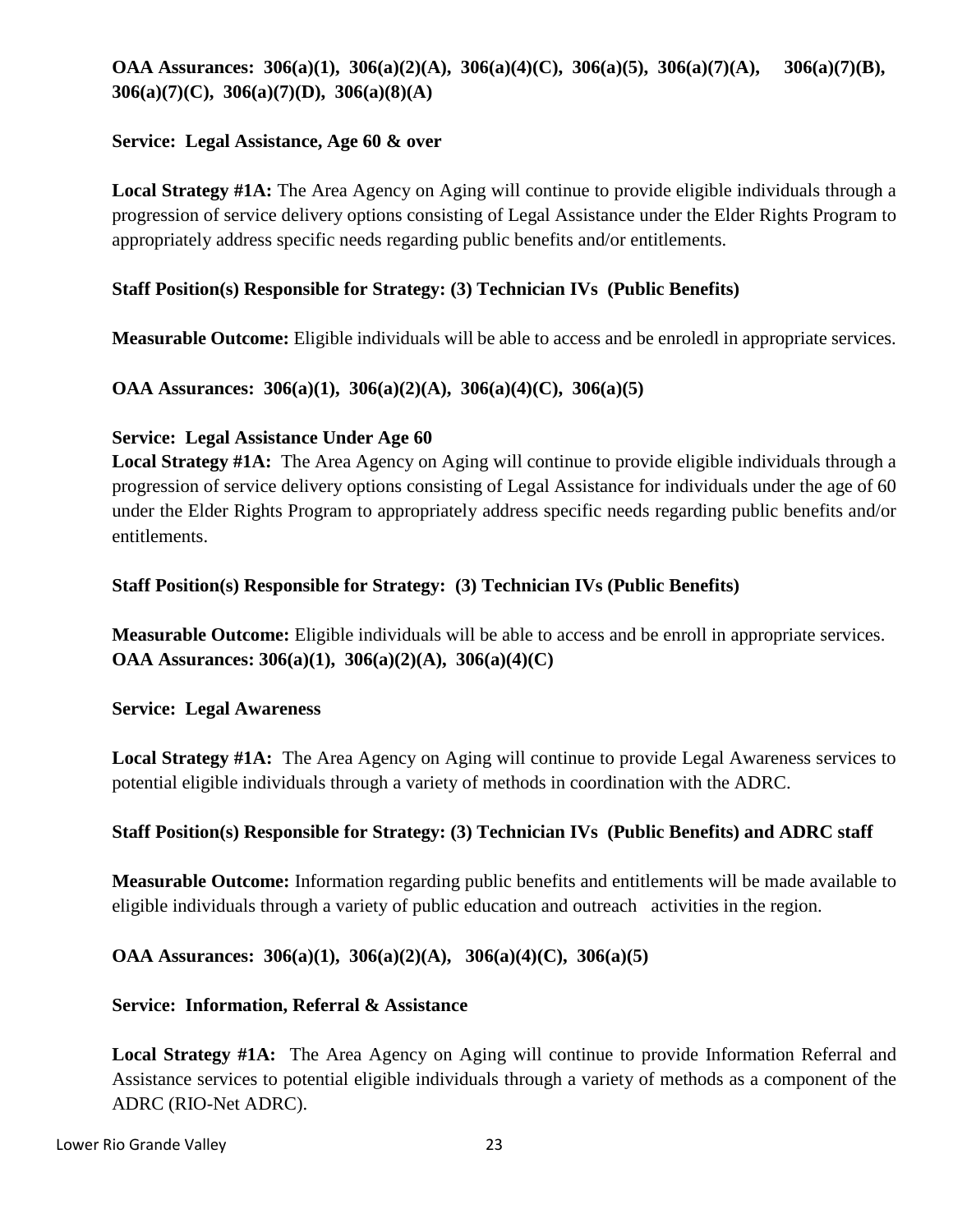**OAA Assurances: 306(a)(1), 306(a)(2)(A), 306(a)(4)(C), 306(a)(5), 306(a)(7)(A), 306(a)(7)(B), 306(a)(7)(C), 306(a)(7)(D), 306(a)(8)(A)**

## **Service: Legal Assistance, Age 60 & over**

**Local Strategy #1A:** The Area Agency on Aging will continue to provide eligible individuals through a progression of service delivery options consisting of Legal Assistance under the Elder Rights Program to appropriately address specific needs regarding public benefits and/or entitlements.

## **Staff Position(s) Responsible for Strategy: (3) Technician IVs (Public Benefits)**

**Measurable Outcome:** Eligible individuals will be able to access and be enroledl in appropriate services.

**OAA Assurances: 306(a)(1), 306(a)(2)(A), 306(a)(4)(C), 306(a)(5)**

## **Service: Legal Assistance Under Age 60**

**Local Strategy #1A:** The Area Agency on Aging will continue to provide eligible individuals through a progression of service delivery options consisting of Legal Assistance for individuals under the age of 60 under the Elder Rights Program to appropriately address specific needs regarding public benefits and/or entitlements.

## **Staff Position(s) Responsible for Strategy: (3) Technician IVs (Public Benefits)**

**Measurable Outcome:** Eligible individuals will be able to access and be enroll in appropriate services. **OAA Assurances: 306(a)(1), 306(a)(2)(A), 306(a)(4)(C)**

## **Service: Legal Awareness**

**Local Strategy #1A:** The Area Agency on Aging will continue to provide Legal Awareness services to potential eligible individuals through a variety of methods in coordination with the ADRC.

## **Staff Position(s) Responsible for Strategy: (3) Technician IVs (Public Benefits) and ADRC staff**

**Measurable Outcome:** Information regarding public benefits and entitlements will be made available to eligible individuals through a variety of public education and outreach activities in the region.

## **OAA Assurances: 306(a)(1), 306(a)(2)(A), 306(a)(4)(C), 306(a)(5)**

## **Service: Information, Referral & Assistance**

**Local Strategy #1A:** The Area Agency on Aging will continue to provide Information Referral and Assistance services to potential eligible individuals through a variety of methods as a component of the ADRC (RIO-Net ADRC).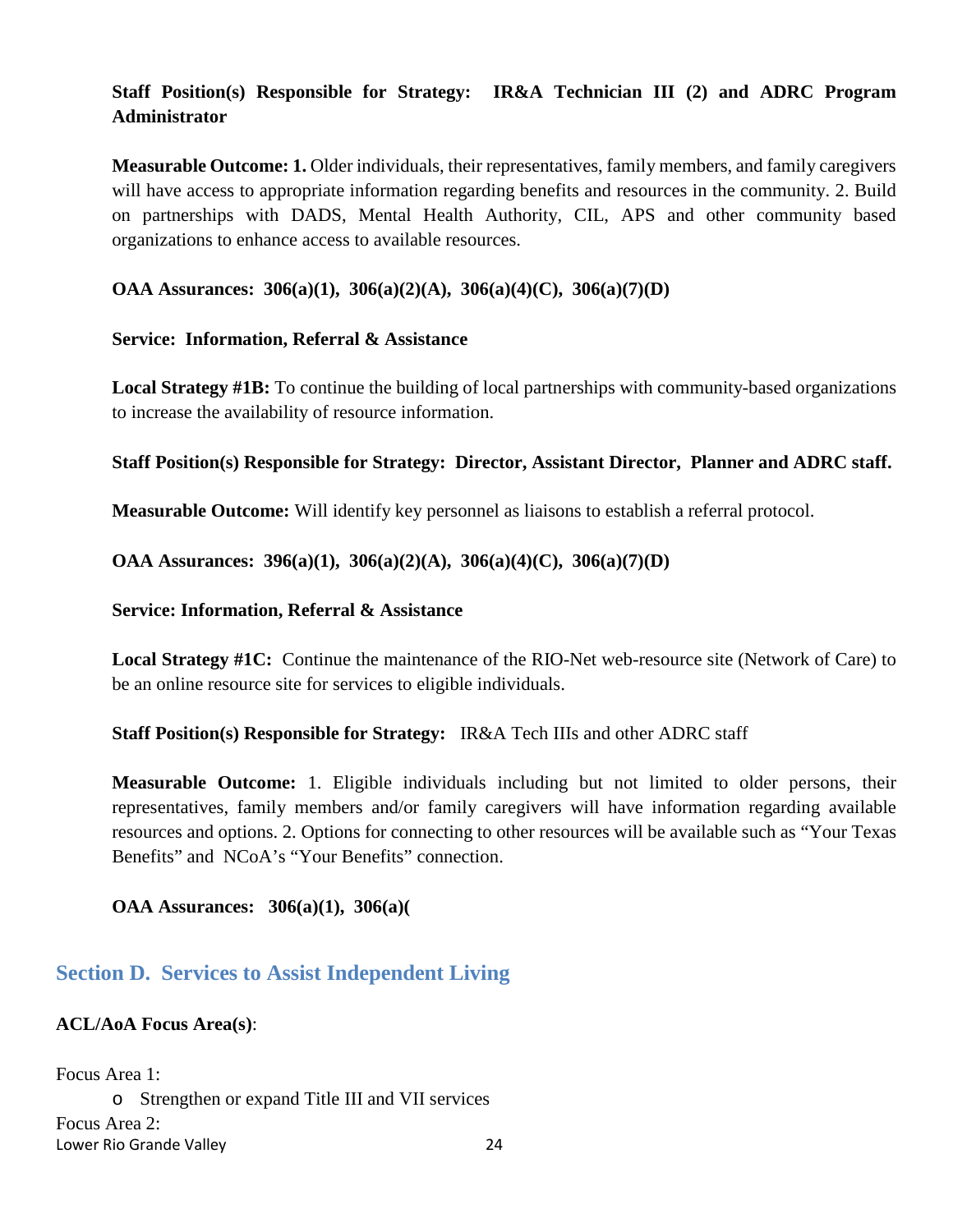## **Staff Position(s) Responsible for Strategy: IR&A Technician III (2) and ADRC Program Administrator**

**Measurable Outcome: 1.** Older individuals, their representatives, family members, and family caregivers will have access to appropriate information regarding benefits and resources in the community. 2. Build on partnerships with DADS, Mental Health Authority, CIL, APS and other community based organizations to enhance access to available resources.

## **OAA Assurances: 306(a)(1), 306(a)(2)(A), 306(a)(4)(C), 306(a)(7)(D)**

## **Service: Information, Referral & Assistance**

**Local Strategy #1B:** To continue the building of local partnerships with community-based organizations to increase the availability of resource information.

## **Staff Position(s) Responsible for Strategy: Director, Assistant Director, Planner and ADRC staff.**

**Measurable Outcome:** Will identify key personnel as liaisons to establish a referral protocol.

## **OAA Assurances: 396(a)(1), 306(a)(2)(A), 306(a)(4)(C), 306(a)(7)(D)**

## **Service: Information, Referral & Assistance**

Local Strategy #1C: Continue the maintenance of the RIO-Net web-resource site (Network of Care) to be an online resource site for services to eligible individuals.

## **Staff Position(s) Responsible for Strategy:** IR&A Tech IIIs and other ADRC staff

**Measurable Outcome:** 1. Eligible individuals including but not limited to older persons, their representatives, family members and/or family caregivers will have information regarding available resources and options. 2. Options for connecting to other resources will be available such as "Your Texas Benefits" and NCoA's "Your Benefits" connection.

## **OAA Assurances: 306(a)(1), 306(a)(**

## **Section D. Services to Assist Independent Living**

## **ACL/AoA Focus Area(s)**:

Lower Rio Grande Valley 24 Focus Area 1: o Strengthen or expand Title III and VII services Focus Area 2: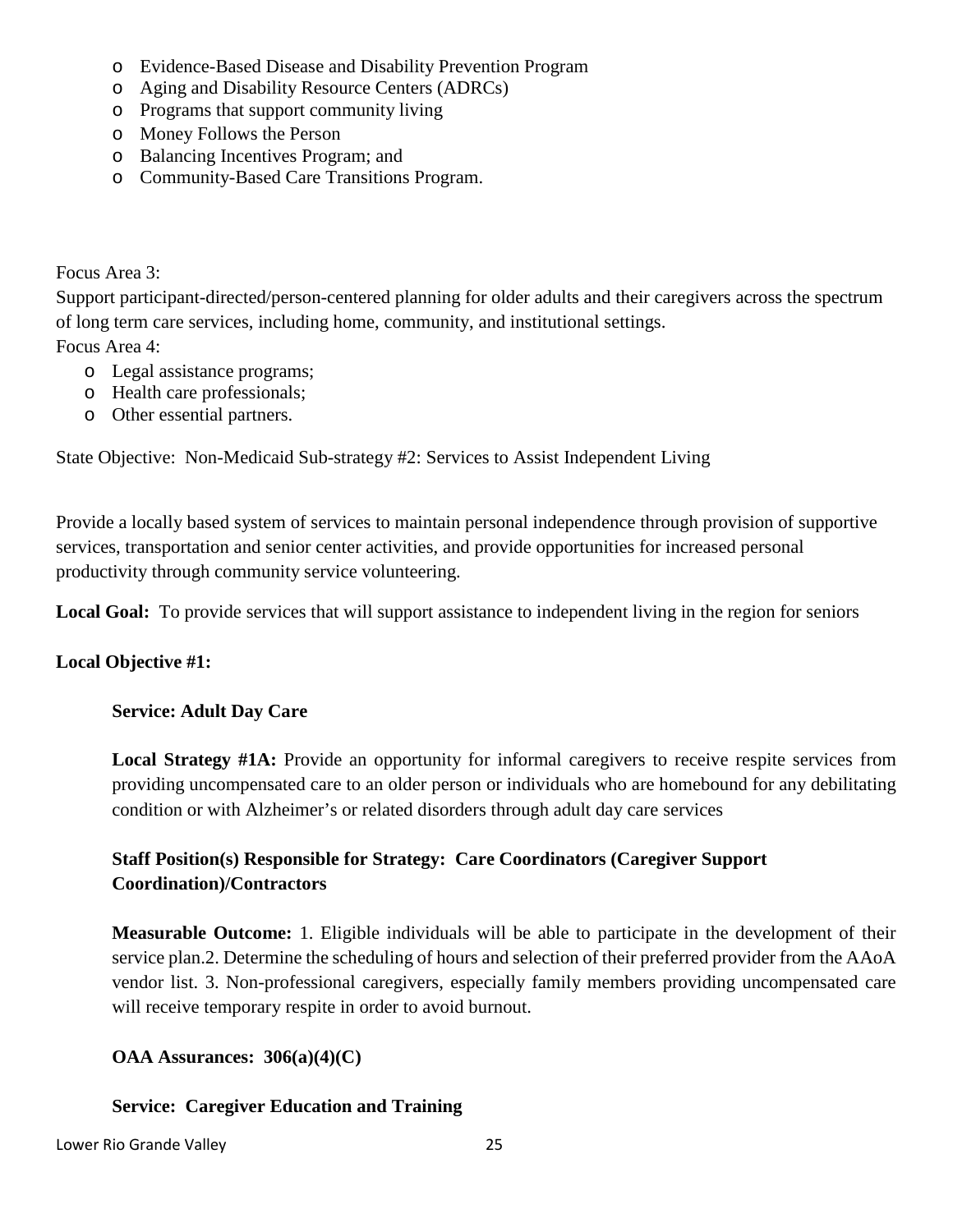- o Evidence-Based Disease and Disability Prevention Program
- o Aging and Disability Resource Centers (ADRCs)
- o Programs that support community living
- o Money Follows the Person
- o Balancing Incentives Program; and
- o Community-Based Care Transitions Program.

## Focus Area 3:

Support participant-directed/person-centered planning for older adults and their caregivers across the spectrum of long term care services, including home, community, and institutional settings.

Focus Area 4:

- o Legal assistance programs;
- o Health care professionals;
- o Other essential partners.

State Objective: Non-Medicaid Sub-strategy #2: Services to Assist Independent Living

Provide a locally based system of services to maintain personal independence through provision of supportive services, transportation and senior center activities, and provide opportunities for increased personal productivity through community service volunteering.

Local Goal: To provide services that will support assistance to independent living in the region for seniors

## **Local Objective #1:**

## **Service: Adult Day Care**

**Local Strategy #1A:** Provide an opportunity for informal caregivers to receive respite services from providing uncompensated care to an older person or individuals who are homebound for any debilitating condition or with Alzheimer's or related disorders through adult day care services

## **Staff Position(s) Responsible for Strategy: Care Coordinators (Caregiver Support Coordination)/Contractors**

**Measurable Outcome:** 1. Eligible individuals will be able to participate in the development of their service plan.2. Determine the scheduling of hours and selection of their preferred provider from the AAoA vendor list. 3. Non-professional caregivers, especially family members providing uncompensated care will receive temporary respite in order to avoid burnout.

## **OAA Assurances: 306(a)(4)(C)**

## **Service: Caregiver Education and Training**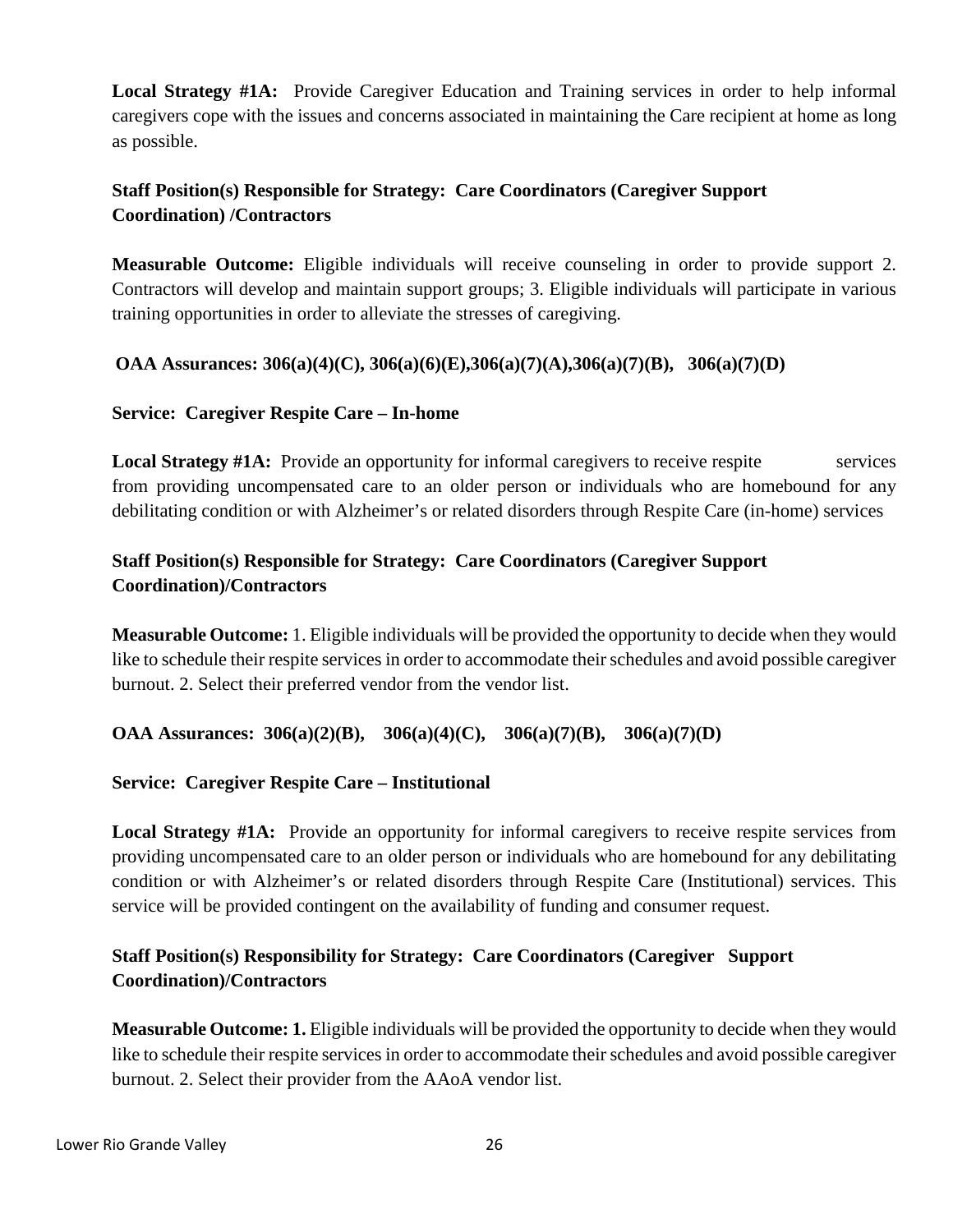**Local Strategy #1A:** Provide Caregiver Education and Training services in order to help informal caregivers cope with the issues and concerns associated in maintaining the Care recipient at home as long as possible.

## **Staff Position(s) Responsible for Strategy: Care Coordinators (Caregiver Support Coordination) /Contractors**

**Measurable Outcome:** Eligible individuals will receive counseling in order to provide support 2. Contractors will develop and maintain support groups; 3. Eligible individuals will participate in various training opportunities in order to alleviate the stresses of caregiving.

## **OAA Assurances: 306(a)(4)(C), 306(a)(6)(E),306(a)(7)(A),306(a)(7)(B), 306(a)(7)(D)**

## **Service: Caregiver Respite Care – In-home**

**Local Strategy #1A:** Provide an opportunity for informal caregivers to receive respite services from providing uncompensated care to an older person or individuals who are homebound for any debilitating condition or with Alzheimer's or related disorders through Respite Care (in-home) services

## **Staff Position(s) Responsible for Strategy: Care Coordinators (Caregiver Support Coordination)/Contractors**

**Measurable Outcome:** 1. Eligible individuals will be provided the opportunity to decide when they would like to schedule their respite services in order to accommodate their schedules and avoid possible caregiver burnout. 2. Select their preferred vendor from the vendor list.

## **OAA Assurances: 306(a)(2)(B), 306(a)(4)(C), 306(a)(7)(B), 306(a)(7)(D)**

## **Service: Caregiver Respite Care – Institutional**

**Local Strategy #1A:** Provide an opportunity for informal caregivers to receive respite services from providing uncompensated care to an older person or individuals who are homebound for any debilitating condition or with Alzheimer's or related disorders through Respite Care (Institutional) services. This service will be provided contingent on the availability of funding and consumer request.

## **Staff Position(s) Responsibility for Strategy: Care Coordinators (Caregiver Support Coordination)/Contractors**

**Measurable Outcome: 1.** Eligible individuals will be provided the opportunity to decide when they would like to schedule their respite services in order to accommodate their schedules and avoid possible caregiver burnout. 2. Select their provider from the AAoA vendor list.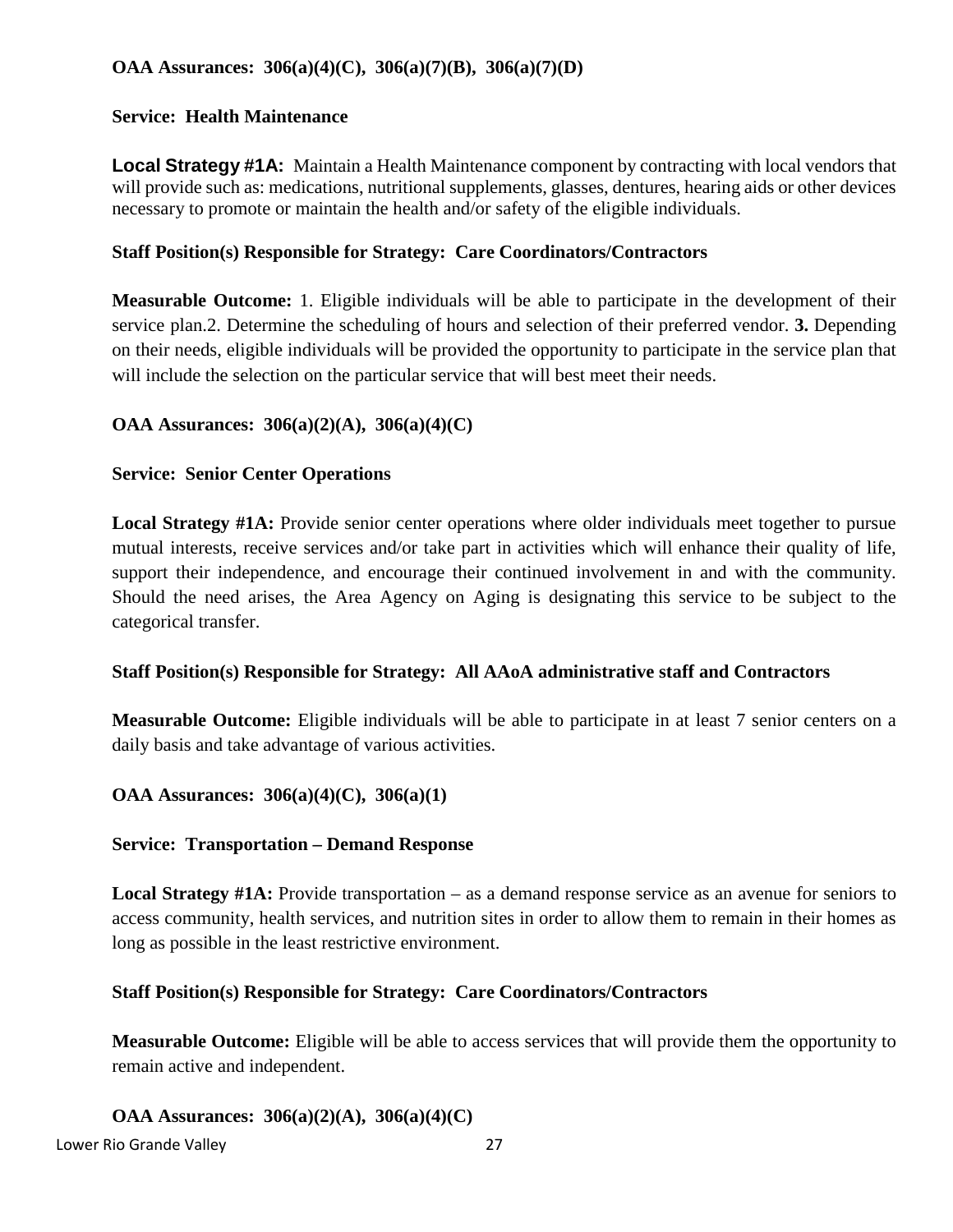## **OAA Assurances: 306(a)(4)(C), 306(a)(7)(B), 306(a)(7)(D)**

## **Service: Health Maintenance**

**Local Strategy #1A:** Maintain a Health Maintenance component by contracting with local vendors that will provide such as: medications, nutritional supplements, glasses, dentures, hearing aids or other devices necessary to promote or maintain the health and/or safety of the eligible individuals.

## **Staff Position(s) Responsible for Strategy: Care Coordinators/Contractors**

**Measurable Outcome:** 1. Eligible individuals will be able to participate in the development of their service plan.2. Determine the scheduling of hours and selection of their preferred vendor. **3.** Depending on their needs, eligible individuals will be provided the opportunity to participate in the service plan that will include the selection on the particular service that will best meet their needs.

## **OAA Assurances: 306(a)(2)(A), 306(a)(4)(C)**

## **Service: Senior Center Operations**

**Local Strategy #1A:** Provide senior center operations where older individuals meet together to pursue mutual interests, receive services and/or take part in activities which will enhance their quality of life, support their independence, and encourage their continued involvement in and with the community. Should the need arises, the Area Agency on Aging is designating this service to be subject to the categorical transfer.

## **Staff Position(s) Responsible for Strategy: All AAoA administrative staff and Contractors**

**Measurable Outcome:** Eligible individuals will be able to participate in at least 7 senior centers on a daily basis and take advantage of various activities.

**OAA Assurances: 306(a)(4)(C), 306(a)(1)**

## **Service: Transportation – Demand Response**

**Local Strategy #1A:** Provide transportation – as a demand response service as an avenue for seniors to access community, health services, and nutrition sites in order to allow them to remain in their homes as long as possible in the least restrictive environment.

## **Staff Position(s) Responsible for Strategy: Care Coordinators/Contractors**

**Measurable Outcome:** Eligible will be able to access services that will provide them the opportunity to remain active and independent.

**OAA Assurances: 306(a)(2)(A), 306(a)(4)(C)**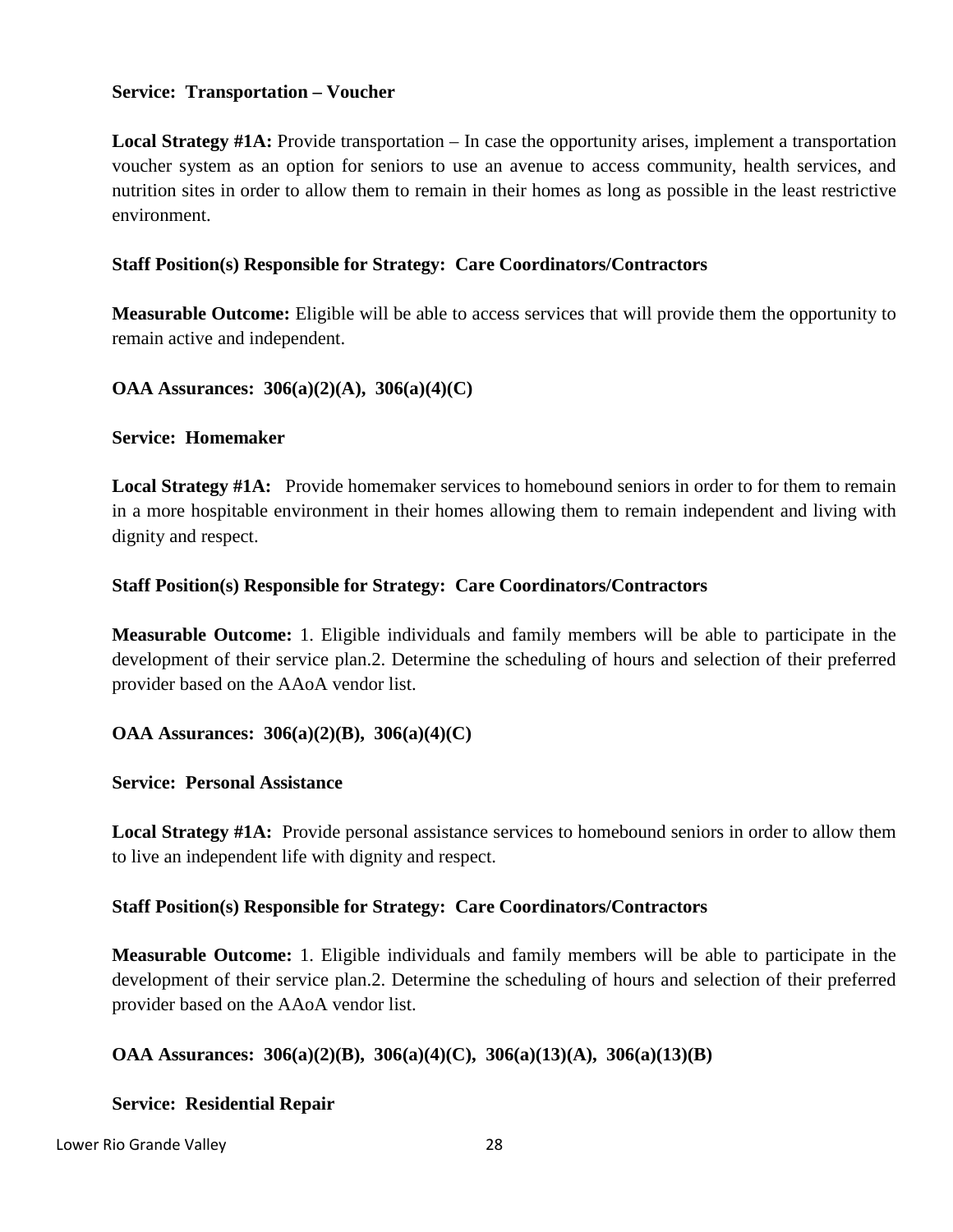## **Service: Transportation – Voucher**

**Local Strategy #1A:** Provide transportation – In case the opportunity arises, implement a transportation voucher system as an option for seniors to use an avenue to access community, health services, and nutrition sites in order to allow them to remain in their homes as long as possible in the least restrictive environment.

#### **Staff Position(s) Responsible for Strategy: Care Coordinators/Contractors**

**Measurable Outcome:** Eligible will be able to access services that will provide them the opportunity to remain active and independent.

## **OAA Assurances: 306(a)(2)(A), 306(a)(4)(C)**

#### **Service: Homemaker**

**Local Strategy #1A:** Provide homemaker services to homebound seniors in order to for them to remain in a more hospitable environment in their homes allowing them to remain independent and living with dignity and respect.

#### **Staff Position(s) Responsible for Strategy: Care Coordinators/Contractors**

**Measurable Outcome:** 1. Eligible individuals and family members will be able to participate in the development of their service plan.2. Determine the scheduling of hours and selection of their preferred provider based on the AAoA vendor list.

#### **OAA Assurances: 306(a)(2)(B), 306(a)(4)(C)**

#### **Service: Personal Assistance**

**Local Strategy #1A:** Provide personal assistance services to homebound seniors in order to allow them to live an independent life with dignity and respect.

## **Staff Position(s) Responsible for Strategy: Care Coordinators/Contractors**

**Measurable Outcome:** 1. Eligible individuals and family members will be able to participate in the development of their service plan.2. Determine the scheduling of hours and selection of their preferred provider based on the AAoA vendor list.

**OAA Assurances: 306(a)(2)(B), 306(a)(4)(C), 306(a)(13)(A), 306(a)(13)(B)**

## **Service: Residential Repair**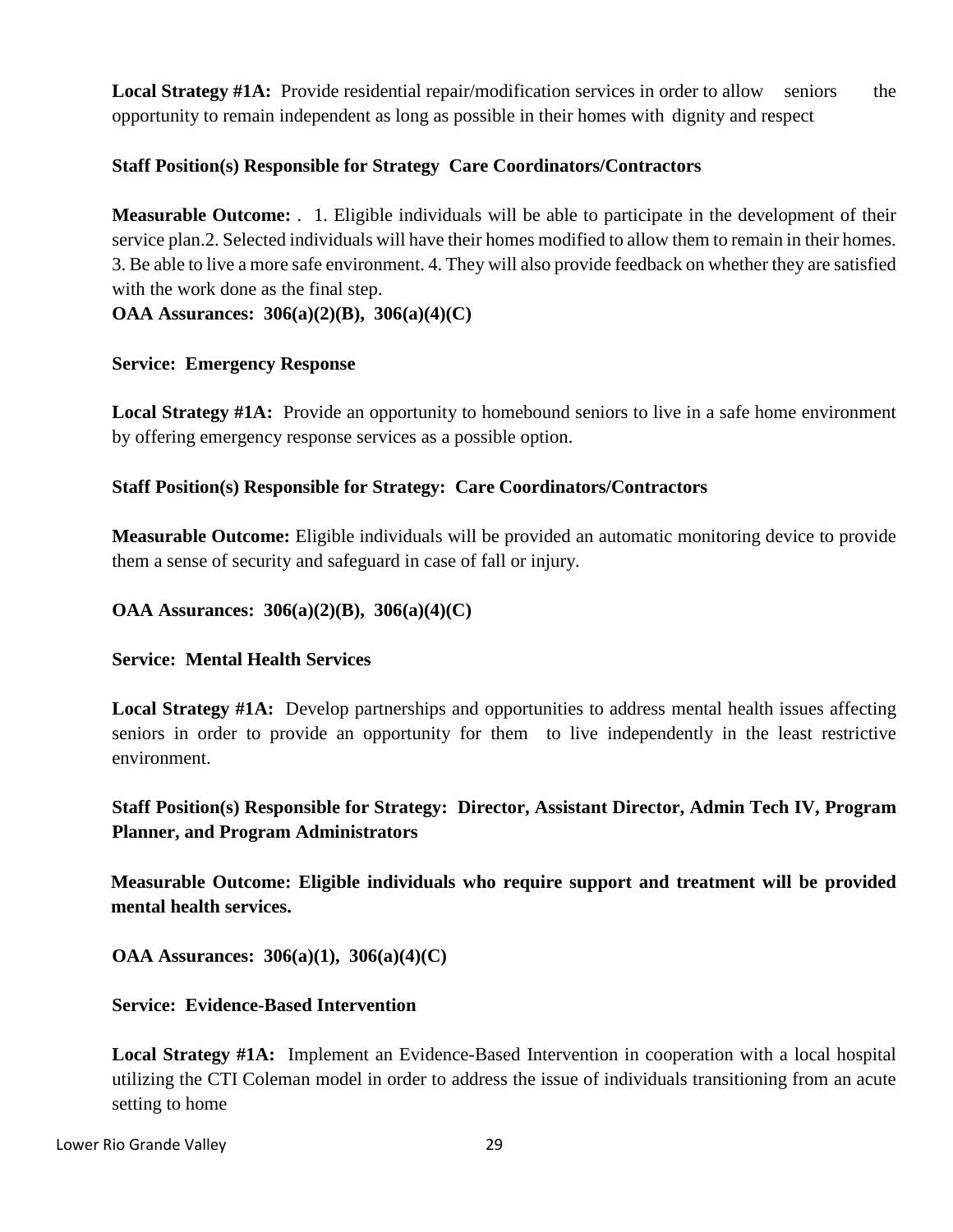**Local Strategy #1A:** Provide residential repair/modification services in order to allow seniors the opportunity to remain independent as long as possible in their homes with dignity and respect

## **Staff Position(s) Responsible for Strategy Care Coordinators/Contractors**

**Measurable Outcome:** . 1. Eligible individuals will be able to participate in the development of their service plan.2. Selected individuals will have their homes modified to allow them to remain in their homes. 3. Be able to live a more safe environment. 4. They will also provide feedback on whether they are satisfied with the work done as the final step.

**OAA Assurances: 306(a)(2)(B), 306(a)(4)(C)**

## **Service: Emergency Response**

**Local Strategy #1A:** Provide an opportunity to homebound seniors to live in a safe home environment by offering emergency response services as a possible option.

## **Staff Position(s) Responsible for Strategy: Care Coordinators/Contractors**

**Measurable Outcome:** Eligible individuals will be provided an automatic monitoring device to provide them a sense of security and safeguard in case of fall or injury.

## **OAA Assurances: 306(a)(2)(B), 306(a)(4)(C)**

## **Service: Mental Health Services**

**Local Strategy #1A:** Develop partnerships and opportunities to address mental health issues affecting seniors in order to provide an opportunity for them to live independently in the least restrictive environment.

## **Staff Position(s) Responsible for Strategy: Director, Assistant Director, Admin Tech IV, Program Planner, and Program Administrators**

**Measurable Outcome: Eligible individuals who require support and treatment will be provided mental health services.**

**OAA Assurances: 306(a)(1), 306(a)(4)(C)**

## **Service: Evidence-Based Intervention**

**Local Strategy #1A:** Implement an Evidence-Based Intervention in cooperation with a local hospital utilizing the CTI Coleman model in order to address the issue of individuals transitioning from an acute setting to home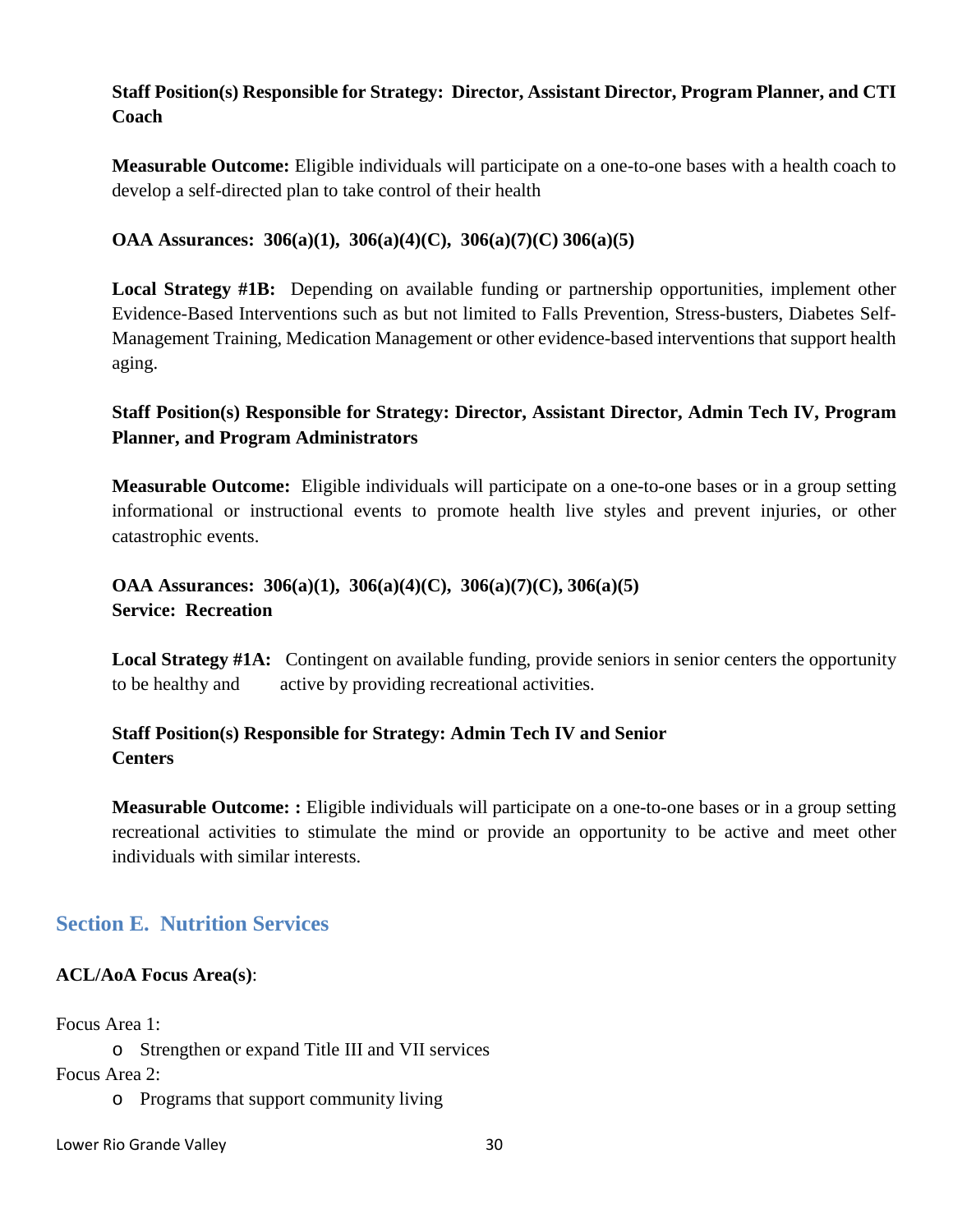## **Staff Position(s) Responsible for Strategy: Director, Assistant Director, Program Planner, and CTI Coach**

**Measurable Outcome:** Eligible individuals will participate on a one-to-one bases with a health coach to develop a self-directed plan to take control of their health

## **OAA Assurances: 306(a)(1), 306(a)(4)(C), 306(a)(7)(C) 306(a)(5)**

**Local Strategy #1B:** Depending on available funding or partnership opportunities, implement other Evidence-Based Interventions such as but not limited to Falls Prevention, Stress-busters, Diabetes Self-Management Training, Medication Management or other evidence-based interventions that support health aging.

## **Staff Position(s) Responsible for Strategy: Director, Assistant Director, Admin Tech IV, Program Planner, and Program Administrators**

**Measurable Outcome:** Eligible individuals will participate on a one-to-one bases or in a group setting informational or instructional events to promote health live styles and prevent injuries, or other catastrophic events.

## **OAA Assurances: 306(a)(1), 306(a)(4)(C), 306(a)(7)(C), 306(a)(5) Service: Recreation**

Local Strategy #1A: Contingent on available funding, provide seniors in senior centers the opportunity to be healthy and active by providing recreational activities.

## **Staff Position(s) Responsible for Strategy: Admin Tech IV and Senior Centers**

**Measurable Outcome: :** Eligible individuals will participate on a one-to-one bases or in a group setting recreational activities to stimulate the mind or provide an opportunity to be active and meet other individuals with similar interests.

## **Section E. Nutrition Services**

## **ACL/AoA Focus Area(s)**:

Focus Area 1:

o Strengthen or expand Title III and VII services

Focus Area 2:

o Programs that support community living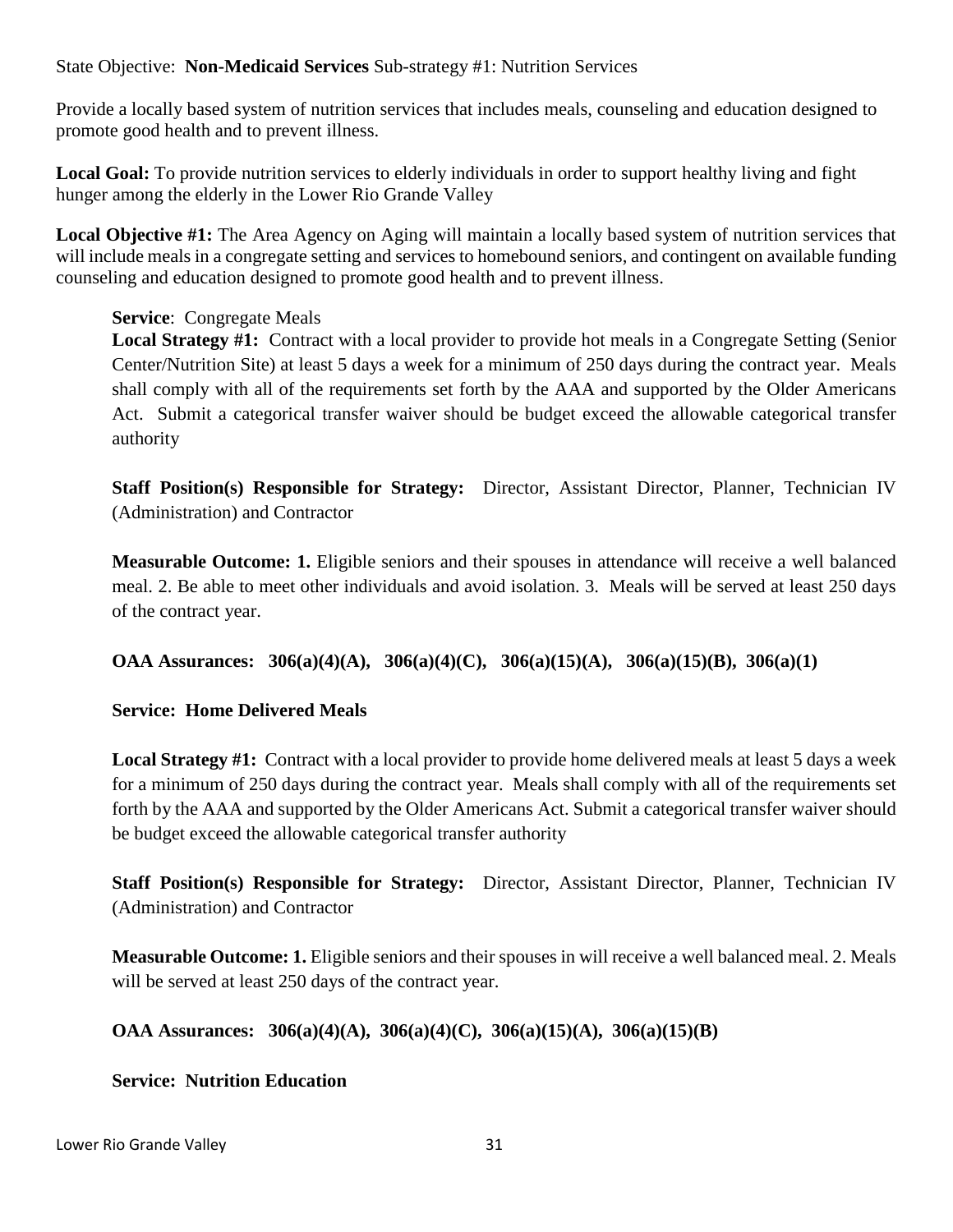## State Objective: **Non-Medicaid Services** Sub-strategy #1: Nutrition Services

Provide a locally based system of nutrition services that includes meals, counseling and education designed to promote good health and to prevent illness.

**Local Goal:** To provide nutrition services to elderly individuals in order to support healthy living and fight hunger among the elderly in the Lower Rio Grande Valley

**Local Objective #1:** The Area Agency on Aging will maintain a locally based system of nutrition services that will include meals in a congregate setting and services to homebound seniors, and contingent on available funding counseling and education designed to promote good health and to prevent illness.

## **Service**: Congregate Meals

**Local Strategy #1:** Contract with a local provider to provide hot meals in a Congregate Setting (Senior Center/Nutrition Site) at least 5 days a week for a minimum of 250 days during the contract year. Meals shall comply with all of the requirements set forth by the AAA and supported by the Older Americans Act. Submit a categorical transfer waiver should be budget exceed the allowable categorical transfer authority

**Staff Position(s) Responsible for Strategy:** Director, Assistant Director, Planner, Technician IV (Administration) and Contractor

**Measurable Outcome: 1.** Eligible seniors and their spouses in attendance will receive a well balanced meal. 2. Be able to meet other individuals and avoid isolation. 3. Meals will be served at least 250 days of the contract year.

**OAA Assurances: 306(a)(4)(A), 306(a)(4)(C), 306(a)(15)(A), 306(a)(15)(B), 306(a)(1)**

**Service: Home Delivered Meals**

**Local Strategy #1:** Contract with a local provider to provide home delivered meals at least 5 days a week for a minimum of 250 days during the contract year. Meals shall comply with all of the requirements set forth by the AAA and supported by the Older Americans Act. Submit a categorical transfer waiver should be budget exceed the allowable categorical transfer authority

**Staff Position(s) Responsible for Strategy:** Director, Assistant Director, Planner, Technician IV (Administration) and Contractor

**Measurable Outcome: 1.** Eligible seniors and their spouses in will receive a well balanced meal. 2. Meals will be served at least 250 days of the contract year.

**OAA Assurances: 306(a)(4)(A), 306(a)(4)(C), 306(a)(15)(A), 306(a)(15)(B)**

## **Service: Nutrition Education**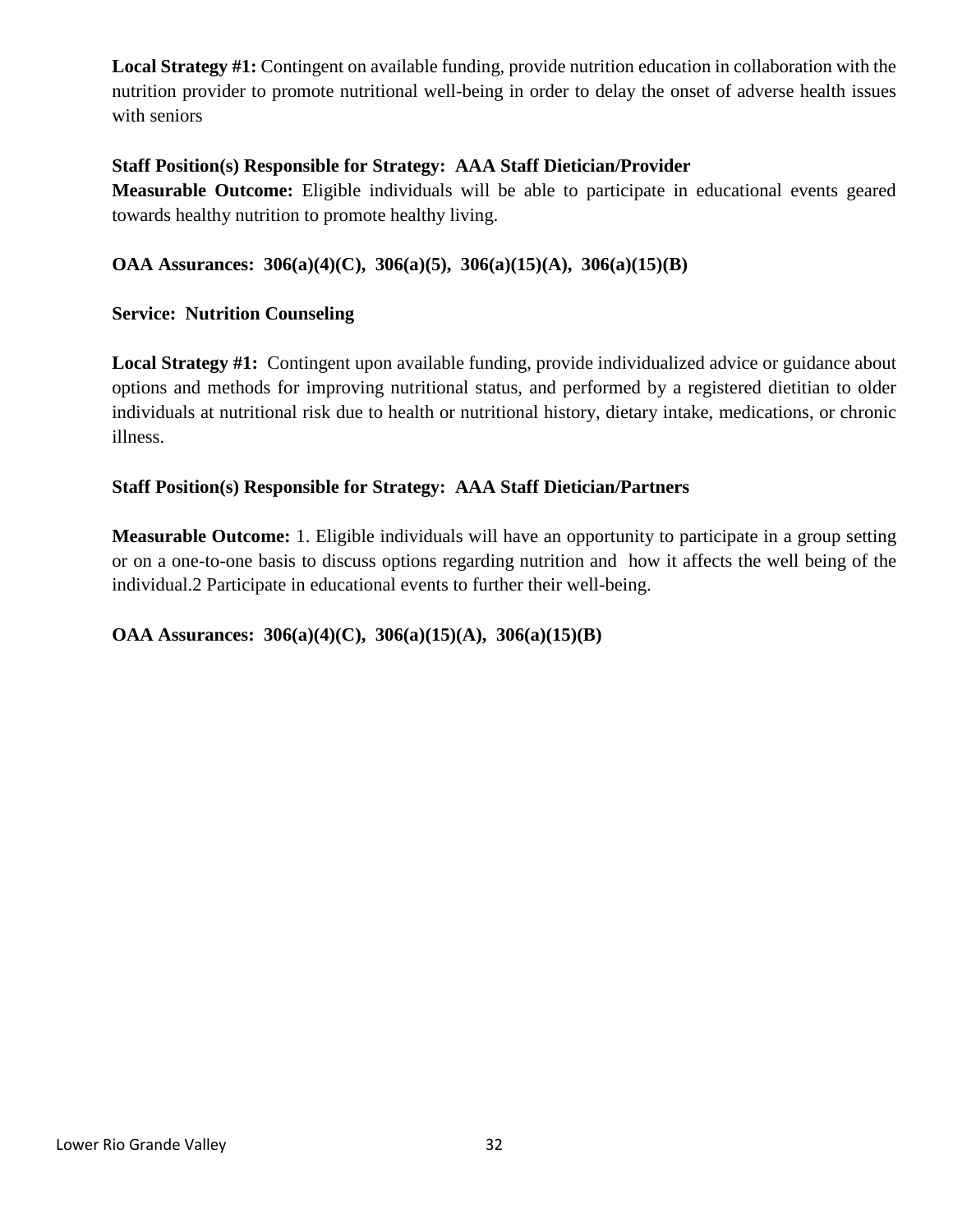**Local Strategy #1:** Contingent on available funding, provide nutrition education in collaboration with the nutrition provider to promote nutritional well-being in order to delay the onset of adverse health issues with seniors

## **Staff Position(s) Responsible for Strategy: AAA Staff Dietician/Provider**

**Measurable Outcome:** Eligible individuals will be able to participate in educational events geared towards healthy nutrition to promote healthy living.

## **OAA Assurances: 306(a)(4)(C), 306(a)(5), 306(a)(15)(A), 306(a)(15)(B)**

## **Service: Nutrition Counseling**

Local Strategy #1: Contingent upon available funding, provide individualized advice or guidance about options and methods for improving nutritional status, and performed by a registered dietitian to older individuals at nutritional risk due to health or nutritional history, dietary intake, medications, or chronic illness.

## **Staff Position(s) Responsible for Strategy: AAA Staff Dietician/Partners**

**Measurable Outcome:** 1. Eligible individuals will have an opportunity to participate in a group setting or on a one-to-one basis to discuss options regarding nutrition and how it affects the well being of the individual.2 Participate in educational events to further their well-being.

**OAA Assurances: 306(a)(4)(C), 306(a)(15)(A), 306(a)(15)(B)**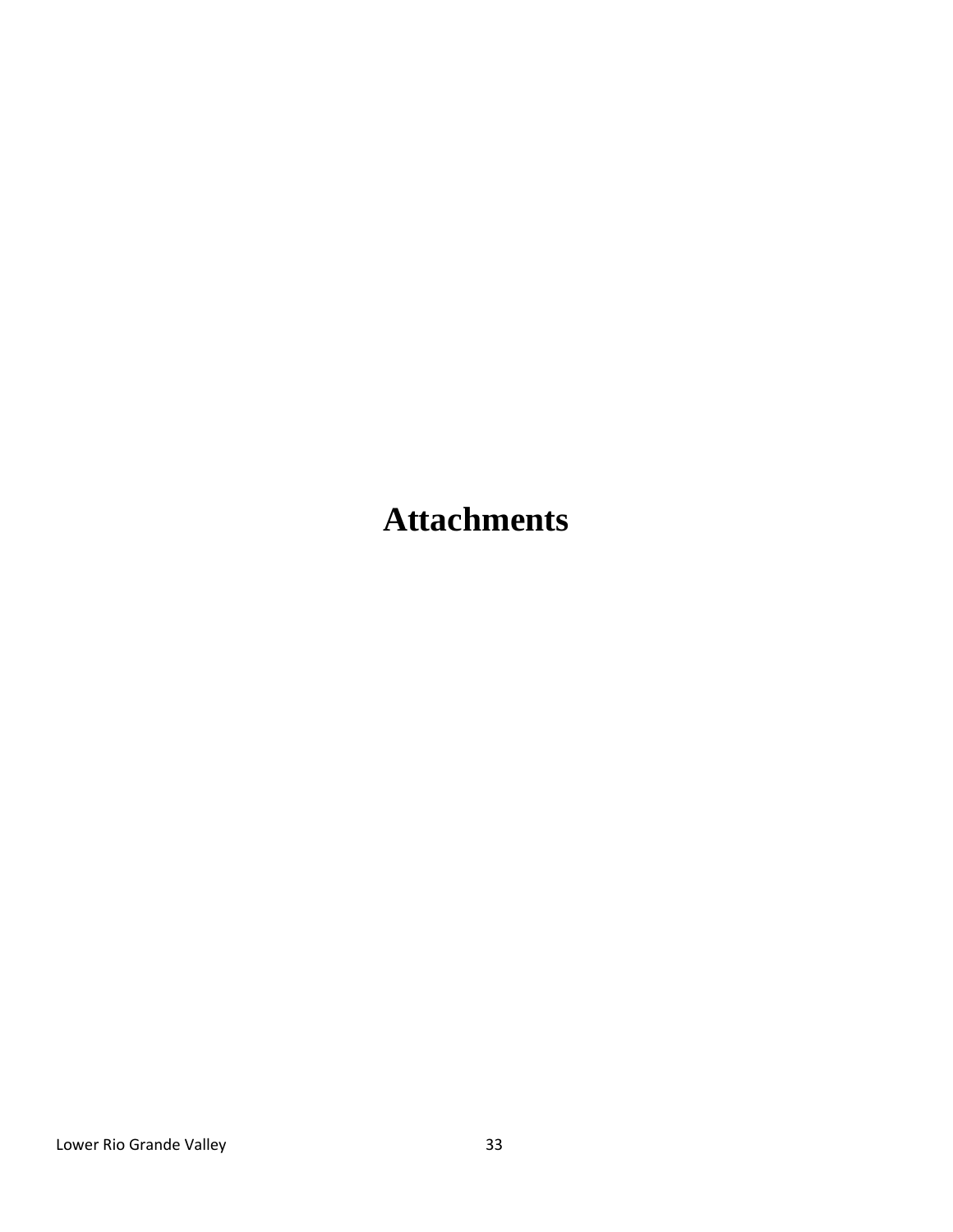<span id="page-32-0"></span>**Attachments**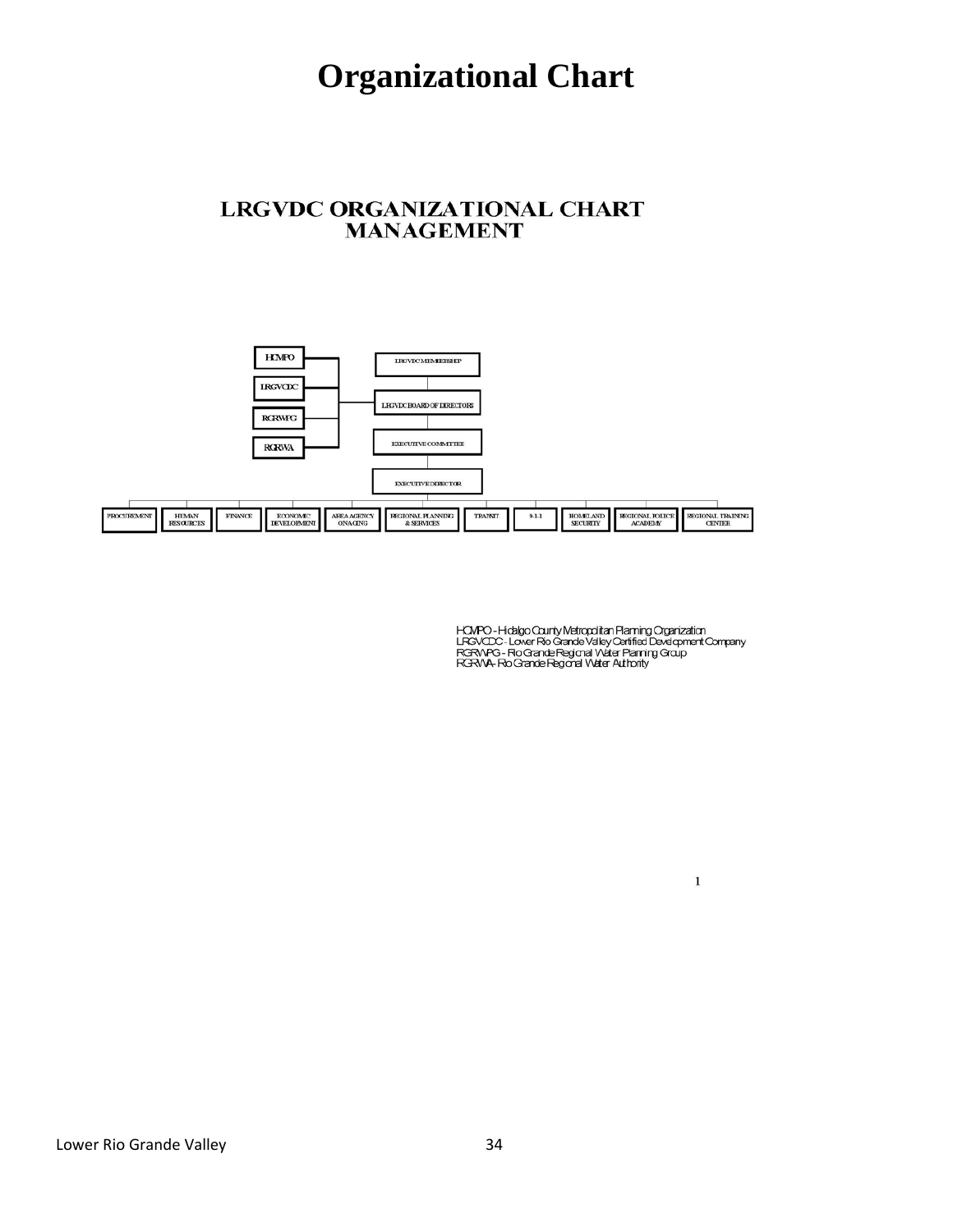# **Organizational Chart**

## <span id="page-33-0"></span>**LRGVDC ORGANIZATIONAL CHART MANAGEMENT**



HOVPO - Hidalgo County Metropolitan Plarning Organization<br>LRGVCDC - Lover Rio Grande Valley Certified Development Company<br>RGRVPG - Rio Grande Regional Vulter Planning Group<br>RGRVA- Rio Grande Regional Vulter Authority

 $\,1$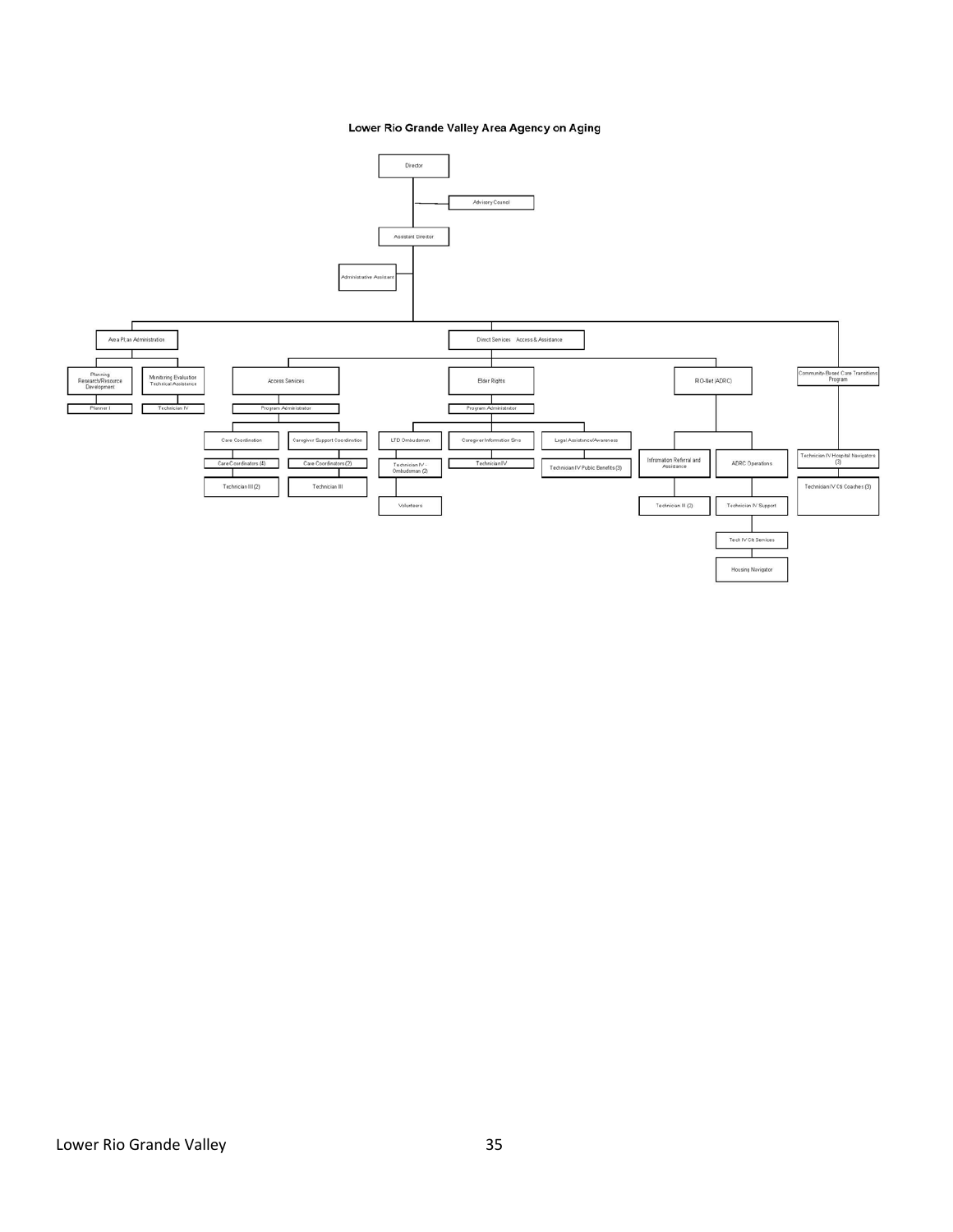Lower Rio Grande Valley Area Agency on Aging

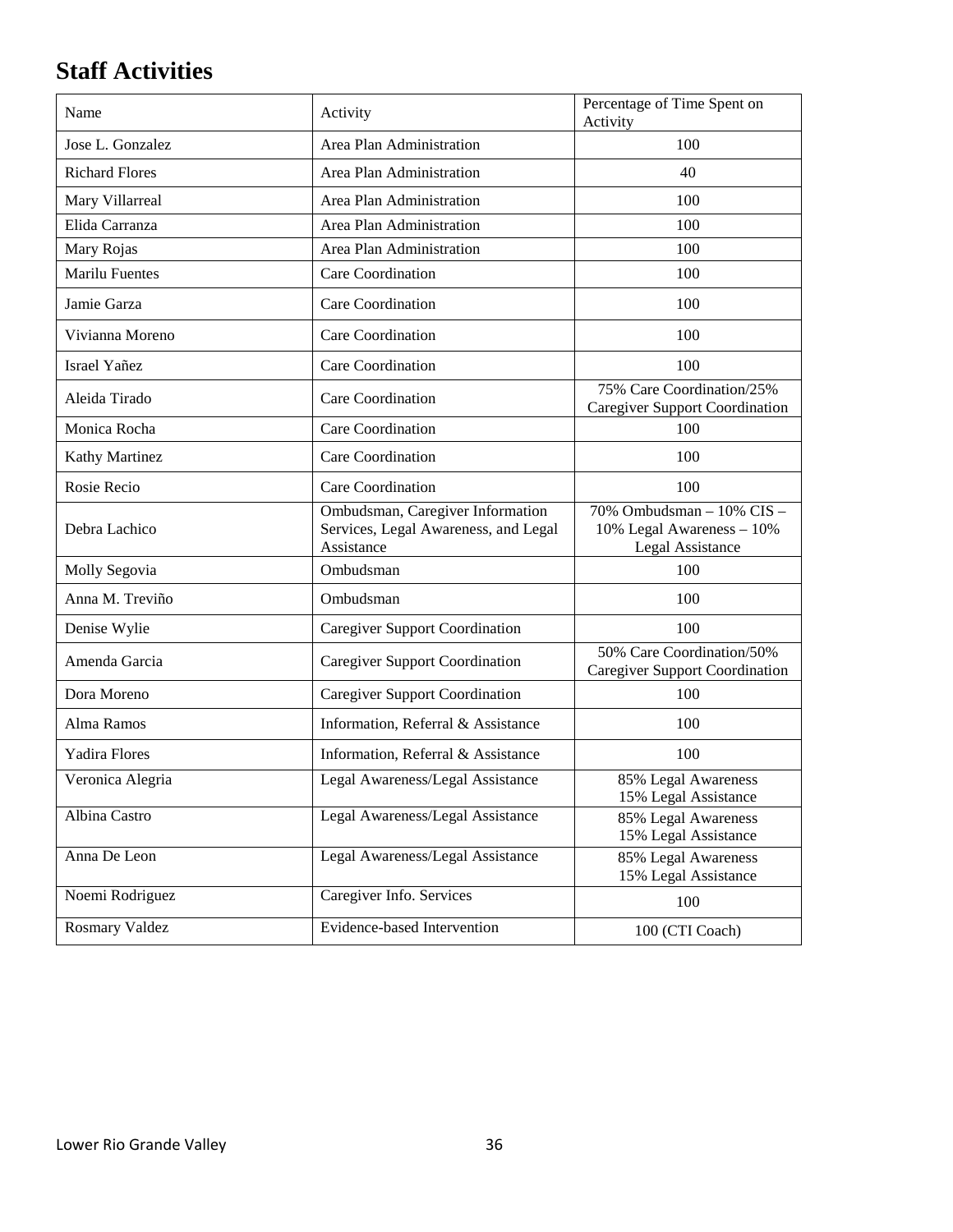# <span id="page-35-0"></span>**Staff Activities**

| Name                  | Activity                                                                               | Percentage of Time Spent on<br>Activity                                    |
|-----------------------|----------------------------------------------------------------------------------------|----------------------------------------------------------------------------|
| Jose L. Gonzalez      | Area Plan Administration                                                               | 100                                                                        |
| <b>Richard Flores</b> | Area Plan Administration                                                               | 40                                                                         |
| Mary Villarreal       | Area Plan Administration                                                               | 100                                                                        |
| Elida Carranza        | Area Plan Administration                                                               | 100                                                                        |
| Mary Rojas            | Area Plan Administration                                                               | 100                                                                        |
| <b>Marilu Fuentes</b> | Care Coordination                                                                      | 100                                                                        |
| Jamie Garza           | Care Coordination                                                                      | 100                                                                        |
| Vivianna Moreno       | Care Coordination                                                                      | 100                                                                        |
| Israel Yañez          | Care Coordination                                                                      | 100                                                                        |
| Aleida Tirado         | Care Coordination                                                                      | 75% Care Coordination/25%<br><b>Caregiver Support Coordination</b>         |
| Monica Rocha          | Care Coordination                                                                      | 100                                                                        |
| <b>Kathy Martinez</b> | Care Coordination                                                                      | 100                                                                        |
| Rosie Recio           | Care Coordination                                                                      | 100                                                                        |
| Debra Lachico         | Ombudsman, Caregiver Information<br>Services, Legal Awareness, and Legal<br>Assistance | 70% Ombudsman - 10% CIS -<br>10% Legal Awareness - 10%<br>Legal Assistance |
| Molly Segovia         | Ombudsman                                                                              | 100                                                                        |
| Anna M. Treviño       | Ombudsman                                                                              | 100                                                                        |
| Denise Wylie          | <b>Caregiver Support Coordination</b>                                                  | 100                                                                        |
| Amenda Garcia         | <b>Caregiver Support Coordination</b>                                                  | 50% Care Coordination/50%<br><b>Caregiver Support Coordination</b>         |
| Dora Moreno           | <b>Caregiver Support Coordination</b>                                                  | 100                                                                        |
| Alma Ramos            | Information, Referral & Assistance                                                     | 100                                                                        |
| <b>Yadira Flores</b>  | Information, Referral & Assistance                                                     | 100                                                                        |
| Veronica Alegria      | Legal Awareness/Legal Assistance                                                       | 85% Legal Awareness<br>15% Legal Assistance                                |
| Albina Castro         | Legal Awareness/Legal Assistance                                                       | 85% Legal Awareness<br>15% Legal Assistance                                |
| Anna De Leon          | Legal Awareness/Legal Assistance                                                       | 85% Legal Awareness<br>15% Legal Assistance                                |
| Noemi Rodriguez       | Caregiver Info. Services                                                               | 100                                                                        |
| Rosmary Valdez        | <b>Evidence-based Intervention</b>                                                     | 100 (CTI Coach)                                                            |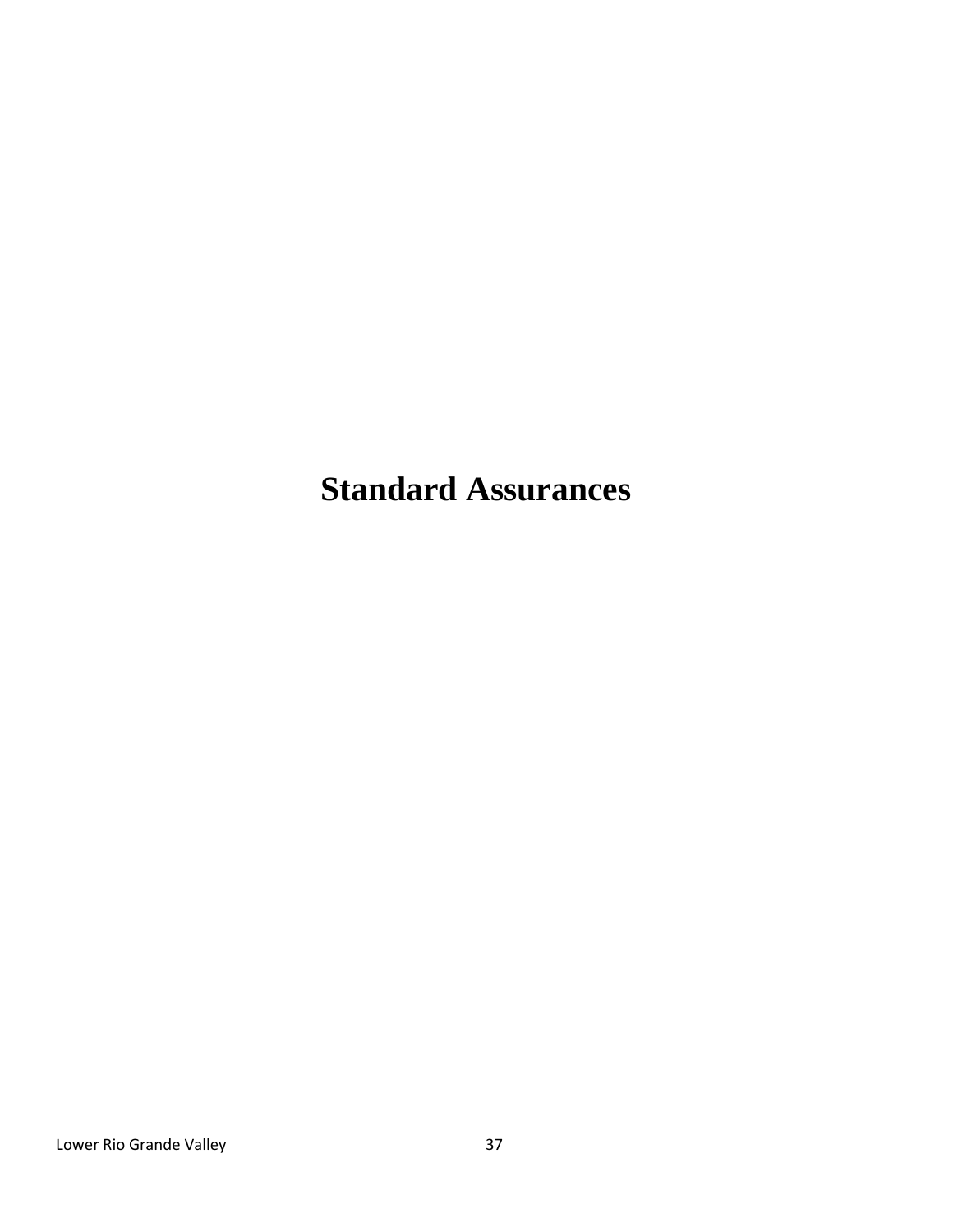<span id="page-36-0"></span>**Standard Assurances**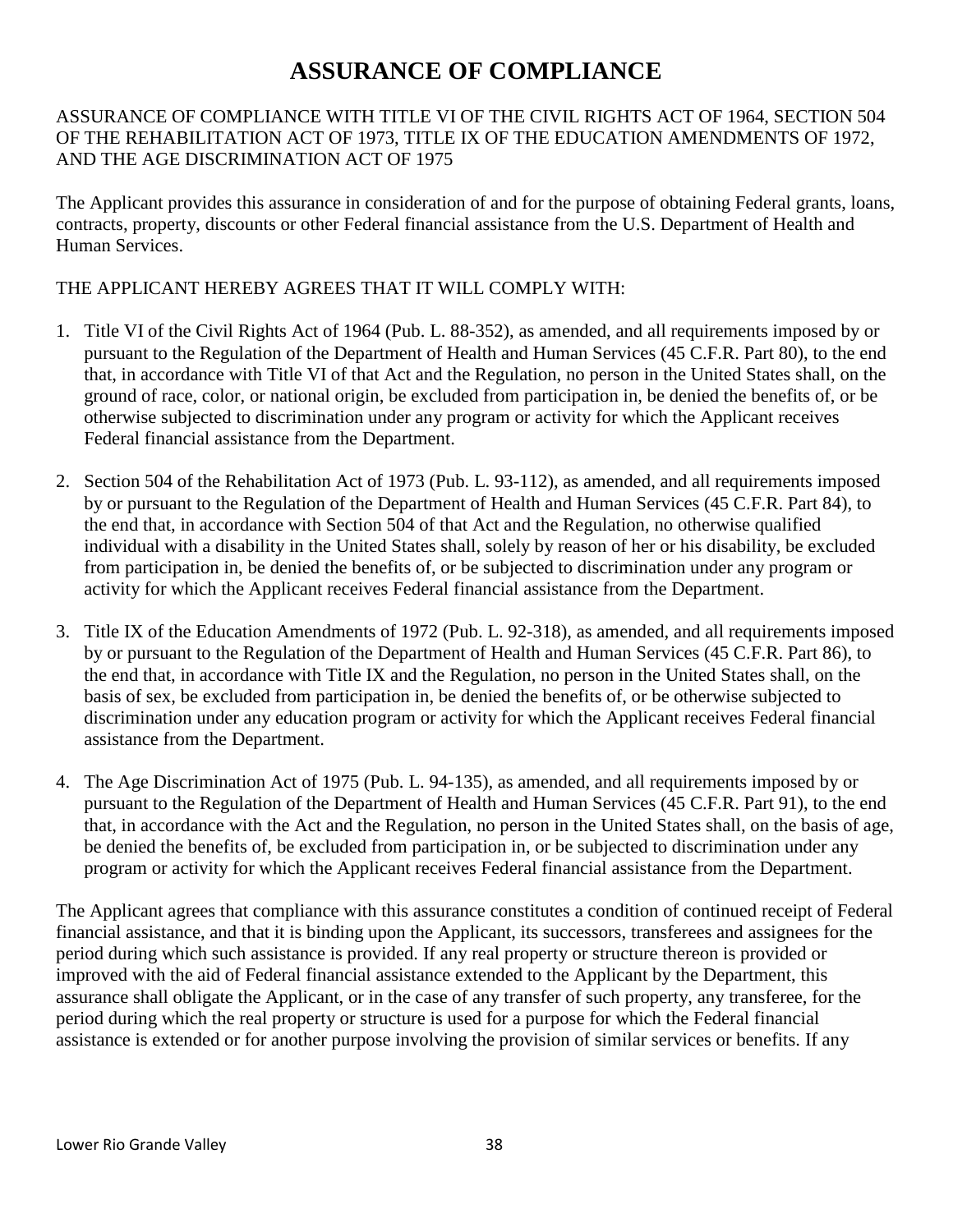# **ASSURANCE OF COMPLIANCE**

## ASSURANCE OF COMPLIANCE WITH TITLE VI OF THE CIVIL RIGHTS ACT OF 1964, SECTION 504 OF THE REHABILITATION ACT OF 1973, TITLE IX OF THE EDUCATION AMENDMENTS OF 1972, AND THE AGE DISCRIMINATION ACT OF 1975

The Applicant provides this assurance in consideration of and for the purpose of obtaining Federal grants, loans, contracts, property, discounts or other Federal financial assistance from the U.S. Department of Health and Human Services.

## THE APPLICANT HEREBY AGREES THAT IT WILL COMPLY WITH:

- 1. Title VI of the Civil Rights Act of 1964 (Pub. L. 88-352), as amended, and all requirements imposed by or pursuant to the Regulation of the Department of Health and Human Services (45 C.F.R. Part 80), to the end that, in accordance with Title VI of that Act and the Regulation, no person in the United States shall, on the ground of race, color, or national origin, be excluded from participation in, be denied the benefits of, or be otherwise subjected to discrimination under any program or activity for which the Applicant receives Federal financial assistance from the Department.
- 2. Section 504 of the Rehabilitation Act of 1973 (Pub. L. 93-112), as amended, and all requirements imposed by or pursuant to the Regulation of the Department of Health and Human Services (45 C.F.R. Part 84), to the end that, in accordance with Section 504 of that Act and the Regulation, no otherwise qualified individual with a disability in the United States shall, solely by reason of her or his disability, be excluded from participation in, be denied the benefits of, or be subjected to discrimination under any program or activity for which the Applicant receives Federal financial assistance from the Department.
- 3. Title IX of the Education Amendments of 1972 (Pub. L. 92-318), as amended, and all requirements imposed by or pursuant to the Regulation of the Department of Health and Human Services (45 C.F.R. Part 86), to the end that, in accordance with Title IX and the Regulation, no person in the United States shall, on the basis of sex, be excluded from participation in, be denied the benefits of, or be otherwise subjected to discrimination under any education program or activity for which the Applicant receives Federal financial assistance from the Department.
- 4. The Age Discrimination Act of 1975 (Pub. L. 94-135), as amended, and all requirements imposed by or pursuant to the Regulation of the Department of Health and Human Services (45 C.F.R. Part 91), to the end that, in accordance with the Act and the Regulation, no person in the United States shall, on the basis of age, be denied the benefits of, be excluded from participation in, or be subjected to discrimination under any program or activity for which the Applicant receives Federal financial assistance from the Department.

The Applicant agrees that compliance with this assurance constitutes a condition of continued receipt of Federal financial assistance, and that it is binding upon the Applicant, its successors, transferees and assignees for the period during which such assistance is provided. If any real property or structure thereon is provided or improved with the aid of Federal financial assistance extended to the Applicant by the Department, this assurance shall obligate the Applicant, or in the case of any transfer of such property, any transferee, for the period during which the real property or structure is used for a purpose for which the Federal financial assistance is extended or for another purpose involving the provision of similar services or benefits. If any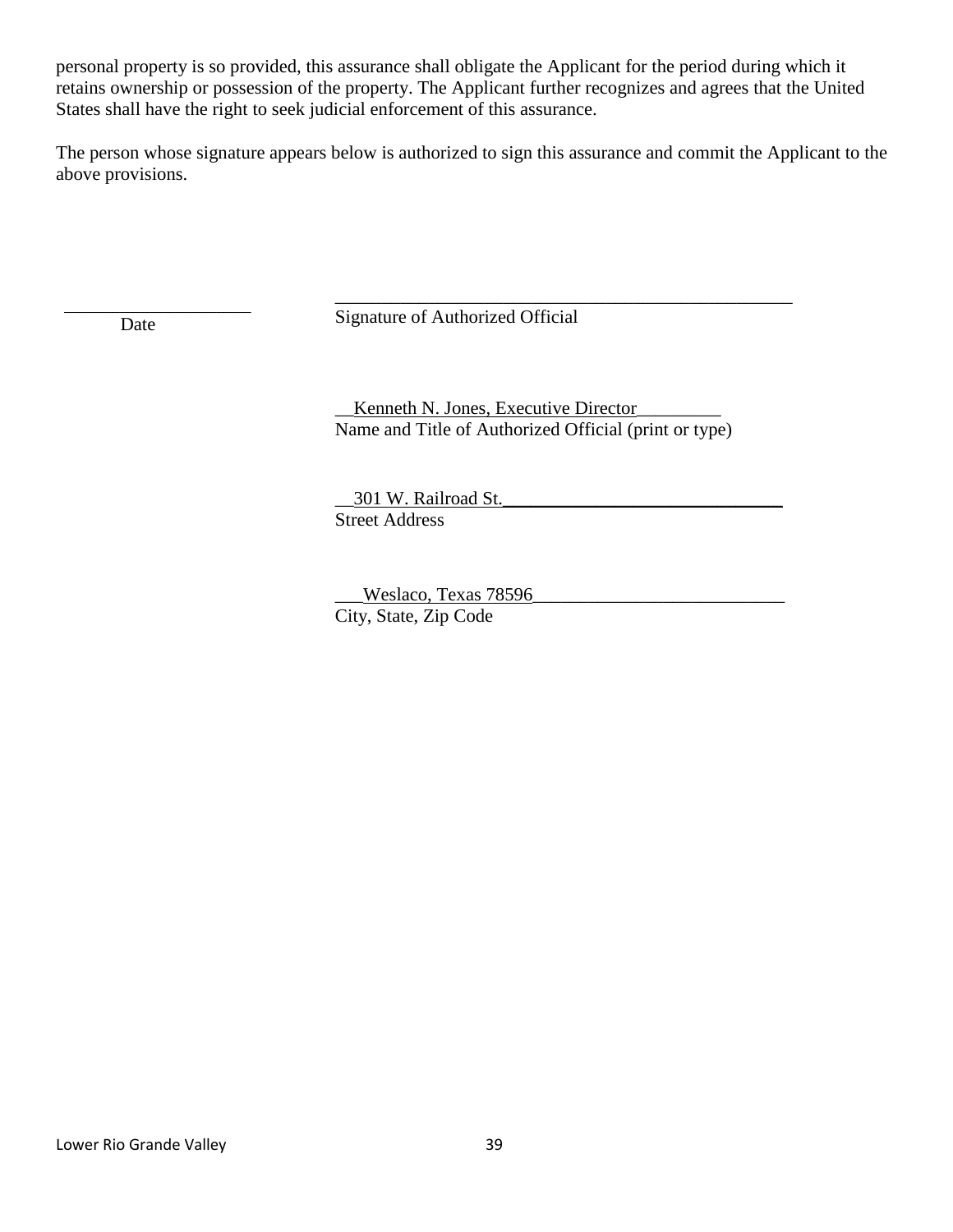personal property is so provided, this assurance shall obligate the Applicant for the period during which it retains ownership or possession of the property. The Applicant further recognizes and agrees that the United States shall have the right to seek judicial enforcement of this assurance.

The person whose signature appears below is authorized to sign this assurance and commit the Applicant to the above provisions.

Date

\_\_\_\_\_\_\_\_\_\_\_\_\_\_\_\_\_\_\_\_\_\_\_\_\_\_\_

\_\_\_\_\_\_\_\_\_\_\_\_\_\_\_\_\_\_\_\_\_\_\_\_\_\_\_\_\_\_\_\_\_\_\_\_\_\_\_\_\_\_\_\_\_\_\_\_\_ Signature of Authorized Official

\_\_Kenneth N. Jones, Executive Director\_\_\_\_\_\_\_\_\_ Name and Title of Authorized Official (print or type)

\_\_301 W. Railroad St.\_\_\_\_\_\_\_\_\_\_\_\_\_\_\_\_\_\_\_\_\_\_\_\_\_\_\_\_\_\_ Street Address

\_\_\_Weslaco, Texas 78596\_\_\_\_\_\_\_\_\_\_\_\_\_\_\_\_\_\_\_\_\_\_\_\_\_\_\_ City, State, Zip Code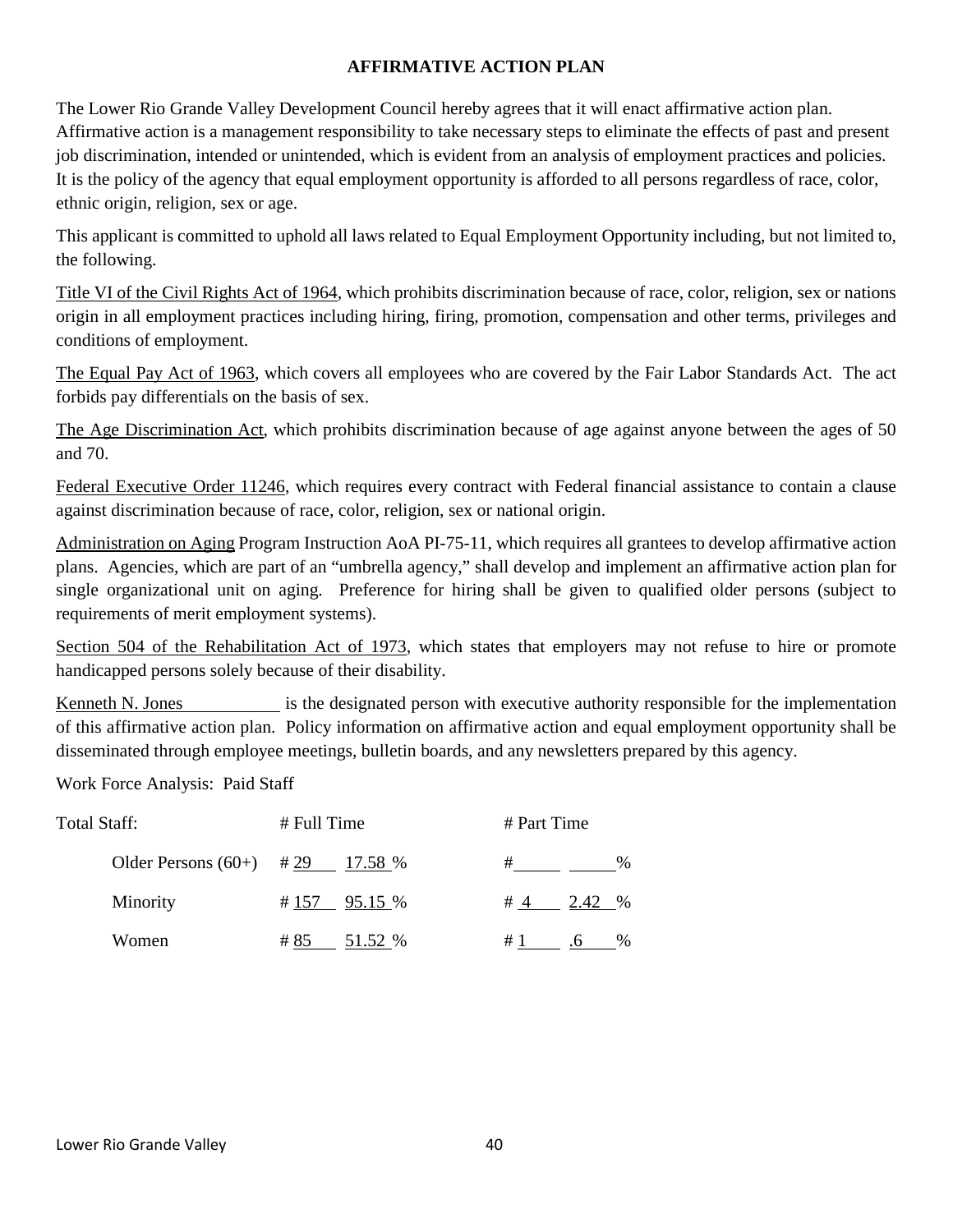## **AFFIRMATIVE ACTION PLAN**

The Lower Rio Grande Valley Development Council hereby agrees that it will enact affirmative action plan. Affirmative action is a management responsibility to take necessary steps to eliminate the effects of past and present job discrimination, intended or unintended, which is evident from an analysis of employment practices and policies. It is the policy of the agency that equal employment opportunity is afforded to all persons regardless of race, color, ethnic origin, religion, sex or age.

This applicant is committed to uphold all laws related to Equal Employment Opportunity including, but not limited to, the following.

Title VI of the Civil Rights Act of 1964, which prohibits discrimination because of race, color, religion, sex or nations origin in all employment practices including hiring, firing, promotion, compensation and other terms, privileges and conditions of employment.

The Equal Pay Act of 1963, which covers all employees who are covered by the Fair Labor Standards Act. The act forbids pay differentials on the basis of sex.

The Age Discrimination Act, which prohibits discrimination because of age against anyone between the ages of 50 and 70.

Federal Executive Order 11246, which requires every contract with Federal financial assistance to contain a clause against discrimination because of race, color, religion, sex or national origin.

Administration on Aging Program Instruction AoA PI-75-11, which requires all grantees to develop affirmative action plans. Agencies, which are part of an "umbrella agency," shall develop and implement an affirmative action plan for single organizational unit on aging. Preference for hiring shall be given to qualified older persons (subject to requirements of merit employment systems).

Section 504 of the Rehabilitation Act of 1973, which states that employers may not refuse to hire or promote handicapped persons solely because of their disability.

Kenneth N. Jones is the designated person with executive authority responsible for the implementation of this affirmative action plan. Policy information on affirmative action and equal employment opportunity shall be disseminated through employee meetings, bulletin boards, and any newsletters prepared by this agency.

Work Force Analysis: Paid Staff

| Total Staff: |                                    | # Full Time |         | # Part Time |        |      |
|--------------|------------------------------------|-------------|---------|-------------|--------|------|
|              | Older Persons $(60+)$ # 29 17.58 % |             |         | #           |        | $\%$ |
|              | Minority                           | #157        | 95.15 % | #4          | 2.42 % |      |
|              | Women                              | #85         | 51.52 % | #           |        | $\%$ |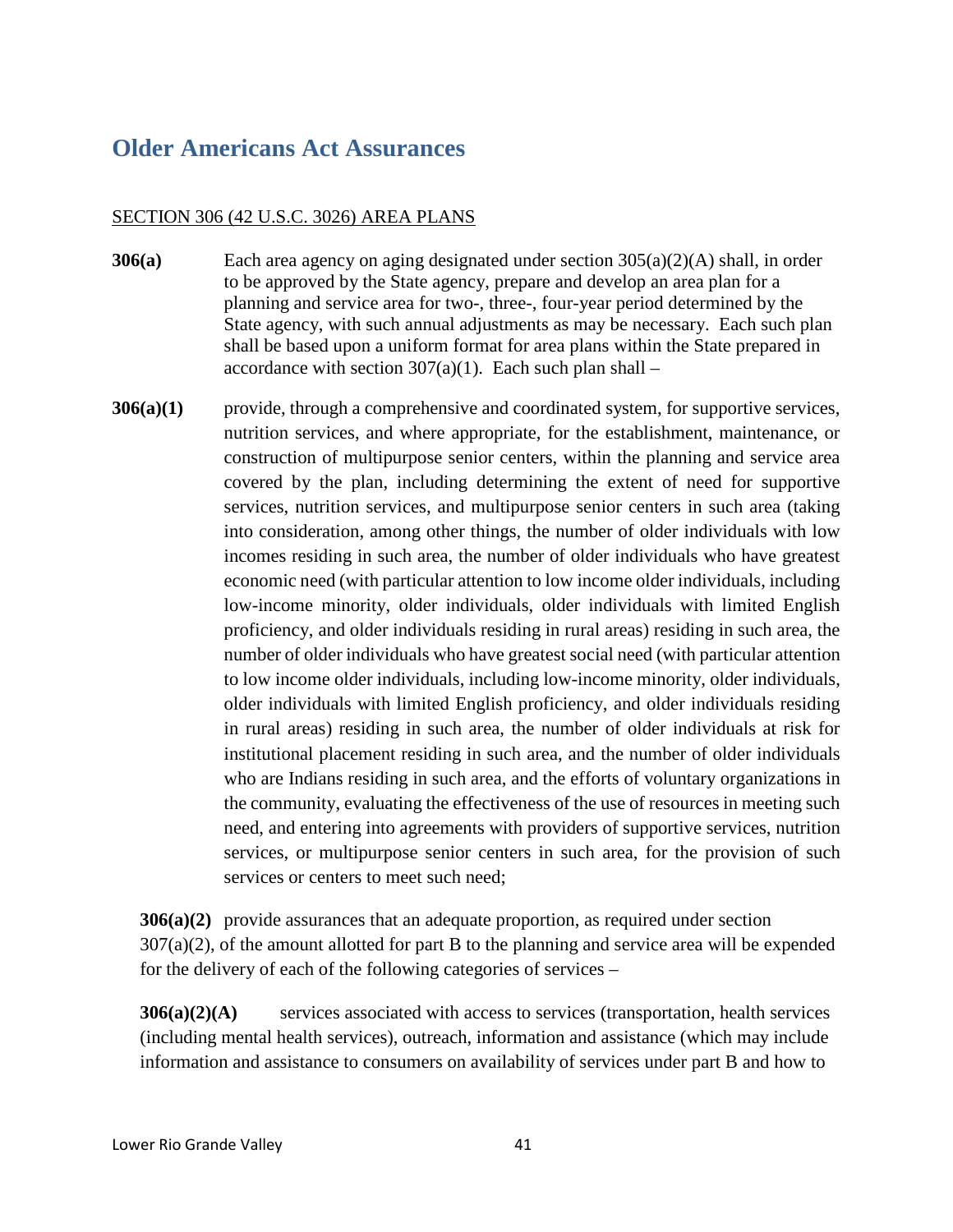## <span id="page-40-0"></span>**Older Americans Act Assurances**

## SECTION 306 (42 U.S.C. 3026) AREA PLANS

- **306(a)** Each area agency on aging designated under section 305(a)(2)(A) shall, in order to be approved by the State agency, prepare and develop an area plan for a planning and service area for two-, three-, four-year period determined by the State agency, with such annual adjustments as may be necessary. Each such plan shall be based upon a uniform format for area plans within the State prepared in accordance with section  $307(a)(1)$ . Each such plan shall –
- **306(a)(1)** provide, through a comprehensive and coordinated system, for supportive services, nutrition services, and where appropriate, for the establishment, maintenance, or construction of multipurpose senior centers, within the planning and service area covered by the plan, including determining the extent of need for supportive services, nutrition services, and multipurpose senior centers in such area (taking into consideration, among other things, the number of older individuals with low incomes residing in such area, the number of older individuals who have greatest economic need (with particular attention to low income older individuals, including low-income minority, older individuals, older individuals with limited English proficiency, and older individuals residing in rural areas) residing in such area, the number of older individuals who have greatest social need (with particular attention to low income older individuals, including low-income minority, older individuals, older individuals with limited English proficiency, and older individuals residing in rural areas) residing in such area, the number of older individuals at risk for institutional placement residing in such area, and the number of older individuals who are Indians residing in such area, and the efforts of voluntary organizations in the community, evaluating the effectiveness of the use of resources in meeting such need, and entering into agreements with providers of supportive services, nutrition services, or multipurpose senior centers in such area, for the provision of such services or centers to meet such need;

**306(a)(2)** provide assurances that an adequate proportion, as required under section  $307(a)(2)$ , of the amount allotted for part B to the planning and service area will be expended for the delivery of each of the following categories of services –

**306(a)(2)(A)** services associated with access to services (transportation, health services (including mental health services), outreach, information and assistance (which may include information and assistance to consumers on availability of services under part B and how to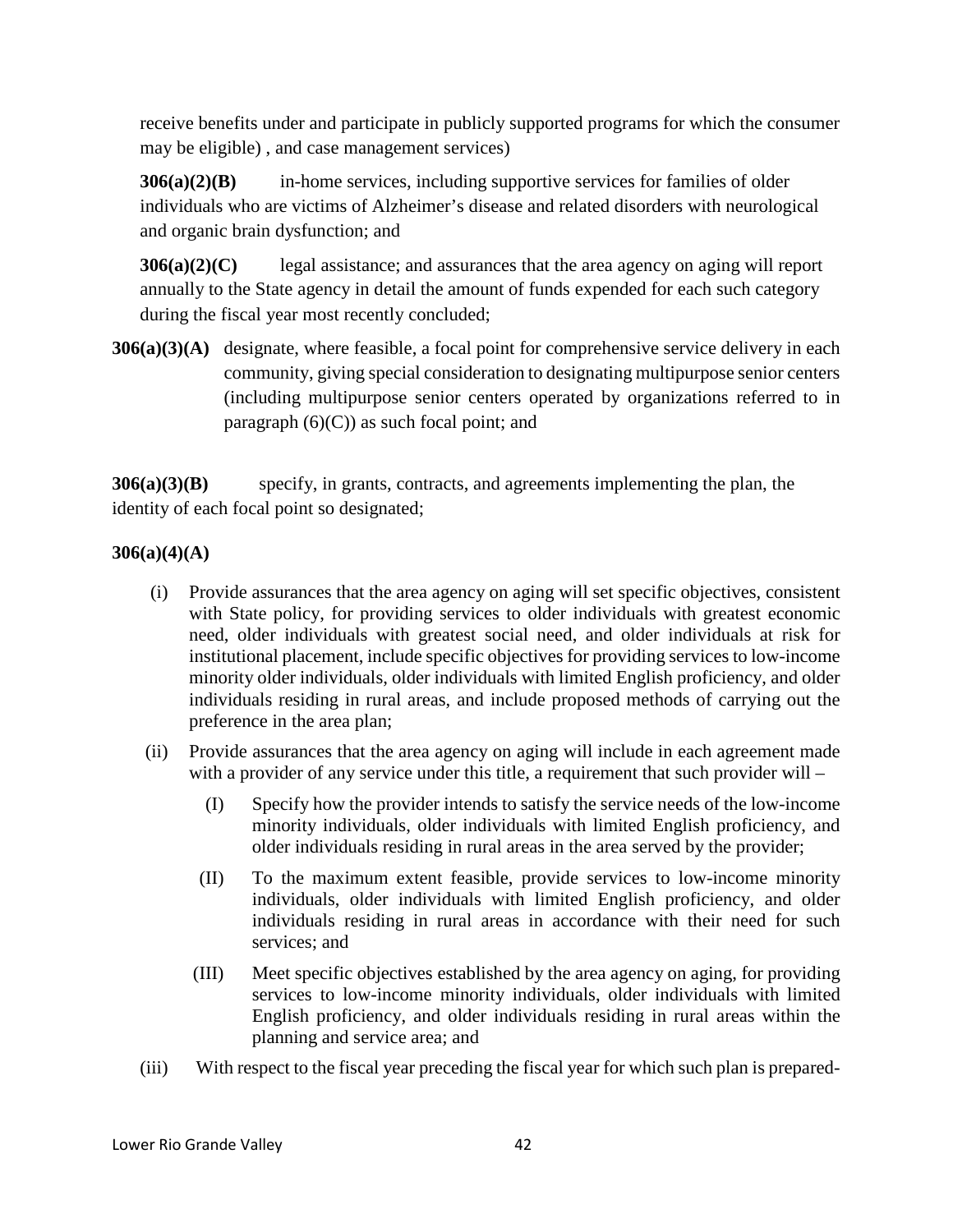receive benefits under and participate in publicly supported programs for which the consumer may be eligible) , and case management services)

**306(a)(2)(B)** in-home services, including supportive services for families of older individuals who are victims of Alzheimer's disease and related disorders with neurological and organic brain dysfunction; and

**306(a)(2)(C)** legal assistance; and assurances that the area agency on aging will report annually to the State agency in detail the amount of funds expended for each such category during the fiscal year most recently concluded;

**306(a)(3)(A)** designate, where feasible, a focal point for comprehensive service delivery in each community, giving special consideration to designating multipurpose senior centers (including multipurpose senior centers operated by organizations referred to in paragraph  $(6)(C)$  as such focal point; and

**306(a)(3)(B)** specify, in grants, contracts, and agreements implementing the plan, the identity of each focal point so designated;

## **306(a)(4)(A)**

- (i) Provide assurances that the area agency on aging will set specific objectives, consistent with State policy, for providing services to older individuals with greatest economic need, older individuals with greatest social need, and older individuals at risk for institutional placement, include specific objectives for providing services to low-income minority older individuals, older individuals with limited English proficiency, and older individuals residing in rural areas, and include proposed methods of carrying out the preference in the area plan;
- (ii) Provide assurances that the area agency on aging will include in each agreement made with a provider of any service under this title, a requirement that such provider will –
	- (I) Specify how the provider intends to satisfy the service needs of the low-income minority individuals, older individuals with limited English proficiency, and older individuals residing in rural areas in the area served by the provider;
	- (II) To the maximum extent feasible, provide services to low-income minority individuals, older individuals with limited English proficiency, and older individuals residing in rural areas in accordance with their need for such services; and
	- (III) Meet specific objectives established by the area agency on aging, for providing services to low-income minority individuals, older individuals with limited English proficiency, and older individuals residing in rural areas within the planning and service area; and
- (iii) With respect to the fiscal year preceding the fiscal year for which such plan is prepared-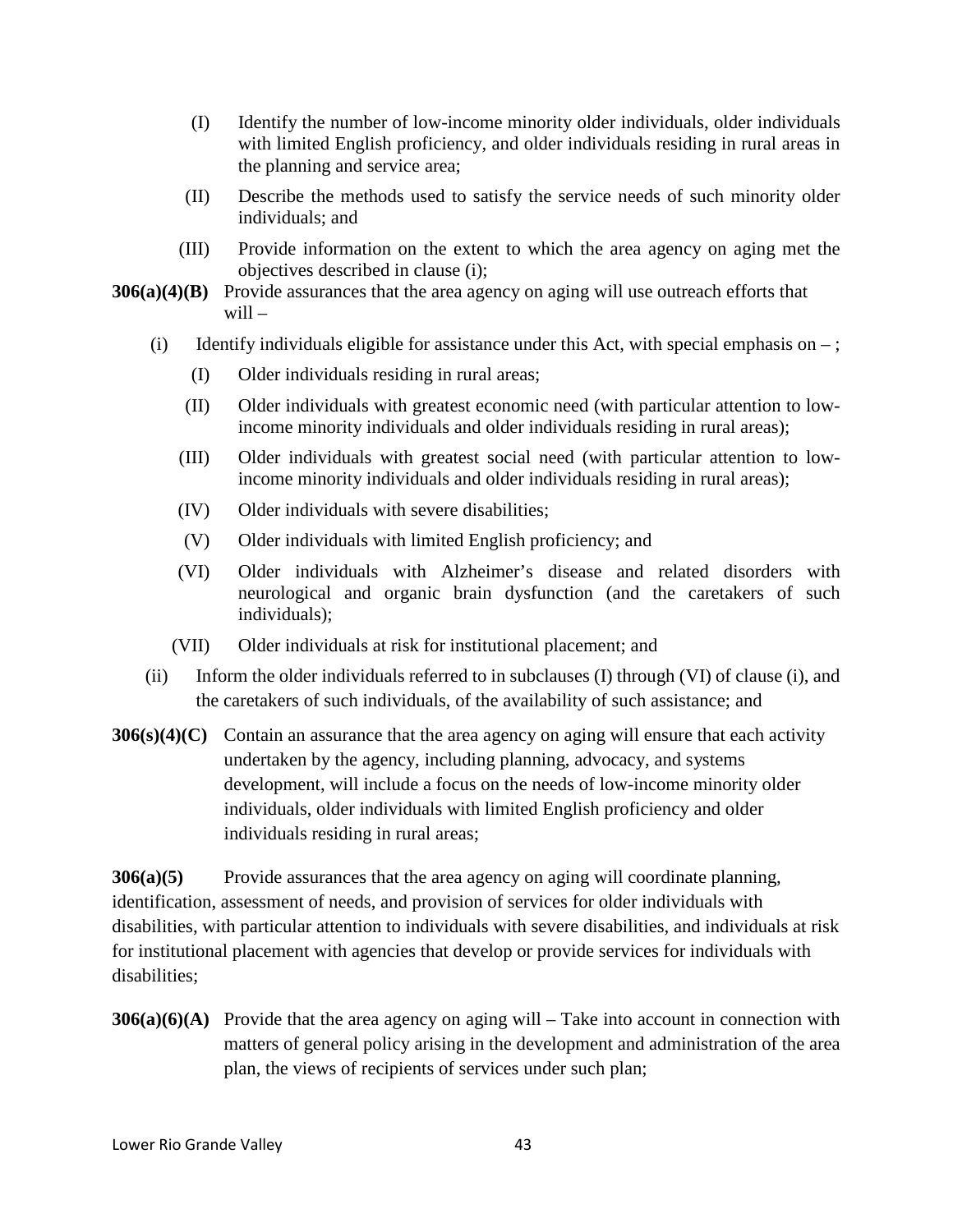- (I) Identify the number of low-income minority older individuals, older individuals with limited English proficiency, and older individuals residing in rural areas in the planning and service area;
- (II) Describe the methods used to satisfy the service needs of such minority older individuals; and
- (III) Provide information on the extent to which the area agency on aging met the objectives described in clause (i);
- **306(a)(4)(B)** Provide assurances that the area agency on aging will use outreach efforts that will –
	- (i) Identify individuals eligible for assistance under this Act, with special emphasis on  $-$ ;
		- (I) Older individuals residing in rural areas;
		- (II) Older individuals with greatest economic need (with particular attention to lowincome minority individuals and older individuals residing in rural areas);
		- (III) Older individuals with greatest social need (with particular attention to lowincome minority individuals and older individuals residing in rural areas);
		- (IV) Older individuals with severe disabilities;
		- (V) Older individuals with limited English proficiency; and
		- (VI) Older individuals with Alzheimer's disease and related disorders with neurological and organic brain dysfunction (and the caretakers of such individuals);
		- (VII) Older individuals at risk for institutional placement; and
	- (ii) Inform the older individuals referred to in subclauses (I) through (VI) of clause (i), and the caretakers of such individuals, of the availability of such assistance; and
- **306(s)(4)(C)** Contain an assurance that the area agency on aging will ensure that each activity undertaken by the agency, including planning, advocacy, and systems development, will include a focus on the needs of low-income minority older individuals, older individuals with limited English proficiency and older individuals residing in rural areas;

**306(a)(5)** Provide assurances that the area agency on aging will coordinate planning, identification, assessment of needs, and provision of services for older individuals with disabilities, with particular attention to individuals with severe disabilities, and individuals at risk for institutional placement with agencies that develop or provide services for individuals with disabilities;

**306(a)(6)(A)** Provide that the area agency on aging will – Take into account in connection with matters of general policy arising in the development and administration of the area plan, the views of recipients of services under such plan;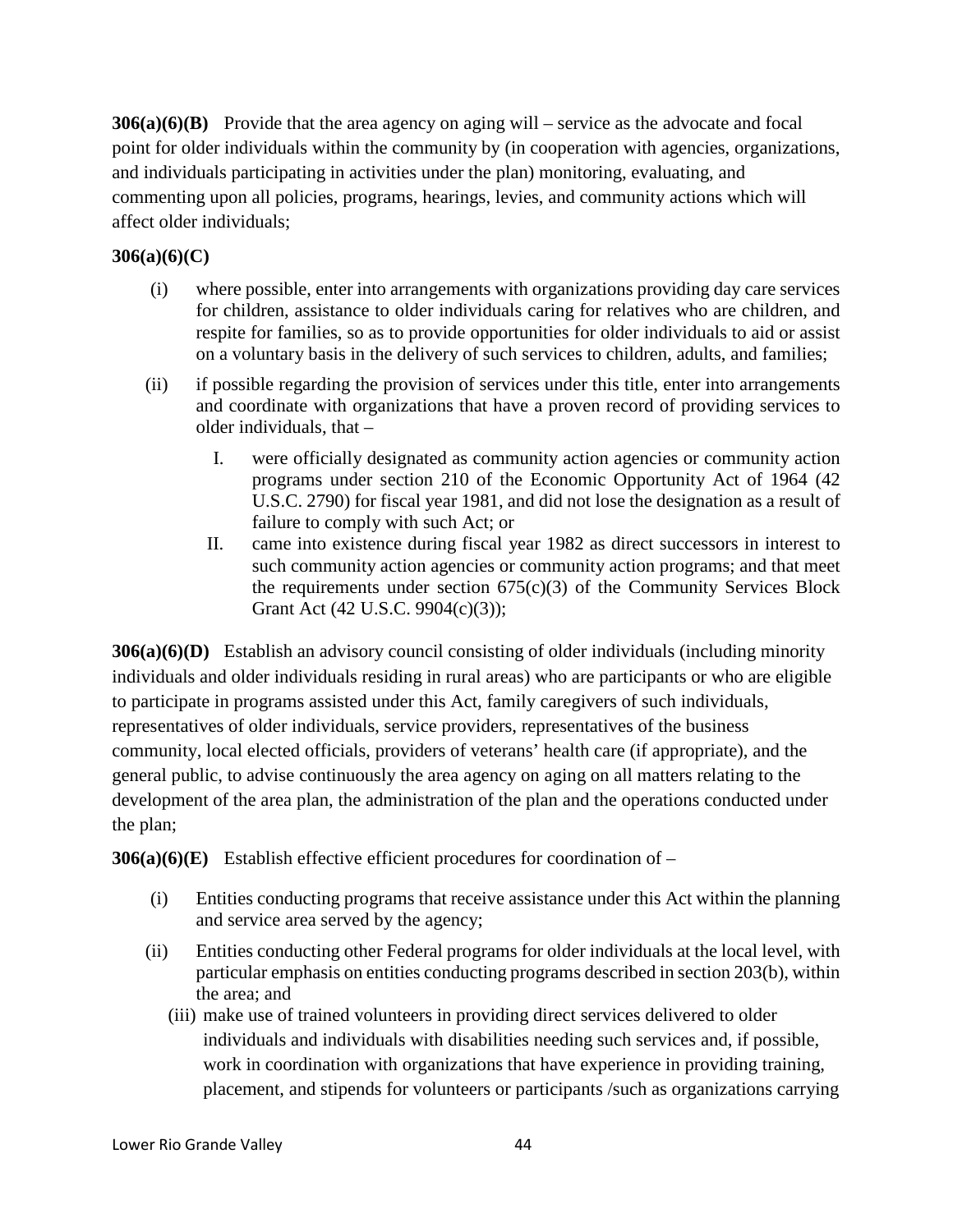**306(a)(6)(B)** Provide that the area agency on aging will – service as the advocate and focal point for older individuals within the community by (in cooperation with agencies, organizations, and individuals participating in activities under the plan) monitoring, evaluating, and commenting upon all policies, programs, hearings, levies, and community actions which will affect older individuals;

## **306(a)(6)(C)**

- (i) where possible, enter into arrangements with organizations providing day care services for children, assistance to older individuals caring for relatives who are children, and respite for families, so as to provide opportunities for older individuals to aid or assist on a voluntary basis in the delivery of such services to children, adults, and families;
- (ii) if possible regarding the provision of services under this title, enter into arrangements and coordinate with organizations that have a proven record of providing services to older individuals, that –
	- I. were officially designated as community action agencies or community action programs under section 210 of the Economic Opportunity Act of 1964 (42 U.S.C. 2790) for fiscal year 1981, and did not lose the designation as a result of failure to comply with such Act; or
	- II. came into existence during fiscal year 1982 as direct successors in interest to such community action agencies or community action programs; and that meet the requirements under section  $675(c)(3)$  of the Community Services Block Grant Act (42 U.S.C. 9904(c)(3));

**306(a)(6)(D)** Establish an advisory council consisting of older individuals (including minority individuals and older individuals residing in rural areas) who are participants or who are eligible to participate in programs assisted under this Act, family caregivers of such individuals, representatives of older individuals, service providers, representatives of the business community, local elected officials, providers of veterans' health care (if appropriate), and the general public, to advise continuously the area agency on aging on all matters relating to the development of the area plan, the administration of the plan and the operations conducted under the plan;

**306(a)(6)(E)** Establish effective efficient procedures for coordination of –

- (i) Entities conducting programs that receive assistance under this Act within the planning and service area served by the agency;
- (ii) Entities conducting other Federal programs for older individuals at the local level, with particular emphasis on entities conducting programs described in section 203(b), within the area; and
	- (iii) make use of trained volunteers in providing direct services delivered to older individuals and individuals with disabilities needing such services and, if possible, work in coordination with organizations that have experience in providing training, placement, and stipends for volunteers or participants /such as organizations carrying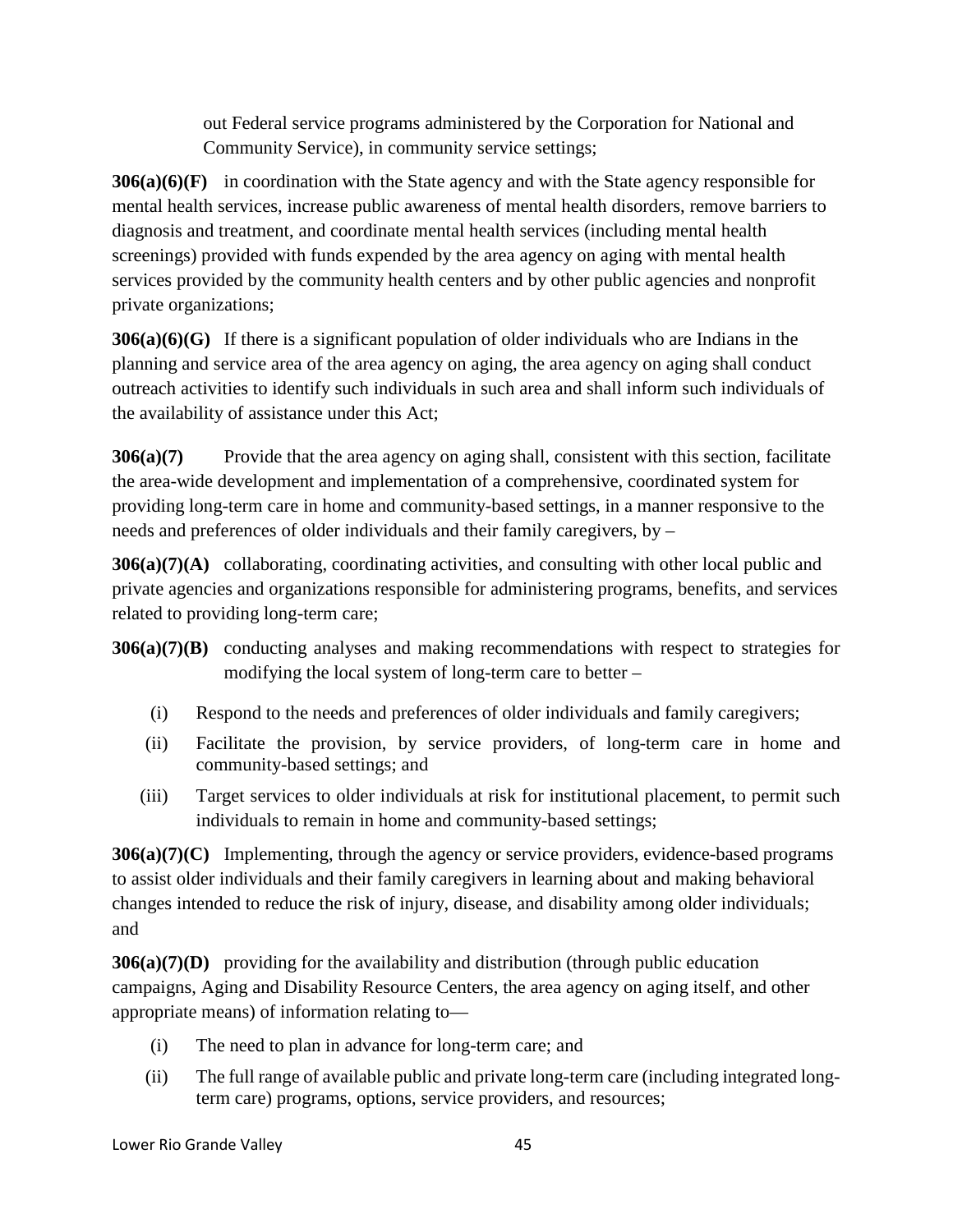out Federal service programs administered by the Corporation for National and Community Service), in community service settings;

**306(a)(6)(F)** in coordination with the State agency and with the State agency responsible for mental health services, increase public awareness of mental health disorders, remove barriers to diagnosis and treatment, and coordinate mental health services (including mental health screenings) provided with funds expended by the area agency on aging with mental health services provided by the community health centers and by other public agencies and nonprofit private organizations;

**306(a)(6)(G)** If there is a significant population of older individuals who are Indians in the planning and service area of the area agency on aging, the area agency on aging shall conduct outreach activities to identify such individuals in such area and shall inform such individuals of the availability of assistance under this Act;

**306(a)(7)** Provide that the area agency on aging shall, consistent with this section, facilitate the area-wide development and implementation of a comprehensive, coordinated system for providing long-term care in home and community-based settings, in a manner responsive to the needs and preferences of older individuals and their family caregivers, by –

**306(a)(7)(A)** collaborating, coordinating activities, and consulting with other local public and private agencies and organizations responsible for administering programs, benefits, and services related to providing long-term care;

- **306(a)(7)(B)** conducting analyses and making recommendations with respect to strategies for modifying the local system of long-term care to better –
	- (i) Respond to the needs and preferences of older individuals and family caregivers;
	- (ii) Facilitate the provision, by service providers, of long-term care in home and community-based settings; and
	- (iii) Target services to older individuals at risk for institutional placement, to permit such individuals to remain in home and community-based settings;

**306(a)(7)(C)** Implementing, through the agency or service providers, evidence-based programs to assist older individuals and their family caregivers in learning about and making behavioral changes intended to reduce the risk of injury, disease, and disability among older individuals; and

**306(a)(7)(D)** providing for the availability and distribution (through public education campaigns, Aging and Disability Resource Centers, the area agency on aging itself, and other appropriate means) of information relating to—

- (i) The need to plan in advance for long-term care; and
- (ii) The full range of available public and private long-term care (including integrated longterm care) programs, options, service providers, and resources;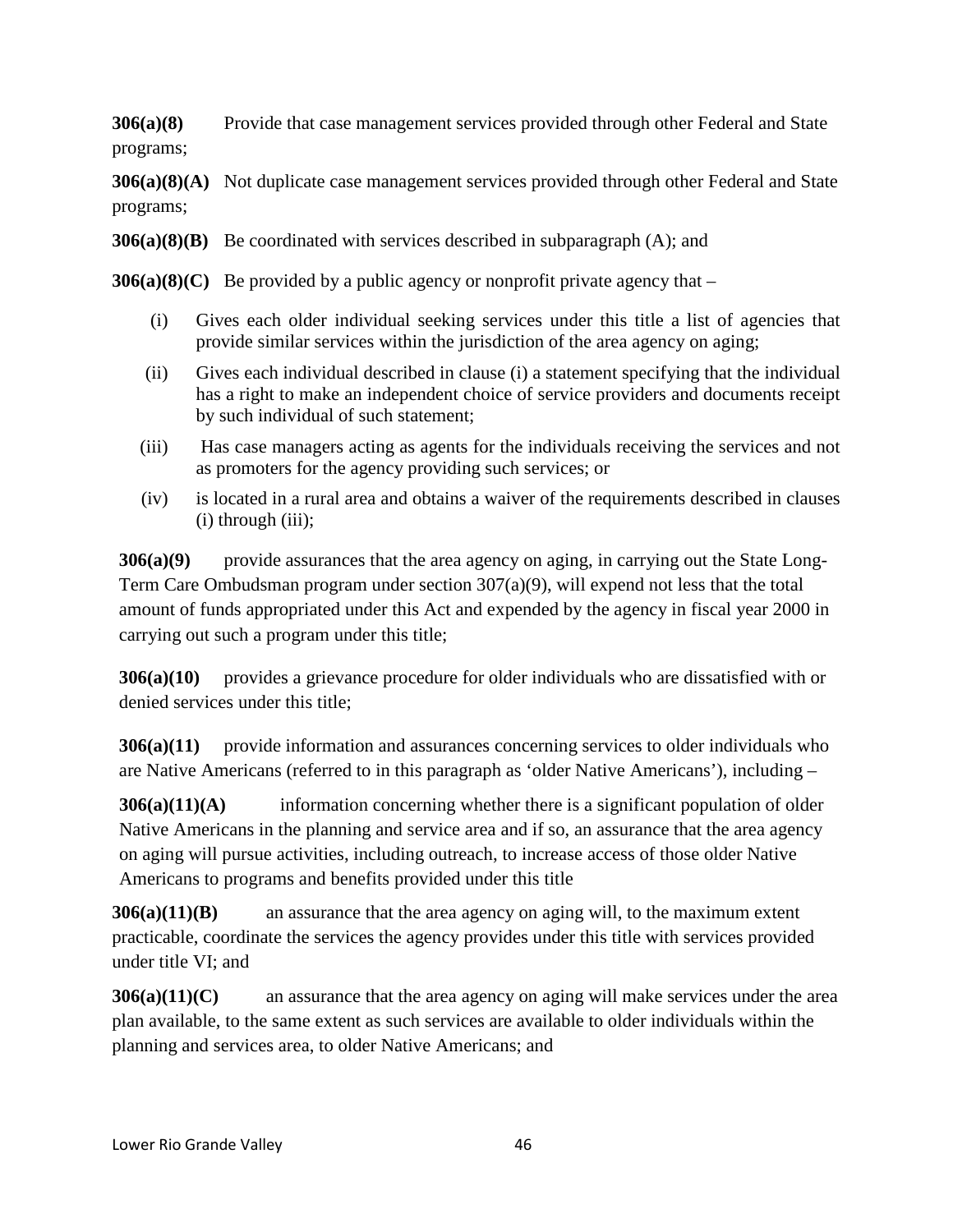**306(a)(8)** Provide that case management services provided through other Federal and State programs;

**306(a)(8)(A)** Not duplicate case management services provided through other Federal and State programs;

**306(a)(8)(B)** Be coordinated with services described in subparagraph (A); and

**306(a)(8)(C)** Be provided by a public agency or nonprofit private agency that –

- (i) Gives each older individual seeking services under this title a list of agencies that provide similar services within the jurisdiction of the area agency on aging;
- (ii) Gives each individual described in clause (i) a statement specifying that the individual has a right to make an independent choice of service providers and documents receipt by such individual of such statement;
- (iii) Has case managers acting as agents for the individuals receiving the services and not as promoters for the agency providing such services; or
- (iv) is located in a rural area and obtains a waiver of the requirements described in clauses (i) through (iii);

**306(a)(9)** provide assurances that the area agency on aging, in carrying out the State Long-Term Care Ombudsman program under section  $307(a)(9)$ , will expend not less that the total amount of funds appropriated under this Act and expended by the agency in fiscal year 2000 in carrying out such a program under this title;

**306(a)(10)** provides a grievance procedure for older individuals who are dissatisfied with or denied services under this title;

**306(a)(11)** provide information and assurances concerning services to older individuals who are Native Americans (referred to in this paragraph as 'older Native Americans'), including –

**306(a)(11)(A)** information concerning whether there is a significant population of older Native Americans in the planning and service area and if so, an assurance that the area agency on aging will pursue activities, including outreach, to increase access of those older Native Americans to programs and benefits provided under this title

**306(a)(11)(B)** an assurance that the area agency on aging will, to the maximum extent practicable, coordinate the services the agency provides under this title with services provided under title VI; and

**306(a)(11)(C)** an assurance that the area agency on aging will make services under the area plan available, to the same extent as such services are available to older individuals within the planning and services area, to older Native Americans; and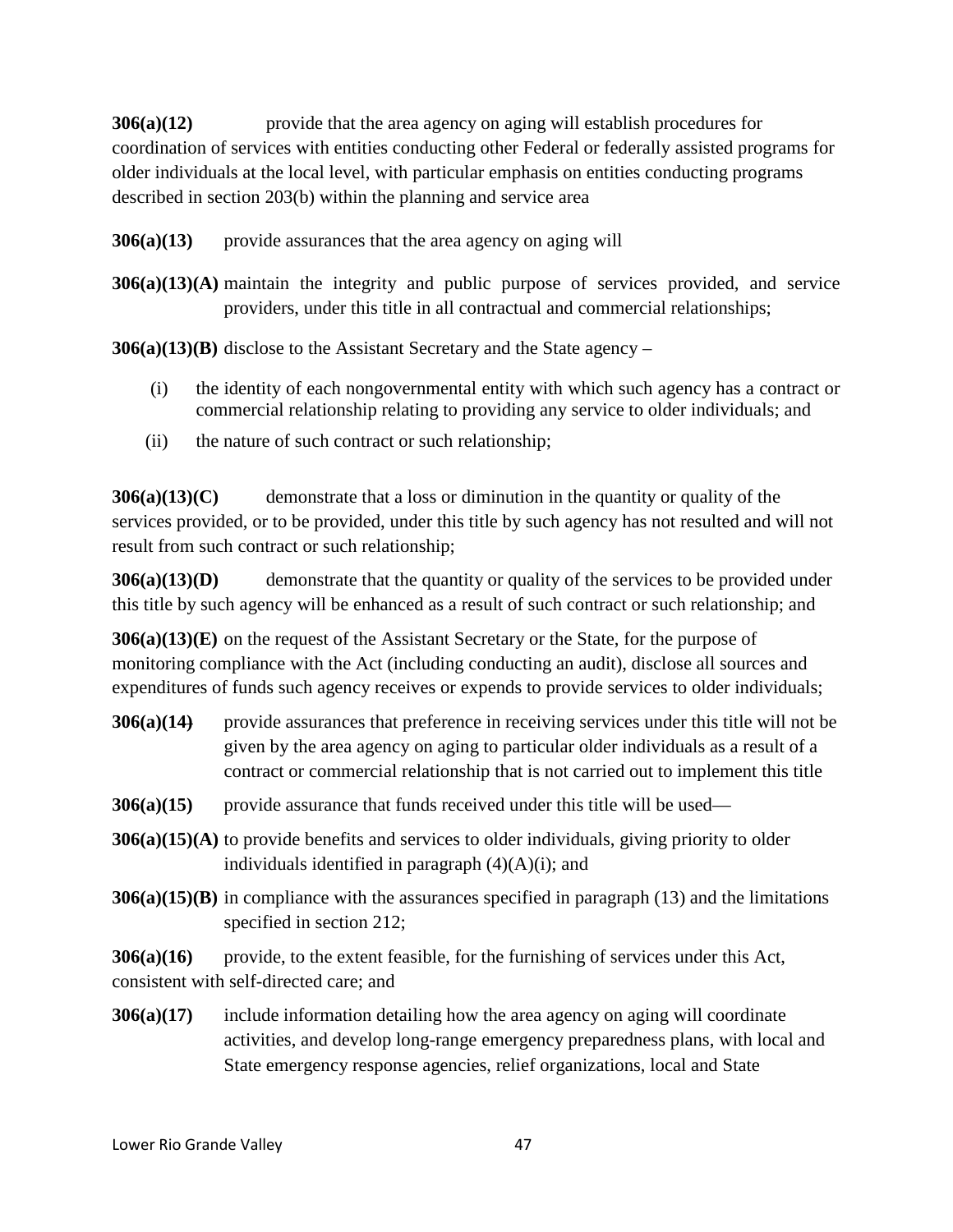**306(a)(12)** provide that the area agency on aging will establish procedures for coordination of services with entities conducting other Federal or federally assisted programs for older individuals at the local level, with particular emphasis on entities conducting programs described in section 203(b) within the planning and service area

**306(a)(13)** provide assurances that the area agency on aging will

**306(a)(13)(A)** maintain the integrity and public purpose of services provided, and service providers, under this title in all contractual and commercial relationships;

**306(a)(13)(B)** disclose to the Assistant Secretary and the State agency –

- (i) the identity of each nongovernmental entity with which such agency has a contract or commercial relationship relating to providing any service to older individuals; and
- (ii) the nature of such contract or such relationship;

**306(a)(13)(C)** demonstrate that a loss or diminution in the quantity or quality of the services provided, or to be provided, under this title by such agency has not resulted and will not result from such contract or such relationship;

**306(a)(13)(D)** demonstrate that the quantity or quality of the services to be provided under this title by such agency will be enhanced as a result of such contract or such relationship; and

**306(a)(13)(E)** on the request of the Assistant Secretary or the State, for the purpose of monitoring compliance with the Act (including conducting an audit), disclose all sources and expenditures of funds such agency receives or expends to provide services to older individuals;

- **306(a)(14)** provide assurances that preference in receiving services under this title will not be given by the area agency on aging to particular older individuals as a result of a contract or commercial relationship that is not carried out to implement this title
- **306(a)(15)** provide assurance that funds received under this title will be used—
- **306(a)(15)(A)** to provide benefits and services to older individuals, giving priority to older individuals identified in paragraph  $(4)(A)(i)$ ; and
- **306(a)(15)(B)** in compliance with the assurances specified in paragraph (13) and the limitations specified in section 212;

**306(a)(16)** provide, to the extent feasible, for the furnishing of services under this Act, consistent with self-directed care; and

**306(a)(17)** include information detailing how the area agency on aging will coordinate activities, and develop long-range emergency preparedness plans, with local and State emergency response agencies, relief organizations, local and State